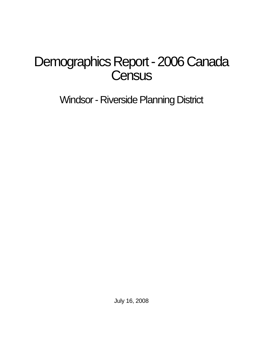# Demographics Report - 2006 Canada **Census**

Windsor - Riverside Planning District

July 16, 2008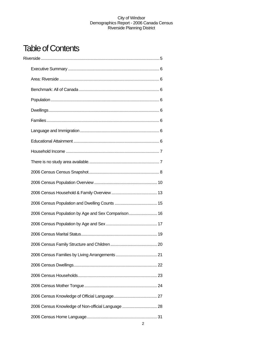# **Table of Contents**

| 2006 Census Population by Age and Sex Comparison 16 |  |
|-----------------------------------------------------|--|
|                                                     |  |
|                                                     |  |
|                                                     |  |
|                                                     |  |
|                                                     |  |
|                                                     |  |
|                                                     |  |
|                                                     |  |
| 2006 Census Knowledge of Non-official Language  28  |  |
|                                                     |  |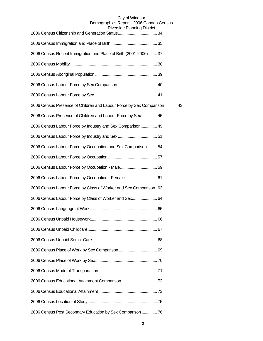| Niverside Fidition in District                                      |    |
|---------------------------------------------------------------------|----|
|                                                                     |    |
| 2006 Census Recent Immigration and Place of Birth (2001-2006) 37    |    |
|                                                                     |    |
|                                                                     |    |
|                                                                     |    |
|                                                                     |    |
| 2006 Census Presence of Children and Labour Force by Sex Comparison | 43 |
| 2006 Census Presence of Children and Labour Force by Sex  45        |    |
| 2006 Census Labour Force by Industry and Sex Comparison 49          |    |
|                                                                     |    |
| 2006 Census Labour Force by Occupation and Sex Comparison 54        |    |
|                                                                     |    |
|                                                                     |    |
| 2006 Census Labour Force by Occupation - Female  61                 |    |
| 2006 Census Labour Force by Class of Worker and Sex Comparison. 63  |    |
| 2006 Census Labour Force by Class of Worker and Sex 64              |    |
|                                                                     |    |
|                                                                     |    |
|                                                                     |    |
|                                                                     |    |
|                                                                     |    |
|                                                                     |    |
|                                                                     |    |
|                                                                     |    |
|                                                                     |    |
|                                                                     |    |
| 2006 Census Post Secondary Education by Sex Comparison  76          |    |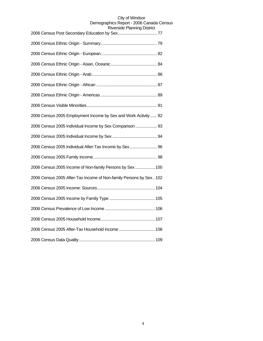| siaiue r iai ii iii iy Diau iul                                    |
|--------------------------------------------------------------------|
|                                                                    |
|                                                                    |
|                                                                    |
|                                                                    |
|                                                                    |
|                                                                    |
|                                                                    |
| 2006 Census 2005 Employment Income by Sex and Work Activity  92    |
| 2006 Census 2005 Individual Income by Sex Comparison  93           |
|                                                                    |
| 2006 Census 2005 Individual After-Tax Income by Sex 96             |
|                                                                    |
| 2006 Census 2005 Income of Non-family Persons by Sex  100          |
| 2006 Census 2005 After-Tax Income of Non-family Persons by Sex 102 |
|                                                                    |
|                                                                    |
|                                                                    |
|                                                                    |
| 2006 Census 2005 After-Tax Household Income  108                   |
|                                                                    |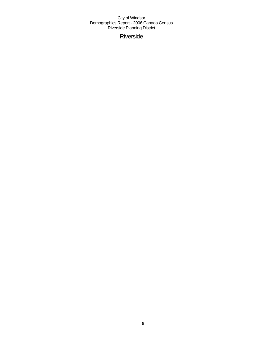Riverside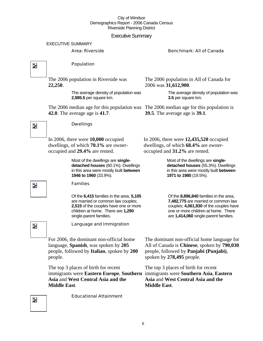#### Executive Summary

#### EXECUTIVE SUMMARY

#### Area: Riverside Benchmark: All of Canada

 $\overline{\mathbf{z}}$ 

 $\overline{\phantom{a}}$ 

#### Population

Dwellings

The 2006 population in Riverside was **22,250**.

> The average density of population was **2,985.5** per square km.

The 2006 median age for this population was The 2006 median age for this population is **42.0**. The average age is **41.7**.

The 2006 population in All of Canada for 2006 was **31,612,900**.

> The average density of population was **3.5** per square km.

**39.5**. The average age is **39.1**.

In 2006, there were **10,000** occupied dwellings, of which **70.1%** are owneroccupied and **29.4%** are rented.

> Most of the dwellings are **singledetached houses** (60.1%). Dwellings in this area were mostly built **between 1946 to 1960** (33.9%).

#### Families

Of the **6,415** families in the area, **5,105**  are married or common law couples; **2,515** of the couples have one or more children at home. There are **1,290**  single-parent families.

In 2006, there were **12,435,520** occupied dwellings, of which **68.4%** are owneroccupied and **31.2%** are rented.

> Most of the dwellings are **singledetached houses** (55.3%). Dwellings in this area were mostly built **between 1971 to 1980** (19.5%).

Of the **8,896,840** families in the area, **7,482,775** are married or common law couples; **4,061,930** of the couples have one or more children at home. There are **1,414,060** single-parent families.

Z.

 $\overline{\phantom{a}}$ 

Language and Immigration

For 2006, the dominant non-official home language, **Spanish**, was spoken by **205** people, followed by **Italian**, spoken by **200** people.

The top 3 places of birth for recent immigrants were Eastern Europe, Southern immigrants were Southern Asia, Eastern **Asia** and **West Central Asia and the Middle East**.

The dominant non-official home language for All of Canada is **Chinese**, spoken by **790,030** people, followed by **Panjabi (Punjabi)**, spoken by **278,495** people.

The top 3 places of birth for recent **Asia** and **West Central Asia and the Middle East**.

Educational Attainment

Z.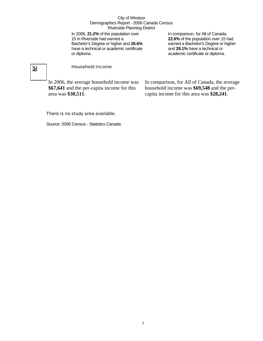In 2006, **21.2%** of the population over 15 in Riverside had earned a Bachelor's Degree or higher and **26.6%** have a technical or academic certificate or diploma.

In comparison, for All of Canada, **22.6%** of the population over 15 had earned a Bachelor's Degree or higher and **28.1%** have a technical or academic certificate or diploma.

# $\overline{\phantom{a}}$

#### Household Income

In 2006, the average household income was **\$67,641** and the per-capita income for this area was **\$30,511**.

In comparison, for All of Canada, the average household income was **\$69,548** and the percapita income for this area was **\$28,241**.

#### There is no study area available.

Source: 2006 Census - Statistics Canada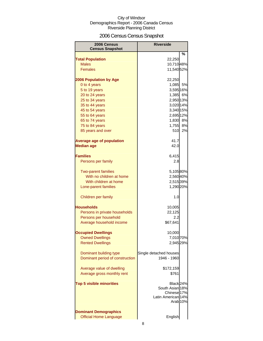# 2006 Census Census Snapshot

| 2006 Census<br><b>Census Snapshot</b> | <b>Riverside</b>                          |        |
|---------------------------------------|-------------------------------------------|--------|
|                                       |                                           | %      |
| <b>Total Population</b>               | 22,250                                    |        |
| <b>Males</b>                          | 10,710 48%                                |        |
| <b>Females</b>                        | 11,540 52%                                |        |
|                                       |                                           |        |
| <b>2006 Population by Age</b>         | 22,250                                    |        |
| 0 to 4 years                          | 1,085                                     | 5%     |
| 5 to 19 years                         | 3,595 16%                                 |        |
| 20 to 24 years                        | 1,385 6%                                  |        |
| 25 to 34 years                        | 2,950 13%                                 |        |
| 35 to 44 years                        | 3,020 14%                                 |        |
| 45 to 54 years                        | 3,340 15%                                 |        |
| 55 to 64 years                        | 2,695 12%                                 |        |
| 65 to 74 years                        | 1,830 8%                                  |        |
| 75 to 84 years                        | 1,755 8%                                  |        |
| 85 years and over                     |                                           | 510 2% |
|                                       |                                           |        |
| <b>Average age of population</b>      | 41.7                                      |        |
| <b>Median age</b>                     | 42.0                                      |        |
| <b>Families</b>                       | 6,415                                     |        |
| Persons per family                    | 2.8                                       |        |
|                                       |                                           |        |
| <b>Two-parent families</b>            | 5,105 80%                                 |        |
| With no children at home              | 2,560 40%                                 |        |
| With children at home                 | 2,515 39%                                 |        |
| Lone-parent families                  | 1,290 20%                                 |        |
|                                       |                                           |        |
| Children per family                   | 1.0                                       |        |
|                                       |                                           |        |
| Households                            | 10,005                                    |        |
| Persons in private households         | 22,125                                    |        |
| Persons per household                 | 2.2                                       |        |
| Average household income              | \$67,641                                  |        |
| <b>Occupied Dwellings</b>             | 10,000                                    |        |
| <b>Owned Dwellings</b>                | 7,010 70%                                 |        |
| <b>Rented Dwellings</b>               | 2,945 29%                                 |        |
|                                       |                                           |        |
| Dominant building type                | Single detached houses                    |        |
| Dominant period of construction       | 1946 - 1960                               |        |
|                                       |                                           |        |
| Average value of dwelling             | \$172,159                                 |        |
| Average gross monthly rent            | \$761                                     |        |
|                                       |                                           |        |
| <b>Top 5 visible minorities</b>       | Black <sub>24%</sub>                      |        |
|                                       | South Asian 18%                           |        |
|                                       | Chinese <sup>17%</sup>                    |        |
|                                       | Latin American 14%<br>Arab <sub>10%</sub> |        |
|                                       |                                           |        |
| <b>Dominant Demographics</b>          |                                           |        |
| <b>Official Home Language</b>         | English                                   |        |
|                                       |                                           |        |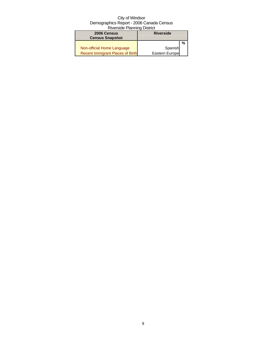| 2006 Census<br><b>Census Snapshot</b>   | <b>Riverside</b> |   |
|-----------------------------------------|------------------|---|
|                                         |                  | % |
| Non-official Home Language              | Spanish          |   |
| <b>Recent Immigrant Places of Birth</b> | Eastern Europe   |   |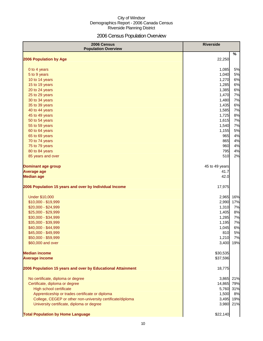# 2006 Census Population Overview

| 2006 Census<br><b>Population Overview</b>                   | <b>Riverside</b> |     |
|-------------------------------------------------------------|------------------|-----|
| 2006 Population by Age                                      | 22,250           | %   |
| 0 to 4 years                                                | 1,085            | 5%  |
| 5 to 9 years                                                | 1,040            | 5%  |
| 10 to 14 years                                              | 1,270            | 6%  |
| 15 to 19 years                                              | 1,285            | 6%  |
| 20 to 24 years                                              | 1,385            | 6%  |
| 25 to 29 years                                              | 1,470            | 7%  |
| 30 to 34 years                                              | 1,480            | 7%  |
| 35 to 39 years                                              | 1,435            | 6%  |
| 40 to 44 years                                              | 1,585            | 7%  |
| 45 to 49 years                                              | 1,725            | 8%  |
| 50 to 54 years                                              | 1,615            | 7%  |
| 55 to 59 years                                              | 1,540            | 7%  |
| 60 to 64 years                                              | 1,155            | 5%  |
| 65 to 69 years                                              | 965              | 4%  |
| 70 to 74 years                                              | 865              | 4%  |
| 75 to 79 years                                              | 960              | 4%  |
| 80 to 84 years                                              | 795              | 4%  |
| 85 years and over                                           | 510              | 2%  |
| <b>Dominant age group</b>                                   | 45 to 49 years   |     |
| <b>Average age</b>                                          | 41.7             |     |
| <b>Median age</b>                                           | 42.0             |     |
| 2006 Population 15 years and over by Individual Income      | 17,975           |     |
| <b>Under \$10,000</b>                                       | 2,965            | 16% |
| \$10,000 - \$19,999                                         | 2,990            | 17% |
| \$20,000 - \$24,999                                         | 1,310            | 7%  |
| \$25,000 - \$29,999                                         | 1,405            | 8%  |
| \$30,000 - \$34,999                                         | 1,285            | 7%  |
| \$35,000 - \$39,999                                         | 1,195            | 7%  |
| \$40,000 - \$44,999                                         | 1,045            | 6%  |
| \$45,000 - \$49,999                                         | 810              | 5%  |
| \$50,000 - \$59,999                                         | 1,210            | 7%  |
| \$60,000 and over                                           | 3,400            | 19% |
| <b>Median income</b>                                        | \$30,535         |     |
| <b>Average income</b>                                       | \$37,596         |     |
| 2006 Population 15 years and over by Educational Attainment | 18,775           |     |
| No certificate, diploma or degree                           | 3,865            | 21% |
| Certificate, diploma or degree                              | 14,865           | 79% |
| High school certificate                                     | 5,760            | 31% |
| Apprenticeship or trades certificate or diploma             | 1,500            | 8%  |
| College, CEGEP or other non-university certificate/diploma  | 3,495            | 19% |
| University certificate, diploma or degree                   | 3,980            | 21% |
| <b>Total Population by Home Language</b>                    | \$22,140         |     |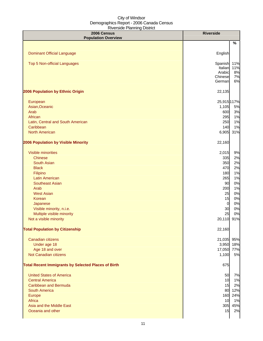| 2006 Census<br><b>Population Overview</b>                  | <b>Riverside</b>     |              |
|------------------------------------------------------------|----------------------|--------------|
|                                                            |                      | %            |
|                                                            |                      |              |
| <b>Dominant Official Language</b>                          | English              |              |
| <b>Top 5 Non-official Languages</b>                        | Spanish              | 11%          |
|                                                            | Italian              | 11%          |
|                                                            | Arabic<br>Chinese    | 8%<br>7%     |
|                                                            | German               | 6%           |
| 2006 Population by Ethnic Origin                           | 22,135               |              |
| European                                                   | 25,915 117%          |              |
| Asian, Oceanic                                             | 1,105                | 5%           |
| Arab                                                       | 600                  | 3%           |
| African                                                    | 295                  | 1%           |
| Latin, Central and South American                          | 250                  | 1%           |
| Caribbean                                                  | 140                  | 1%           |
| <b>North American</b>                                      | 6,905                | 31%          |
| 2006 Population by Visible Minority                        | 22,160               |              |
| Visible minorities                                         | 2,015                | 9%           |
| <b>Chinese</b>                                             | 335                  | 2%           |
| <b>South Asian</b>                                         | 350                  | 2%           |
| <b>Black</b>                                               | 470                  | 2%           |
| Filipino                                                   | 180                  | 1%           |
| Latin American                                             | 265                  | 1%           |
| <b>Southeast Asian</b>                                     | 90                   | 0%           |
| Arab                                                       | 200                  | 1%           |
| <b>West Asian</b>                                          | 25                   | 0%           |
| Korean                                                     | 15                   | 0%<br>0%     |
| Japanese<br>Visible minority, n.i.e.                       | $\overline{0}$<br>30 | 0%           |
| Multiple visible minority                                  | 25                   | 0%           |
| Not a visible minority                                     | 20,110               | 91%          |
| <b>Total Population by Citizenship</b>                     | 22,160               |              |
|                                                            |                      |              |
| Canadian citizens                                          | 21,035 95%           |              |
| Under age 18                                               | 17,050 77%           | 3,950 18%    |
| Age 18 and over<br>Not Canadian citizens                   | 1,100                | 5%           |
| <b>Total Recent Immigrants by Selected Places of Birth</b> | 675                  |              |
|                                                            |                      |              |
| <b>United States of America</b><br><b>Central America</b>  | 50                   | 7%           |
| <b>Caribbean and Bermuda</b>                               | 10                   | 1%           |
| <b>South America</b>                                       | 15                   | 2%<br>80 12% |
| Europe                                                     |                      | 160 24%      |
| Africa                                                     | 10                   | 1%           |
| Asia and the Middle East                                   | 305                  | 45%          |
| Oceania and other                                          | 15                   | 2%           |
|                                                            |                      |              |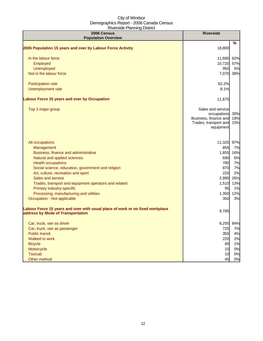| 2006 Census<br><b>Population Overview</b>                                                                          | <b>Riverside</b>                 |     |
|--------------------------------------------------------------------------------------------------------------------|----------------------------------|-----|
|                                                                                                                    |                                  | %   |
| 2006 Population 15 years and over by Labour Force Activity                                                         | 18,800                           |     |
| In the labour force                                                                                                | 11,685                           | 62% |
| Employed                                                                                                           | 10,720                           | 57% |
| Unemployed                                                                                                         | 950                              | 5%  |
| Not in the labour force                                                                                            | 7,070                            | 38% |
| Participation rate                                                                                                 | 62.2%                            |     |
| Unemployment rate                                                                                                  | 8.1%                             |     |
| Labour Force 15 years and over by Occupation                                                                       | 11,675                           |     |
| Top 3 major group                                                                                                  | Sales and service<br>occupations | 30% |
|                                                                                                                    | Business, finance and            | 19% |
|                                                                                                                    | Trades, transport and            | 15% |
|                                                                                                                    | equipment                        |     |
| All occupations                                                                                                    | 11,325                           | 97% |
| Management                                                                                                         | 855                              | 7%  |
| Business, finance and administrative                                                                               | 1,855                            | 16% |
| Natural and applied sciences                                                                                       | 690                              | 6%  |
| <b>Health occupations</b>                                                                                          | 780                              | 7%  |
| Social science, education, government and religion                                                                 | 870                              | 7%  |
| Art, culture, recreation and sport                                                                                 | 225                              | 2%  |
| Sales and service                                                                                                  | 2,990                            | 26% |
| Trades, transport and equipment operators and related                                                              | 1,510                            | 13% |
| Primary industry-specific                                                                                          | 95                               | 1%  |
| Processing, manufacturing and utilities                                                                            | 1,350                            | 12% |
| Occupation - Not applicable                                                                                        | 350                              | 3%  |
|                                                                                                                    |                                  |     |
| Labour Force 15 years and over with usual place of work or no fixed workplace<br>address by Mode of Transportation | 9,785                            |     |
| Car, truck, van as driver                                                                                          | 8,255                            | 84% |
| Car, truck, van as passenger                                                                                       | 725                              | 7%  |
| <b>Public transit</b>                                                                                              | 355                              | 4%  |
| Walked to work                                                                                                     | 220                              | 2%  |
| <b>Bicycle</b>                                                                                                     | 85                               | 1%  |
| Motorcycle                                                                                                         | 10                               | 0%  |
| <b>Taxicab</b>                                                                                                     | 10                               | 0%  |
| Other method                                                                                                       | 45                               | 0%  |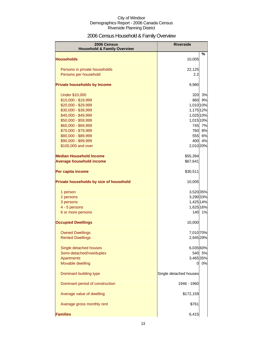# 2006 Census Household & Family Overview

| 2006 Census<br><b>Household &amp; Family Overview</b> | <b>Riverside</b>       |        |
|-------------------------------------------------------|------------------------|--------|
|                                                       |                        | %      |
| <b>Households</b>                                     | 10,005                 |        |
| Persons in private households                         | 22,125                 |        |
| Persons per household                                 | 2.2                    |        |
| <b>Private households by Income</b>                   | 9,980                  |        |
| <b>Under \$10,000</b>                                 | 320                    | 3%     |
| \$10,000 - \$19,999                                   | 860                    | 9%     |
| \$20,000 - \$29,999                                   | 1,010 10%              |        |
| \$30,000 - \$39,999                                   | 1,175 12%              |        |
| \$40,000 - \$49,999                                   | 1,025 10%              |        |
| \$50,000 - \$59,999                                   | 1,015 10%              |        |
| \$60,000 - \$69,999                                   | 745                    | 7%     |
| \$70,000 - \$79,999                                   | 760                    | 8%     |
| \$80,000 - \$89,999                                   | 555                    | 6%     |
| \$90,000 - \$99,999                                   | 400                    | 4%     |
| \$100,000 and over                                    | 2,010 20%              |        |
| <b>Median Household Income</b>                        | \$55,394               |        |
| <b>Average household income</b>                       | \$67,641               |        |
| Per capita income                                     | \$30,511               |        |
| Private households by size of household               | 10,005                 |        |
| 1 person                                              | 3,520 35%              |        |
| 2 persons                                             | 3,290 33%              |        |
| 3 persons                                             | 1,425 14%              |        |
| 4 - 5 persons                                         | 1,625 16%              |        |
| 6 or more persons                                     | 140                    | 1%     |
| <b>Occupied Dwellings</b>                             | 10,000                 |        |
| <b>Owned Dwellings</b>                                | 7,010 70%              |        |
| <b>Rented Dwellings</b>                               | 2,945 29%              |        |
|                                                       |                        |        |
| Single detached houses                                | 6,035 60%              |        |
| Semi-detached/row/duplex                              |                        | 540 5% |
| Apartments<br>Movable dwelling                        | 3,465 35%              | 0%     |
|                                                       | 0                      |        |
| Dominant building type                                | Single detached houses |        |
| Dominant period of construction                       | 1946 - 1960            |        |
| Average value of dwelling                             | \$172,159              |        |
| Average gross monthly rent                            | \$761                  |        |
| <b>Families</b>                                       | 6,415                  |        |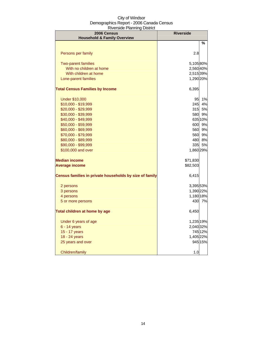| 2006 Census<br><b>Household &amp; Family Overview</b>   | <b>Riverside</b> |           |
|---------------------------------------------------------|------------------|-----------|
|                                                         |                  | %         |
| Persons per family                                      | 2.8              |           |
| <b>Two-parent families</b>                              | 5,10580%         |           |
| With no children at home                                | 2,560 40%        |           |
| With children at home                                   | 2,515 39%        |           |
| Lone-parent families                                    | 1,290 20%        |           |
| <b>Total Census Families by Income</b>                  | 6,395            |           |
| <b>Under \$10,000</b>                                   | 95               | 1%        |
| \$10,000 - \$19,999                                     | 245              | 4%        |
| \$20,000 - \$29,999                                     | 315              | 5%        |
| \$30,000 - \$39,999                                     | 580              | 9%        |
| \$40,000 - \$49,999                                     |                  | 635 10%   |
| \$50,000 - \$59,999                                     | 600              | 9%        |
| \$60,000 - \$69,999                                     | 560              | 9%        |
| \$70,000 - \$79,999                                     | 560              | 9%        |
| \$80,000 - \$89,999                                     | 480              | 8%        |
| \$90,000 - \$99,999                                     | 335I             | <b>5%</b> |
| \$100,000 and over                                      | 1,860 29%        |           |
| <b>Median income</b>                                    | \$71,830         |           |
| <b>Average income</b>                                   | \$82,503         |           |
| Census families in private households by size of family | 6,415            |           |
| 2 persons                                               | 3,395 53%        |           |
| 3 persons                                               | 1,390 22%        |           |
| 4 persons                                               | 1,180 18%        |           |
| 5 or more persons                                       |                  | 430 7%    |
| Total children at home by age                           | 6,450            |           |
| Under 6 years of age                                    | 1,235 19%        |           |
| 6 - 14 years                                            | 2,040 32%        |           |
| 15 - 17 years                                           |                  | 745 12%   |
| 18 - 24 years                                           | 1,405 22%        |           |
| 25 years and over                                       |                  | 945 15%   |
| Children/family                                         | 1.0              |           |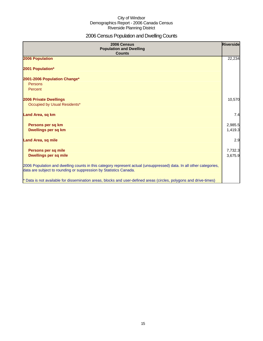# 2006 Census Population and Dwelling Counts

| 2006 Census<br><b>Population and Dwelling</b><br><b>Counts</b>                                                                                                                           | Riverside |
|------------------------------------------------------------------------------------------------------------------------------------------------------------------------------------------|-----------|
| 2006 Population                                                                                                                                                                          | 22,234    |
| 2001 Population*                                                                                                                                                                         |           |
| 2001-2006 Population Change*                                                                                                                                                             |           |
| Persons<br>Percent                                                                                                                                                                       |           |
|                                                                                                                                                                                          |           |
| <b>2006 Private Dwellings</b>                                                                                                                                                            | 10,570    |
| Occupied by Usual Residents*                                                                                                                                                             |           |
| Land Area, sq km                                                                                                                                                                         | 7.4       |
| Persons per sq km                                                                                                                                                                        | 2,985.5   |
| Dwellings per sq km                                                                                                                                                                      | 1,419.3   |
| <b>Land Area, sq mile</b>                                                                                                                                                                | 2.9       |
| Persons per sq mile                                                                                                                                                                      | 7,732.3   |
| <b>Dwellings per sq mile</b>                                                                                                                                                             | 3,675.9   |
| 2006 Population and dwelling counts in this category represent actual (unsuppressed) data. In all other categories,<br>data are subject to rounding or suppression by Statistics Canada. |           |
| * Data is not available for dissemination areas, blocks and user-defined areas (circles, polygons and drive-times)                                                                       |           |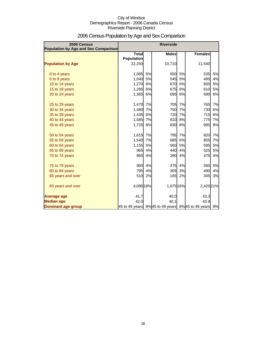| 2006 Census<br>Population by Age and Sex Comparison |                                   |    | <b>Riverside</b> |    |                                                  |    |
|-----------------------------------------------------|-----------------------------------|----|------------------|----|--------------------------------------------------|----|
|                                                     | <b>Total</b><br><b>Population</b> |    | <b>Males</b>     |    | <b>Females</b>                                   |    |
| <b>Population by Age</b>                            | 22,250                            |    | 10,710           |    | 11,540                                           |    |
| 0 to 4 years                                        | 1,085                             | 5% | 550              | 5% | 535                                              | 5% |
| 5 to 9 years                                        | 1,040                             | 5% | 545              | 5% | 495                                              | 4% |
| 10 to 14 years                                      | 1,270                             | 6% | 670              | 6% | 600                                              | 5% |
| 15 to 19 years                                      | 1,285                             | 6% | 675              | 6% | 610                                              | 5% |
| 20 to 24 years                                      | 1,385                             | 6% | 695              | 6% | 690                                              | 6% |
| 25 to 29 years                                      | 1,470                             | 7% | 705              | 7% | 765                                              | 7% |
| 30 to 34 years                                      | 1,480                             | 7% | 750              | 7% | 730                                              | 6% |
| 35 to 39 years                                      | 1,435                             | 6% | 720              | 7% | 715                                              | 6% |
| 40 to 44 years                                      | 1,585                             | 7% | 810              | 8% | 775                                              | 7% |
| 45 to 49 years                                      | 1,725                             | 8% | 830              | 8% | 895                                              | 8% |
| 50 to 54 years                                      | 1,615                             | 7% | 795              | 7% | 820                                              | 7% |
| 55 to 59 years                                      | 1,540                             | 7% | 685              | 6% | 855                                              | 7% |
| 60 to 64 years                                      | 1,155                             | 5% | 560              | 5% | 595                                              | 5% |
| 65 to 69 years                                      | 965                               | 4% | 440              | 4% | 525                                              | 5% |
| 70 to 74 years                                      | 865                               | 4% | 390              | 4% | 475                                              | 4% |
| 75 to 79 years                                      | 960                               | 4% | 375              | 4% | 585                                              | 5% |
| 80 to 84 years                                      | 795                               | 4% | 305              | 3% | 490                                              | 4% |
| 85 years and over                                   | 510                               | 2% | 165              | 2% | 345                                              | 3% |
| 65 years and over                                   | 4,095 18%                         |    | 1,675 16%        |    | 2,420 21%                                        |    |
| <b>Average age</b>                                  | 41.7                              |    | 40.0             |    | 43.3                                             |    |
| <b>Median age</b>                                   | 42.0                              |    | 40.1             |    | 43.9                                             |    |
| Dominant age group                                  |                                   |    |                  |    | 45 to 49 years 8%45 to 49 years 8%45 to 49 years | 8% |

# 2006 Census Population by Age and Sex Comparison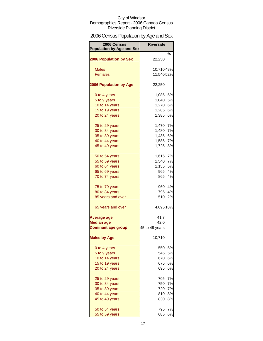# 2006 Census Population by Age and Sex

| 2006 Census<br><b>Population by Age and Sex</b> | <b>Riverside</b> |        |
|-------------------------------------------------|------------------|--------|
| <b>2006 Population by Sex</b>                   | 22,250           | %      |
| <b>Males</b>                                    | 10,71048%        |        |
| <b>Females</b>                                  | 11,54052%        |        |
|                                                 |                  |        |
| <b>2006 Population by Age</b>                   | 22,250           |        |
| 0 to 4 years                                    | 1,085            | 5%     |
| 5 to 9 years                                    | 1,040            | 5%     |
| 10 to 14 years                                  | 1,270            | 6%     |
| 15 to 19 years                                  | 1,285            | 6%     |
| 20 to 24 years                                  | 1,385            | 6%     |
| 25 to 29 years                                  | 1,470            | 7%     |
| 30 to 34 years                                  | 1,480            | 7%     |
| 35 to 39 years                                  | 1,435            | 6%     |
| 40 to 44 years                                  | 1,585            | 7%     |
| 45 to 49 years                                  | 1,725            | 8%     |
| 50 to 54 years                                  | 1,615            | 7%     |
| 55 to 59 years                                  | 1,540            | 7%     |
| 60 to 64 years                                  | 1,155            | 5%     |
| 65 to 69 years                                  | 965              | 4%     |
| 70 to 74 years                                  | 865              | 4%     |
| 75 to 79 years                                  |                  | 960 4% |
| 80 to 84 years                                  | 795              | 4%     |
| 85 years and over                               | 510              | 2%     |
| 65 years and over                               | 4,095 18%        |        |
| Average age                                     | 41.7             |        |
| <b>Median age</b>                               | 42.0             |        |
| <b>Dominant age group</b>                       | 45 to 49 years   |        |
| <b>Males by Age</b>                             | 10,710           |        |
| 0 to 4 years                                    | 550              | 5%     |
| 5 to 9 years                                    | 545              | 5%     |
| 10 to 14 years                                  | 670              | 6%     |
| 15 to 19 years                                  | 675              | 6%     |
| 20 to 24 years                                  | 695              | 6%     |
| 25 to 29 years                                  | 705              | 7%     |
| 30 to 34 years                                  | 750              | 7%     |
| 35 to 39 years                                  | 720              | 7%     |
| 40 to 44 years                                  | 810              | 8%     |
| 45 to 49 years                                  | 830              | 8%     |
| 50 to 54 years                                  | 795              | 7%     |
| 55 to 59 years                                  | 685              | 6%     |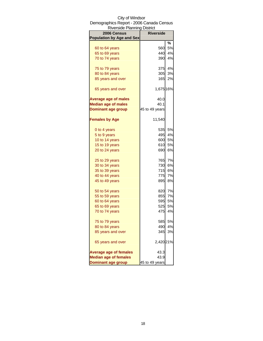| <b>Riverside Planning District</b> |                  |           |
|------------------------------------|------------------|-----------|
| 2006 Census                        | <b>Riverside</b> |           |
| <b>Population by Age and Sex</b>   |                  |           |
|                                    |                  | %         |
| 60 to 64 years                     | 560              | 5%        |
| 65 to 69 years                     | 440              | 4%        |
| 70 to 74 years                     | 390              | 4%        |
| 75 to 79 years                     | 375              | 4%        |
| 80 to 84 years                     | 305              | 3%        |
| 85 years and over                  | 165              | 2%        |
| 65 years and over                  | 1,675 16%        |           |
| <b>Average age of males</b>        | 40.0             |           |
| <b>Median age of males</b>         | 40.1             |           |
| <b>Dominant age group</b>          | 45 to 49 years   |           |
| <b>Females by Age</b>              | 11,540           |           |
| 0 to 4 years                       | 535              | 5%        |
| 5 to 9 years                       | 495              | 4%        |
| 10 to 14 years                     | 600              | 5%        |
| 15 to 19 years                     | 610              | 5%        |
| 20 to 24 years                     | 690              | <b>6%</b> |
| 25 to 29 years                     | 765              | 7%        |
| 30 to 34 years                     | 730              | 6%        |
| 35 to 39 years                     | 715              | 6%        |
| 40 to 44 years                     | 775              | 7%        |
| 45 to 49 years                     | 895              | 8%        |
| 50 to 54 years                     | 820              | 7%        |
| 55 to 59 years                     | 855              | 7%        |
| 60 to 64 years                     | 595              | 5%        |
| 65 to 69 years                     | 525              | 5%        |
| 70 to 74 years                     | 475              | 4%        |
| 75 to 79 years                     | 585              | 5%        |
| 80 to 84 years                     | 490              | 4%        |
| 85 years and over                  | 345              | 3%        |
| 65 years and over                  | 2,420 21%        |           |
| <b>Average age of females</b>      | 43.3             |           |
| <b>Median age of females</b>       | 43.9             |           |
| <b>Dominant age group</b>          | 45 to 49 years   |           |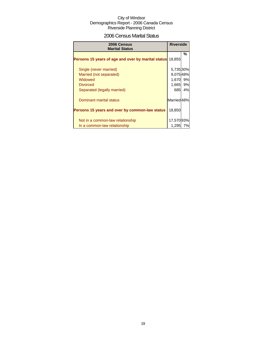### 2006 Census Marital Status

| 2006 Census<br><b>Marital Status</b>               | <b>Riverside</b>       |    |
|----------------------------------------------------|------------------------|----|
| Persons 15 years of age and over by marital status | 18.855                 | %  |
| Single (never married)                             | 5,735 30%              |    |
| Married (not separated)                            | 9,07548%               |    |
| Widowed                                            | 1,670 9%               |    |
| <b>Divorced</b>                                    | 1,665 9%               |    |
| Separated (legally married)                        | 685                    | 4% |
| Dominant marital status                            | Married <sub>48%</sub> |    |
| Persons 15 years and over by common-law status     | 18,850                 |    |
| Not in a common-law relationship                   | 17,570 93%             |    |
| In a common-law relationship                       | 1,295                  | 7% |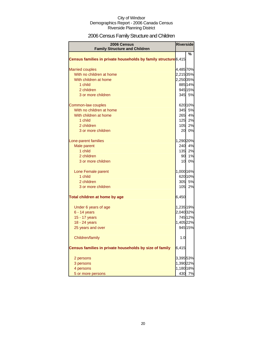# 2006 Census Family Structure and Children

| <b>2006 Census</b><br><b>Family Structure and Children</b>      | <b>Riverside</b> |         |
|-----------------------------------------------------------------|------------------|---------|
|                                                                 |                  | ℅       |
| Census families in private households by family structure 6,415 |                  |         |
|                                                                 |                  |         |
| <b>Married couples</b>                                          | 4,485 70%        |         |
| With no children at home                                        | 2,215 35%        |         |
| With children at home                                           | 2,25035%         |         |
| 1 child                                                         |                  | 885 14% |
| 2 children                                                      |                  | 945 15% |
| 3 or more children                                              |                  | 345 5%  |
|                                                                 |                  |         |
| Common-law couples                                              |                  | 620 10% |
| With no children at home                                        |                  | 345 5%  |
| With children at home                                           |                  | 265 4%  |
| 1 child                                                         |                  | 125 2%  |
| 2 children                                                      |                  | 105 2%  |
| 3 or more children                                              |                  | 20 0%   |
|                                                                 |                  |         |
| Lone-parent families                                            | 1,290 20%        |         |
| Male parent                                                     |                  | 240 4%  |
| 1 child                                                         |                  | 135 2%  |
| 2 children                                                      | 90               | 1%      |
| 3 or more children                                              |                  | 10 0%   |
|                                                                 |                  |         |
| Lone Female parent                                              | 1,000 16%        |         |
| 1 child                                                         |                  | 620 10% |
| 2 children                                                      |                  | 305 5%  |
| 3 or more children                                              |                  | 105 2%  |
|                                                                 |                  |         |
| Total children at home by age                                   | 6,450            |         |
| Under 6 years of age                                            | 1,235 19%        |         |
| $6 - 14$ years                                                  | 2,040 32%        |         |
| 15 - 17 years                                                   |                  | 745 12% |
| 18 - 24 years                                                   | 1,405 22%        |         |
| 25 years and over                                               |                  | 945 15% |
|                                                                 |                  |         |
| Children/family                                                 | 1.0              |         |
|                                                                 |                  |         |
| Census families in private households by size of family         | 6,415            |         |
| 2 persons                                                       | 3,39553%         |         |
| 3 persons                                                       | 1,390 22%        |         |
| 4 persons                                                       | 1,180 18%        |         |
| 5 or more persons                                               | 430              | 7%      |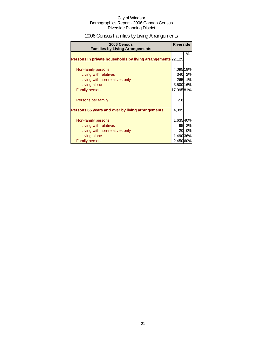# 2006 Census Families by Living Arrangements

| 2006 Census<br><b>Families by Living Arrangements</b>       | <b>Riverside</b> |        |
|-------------------------------------------------------------|------------------|--------|
|                                                             |                  | %      |
| Persons in private households by living arrangements 22,125 |                  |        |
|                                                             |                  |        |
| Non-family persons                                          | 4,095 19%        |        |
| Living with relatives                                       |                  | 340 2% |
| Living with non-relatives only                              |                  | 265 1% |
| Living alone                                                | 3,500 16%        |        |
| <b>Family persons</b>                                       | 17,99581%        |        |
| Persons per family                                          | 2.8              |        |
| Persons 65 years and over by living arrangements            | 4,095            |        |
| Non-family persons                                          | 1,63540%         |        |
|                                                             |                  | 95 2%  |
| Living with relatives                                       |                  |        |
| Living with non-relatives only                              |                  | 20 0%  |
| Living alone                                                | 1,490 36%        |        |
| <b>Family persons</b>                                       | 2,450 60%        |        |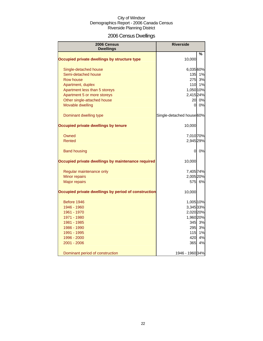# 2006 Census Dwellings

| 2006 Census<br><b>Dwellings</b>                      | <b>Riverside</b>          |    |
|------------------------------------------------------|---------------------------|----|
|                                                      |                           | %  |
| Occupied private dwellings by structure type         | 10,000                    |    |
| Single-detached house                                | 6,035 60%                 |    |
| Semi-detached house                                  | $135$                     | 1% |
| Row house                                            | 275                       | 3% |
| Apartment, duplex                                    | 110                       | 1% |
| Apartment less than 5 storeys                        | 1,050 10%                 |    |
| Apartment 5 or more storeys                          | 2,415 24%                 |    |
| Other single-attached house                          | 20 <sup>1</sup>           | 0% |
| Movable dwelling                                     | 0l                        | 0% |
| Dominant dwelling type                               | Single-detached house 60% |    |
| Occupied private dwellings by tenure                 | 10,000                    |    |
| Owned                                                | 7,010 70%                 |    |
| Rented                                               | 2,945 29%                 |    |
| <b>Band housing</b>                                  | 0                         | 0% |
| Occupied private dwellings by maintenance required   | 10,000                    |    |
| Regular maintenance only                             | 7,405 74%                 |    |
| Minor repairs                                        | 2,005 20%                 |    |
| <b>Major repairs</b>                                 | 575                       | 6% |
| Occupied private dwellings by period of construction | 10,000                    |    |
| Before 1946                                          | 1,005 10%                 |    |
| 1946 - 1960                                          | 3,345 33%                 |    |
| 1961 - 1970                                          | 2,020 20%                 |    |
| 1971 - 1980                                          | 1,960 20%                 |    |
| 1981 - 1985                                          | 345                       | 3% |
| 1986 - 1990                                          | 295                       | 3% |
| 1991 - 1995                                          | 115                       | 1% |
| 1996 - 2000                                          | 420                       | 4% |
| 2001 - 2006                                          | 365                       | 4% |
| Dominant period of construction                      | 1946 - 1960 34%           |    |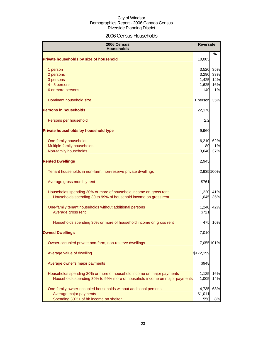### 2006 Census Households

| 2006 Census<br><b>Households</b>                                              | <b>Riverside</b> |            |
|-------------------------------------------------------------------------------|------------------|------------|
| Private households by size of household                                       | 10,005           | ℅          |
| 1 person                                                                      | 3,520            | 35%        |
| 2 persons                                                                     | 3,290            | 33%        |
| 3 persons                                                                     | 1,425            | 14%        |
| 4 - 5 persons                                                                 | 1,625            | 16%        |
| 6 or more persons                                                             | 140              | 1%         |
| Dominant household size                                                       | 1 person         | 35%        |
| <b>Persons in households</b>                                                  | 22,170           |            |
| Persons per household                                                         | 2.2              |            |
| Private households by household type                                          | 9,960            |            |
| One-family households                                                         | 6,210            | 62%        |
| Multiple-family households                                                    | 80               | 1%         |
| Non-family households                                                         | 3,640            | 37%        |
| <b>Rented Dwellings</b>                                                       | 2,945            |            |
| Tenant households in non-farm, non-reserve private dwellings                  |                  | 2,935 100% |
| Average gross monthly rent                                                    | \$761            |            |
| Households spending 30% or more of household income on gross rent             | 1,220            | 41%        |
| Households spending 30 to 99% of household income on gross rent               | 1,045            | 35%        |
| One-family tenant households without additional persons<br>Average gross rent | 1,240<br>\$721   | 42%        |
| Households spending 30% or more of household income on gross rent             | 475              | 16%        |
| <b>Owned Dwellings</b>                                                        | 7,010            |            |
| Owner-occupied private non-farm, non-reserve dwellings                        |                  | 7,055 101% |
| Average value of dwelling                                                     | \$172,159        |            |
| Average owner's major payments                                                | \$948            |            |
| Households spending 30% or more of household income on major payments         | 1,125            | 16%        |
| Households spending 30% to 99% more of household income on major payments     | 1,005            | 14%        |
| One-family owner-occupied households without additional persons               | 4,735            | 68%        |
| Average major payments                                                        | \$1,011          |            |
| Spending 30%+ of hh income on shelter                                         | 550              | 8%         |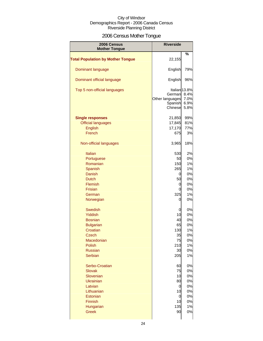# 2006 Census Mother Tongue

| 2006 Census<br><b>Mother Tongue</b>      | <b>Riverside</b>                                |                                                          |
|------------------------------------------|-------------------------------------------------|----------------------------------------------------------|
|                                          |                                                 | %                                                        |
| <b>Total Population by Mother Tongue</b> | 22,155                                          |                                                          |
| Dominant language                        | English                                         | 79%                                                      |
| Dominant official language               | English                                         | 96%                                                      |
| Top 5 non-official languages             | German<br>Other languages<br>Spanish<br>Chinese | Italian <sub>13.8%</sub><br>8.4%<br>7.0%<br>6.9%<br>5.8% |
| <b>Single responses</b>                  | 21,850                                          | 99%                                                      |
| <b>Official languages</b>                | 17,845                                          | 81%                                                      |
| English                                  | 17,170                                          | 77%                                                      |
| French                                   | 675                                             | 3%                                                       |
|                                          |                                                 |                                                          |
| Non-official languages                   | 3,965                                           | 18%                                                      |
| <b>Italian</b>                           | 530                                             | 2%                                                       |
| Portuguese                               | 50                                              | 0%                                                       |
| Romanian                                 |                                                 |                                                          |
|                                          | 150                                             | 1%                                                       |
| Spanish                                  | 265                                             | 1%                                                       |
| Danish                                   | 0                                               | 0%                                                       |
| <b>Dutch</b>                             | 50                                              | 0%                                                       |
| Flemish                                  | 0                                               | 0%                                                       |
| Frisian                                  | 0                                               | 0%                                                       |
| German                                   | 325                                             | 1%                                                       |
| Norwegian                                | 0                                               | 0%                                                       |
| Swedish                                  | 0                                               | 0%                                                       |
| <b>Yiddish</b>                           | 10                                              | 0%                                                       |
| <b>Bosnian</b>                           | 40                                              | 0%                                                       |
| <b>Bulgarian</b>                         | 65                                              | 0%                                                       |
| Croatian                                 |                                                 |                                                          |
|                                          | 130                                             | 1%                                                       |
| <b>Czech</b>                             | 35                                              | 0%                                                       |
| Macedonian                               | 75                                              | 0%                                                       |
| Polish                                   | 210                                             | 1%                                                       |
| <b>Russian</b>                           | 30                                              | 0%                                                       |
| <b>Serbian</b>                           | 205                                             | 1%                                                       |
| Serbo-Croatian                           | 60                                              | 0%                                                       |
| <b>Slovak</b>                            | 75                                              | 0%                                                       |
| Slovenian                                | 10                                              | 0%                                                       |
| <b>Ukrainian</b>                         | 80                                              | 0%                                                       |
| Latvian                                  | 0                                               | 0%                                                       |
| Lithuanian                               | 10                                              | 0%                                                       |
| Estonian                                 | 0                                               | 0%                                                       |
|                                          | 10                                              |                                                          |
| Finnish                                  |                                                 | 0%                                                       |
| Hungarian                                | 135                                             | 1%                                                       |
| <b>Greek</b>                             | 90                                              | 0%                                                       |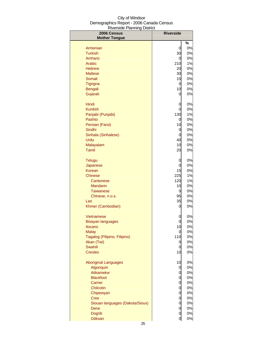| 2006 Census<br><b>Mother Tongue</b>          | <b>Riverside</b> |          |
|----------------------------------------------|------------------|----------|
|                                              |                  | $\%$     |
| Armenian                                     | 0                | 0%       |
| <b>Turkish</b>                               | 30               | 0%       |
| Amharic                                      | 0                | 0%       |
| <b>Arabic</b>                                | 210              | 1%       |
| <b>Hebrew</b>                                | 20               | 0%       |
| <b>Maltese</b>                               | 30               | 0%       |
| Somali                                       | 15               | 0%       |
| Tigrigna                                     | 0                | 0%       |
| Bengali                                      | 10               | 0%       |
| Gujarati                                     | 0                | 0%       |
| Hindi                                        | 0                | 0%       |
| <b>Kurdish</b>                               | 0                | 0%       |
| Panjabi (Punjabi)                            | 130              | 1%       |
| Pashto                                       | 0                | 0%       |
| Persian (Farsi)                              | 10               | 0%       |
| Sindhi                                       | 0                | 0%       |
| Sinhala (Sinhalese)<br>Urdu                  | 0<br>40          | 0%<br>0% |
| Malayalam                                    | 10               | 0%       |
| Tamil                                        | 20               | 0%       |
|                                              |                  |          |
| <b>Telugu</b>                                | 0                | 0%       |
| Japanese                                     | 0                | 0%       |
| Korean                                       | 15               | 0%       |
| Chinese                                      | 225              | 1%       |
| Cantonese                                    | 120              | 1%       |
| <b>Mandarin</b>                              | 10               | 0%       |
| <b>Taiwanese</b>                             | 0                | 0%       |
| Chinese, n.o.s.<br>Lao                       | 95<br>35         | 0%<br>0% |
| Khmer (Cambodian)                            | 0                | 0%       |
|                                              |                  |          |
| Vietnamese                                   | 0                | 0%       |
| Bisayan languages                            | 0                | 0%       |
| Ilocano                                      | 10               | 0%       |
| <b>Malay</b><br>Tagalog (Pilipino, Filipino) | 0<br>110         | 0%<br>0% |
| Akan (Twi)                                   | 0                | 0%       |
| Swahili                                      | 0                | 0%       |
| <b>Creoles</b>                               | 10               | 0%       |
|                                              |                  |          |
| <b>Aboriginal Languages</b>                  | 10               | 0%       |
| Algonquin<br>Atikamekw                       | 0                | 0%<br>0% |
| <b>Blackfoot</b>                             | 0<br>0           | 0%       |
| Carrier                                      | 0                | 0%       |
| Chilcotin                                    | 0                | 0%       |
| Chipewyan                                    | 0                | 0%       |
| <b>Cree</b>                                  | 0                | 0%       |
| Siouan languages (Dakota/Sioux)              | 0                | 0%       |
| Dene                                         | 0                | 0%       |
| <b>Dogrib</b>                                | 0                | 0%       |
| Gitksan                                      | 0                | 0%       |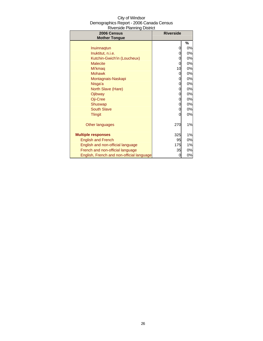| 2006 Census<br><b>Mother Tongue</b> | <b>Riverside</b> |    |
|-------------------------------------|------------------|----|
|                                     |                  | %  |
| Inuinnagtun                         | 0                | 0% |
| Inuktitut, n.i.e.                   | 0                | 0% |
| Kutchin-Gwich'in (Loucheux)         | 0                | 0% |
| <b>Malecite</b>                     | 0                | 0% |
| Mi'kmag                             | 10               | 0% |
| <b>Mohawk</b>                       | 0                | 0% |
| Montagnais-Naskapi                  | 0                | 0% |
| Nisga'a                             | 0                | 0% |
| North Slave (Hare)                  | 0                | 0% |
| Ojibway                             | 0                | 0% |
| Oji-Cree                            | 0                | 0% |
| Shuswap                             | 0                | 0% |
| <b>South Slave</b>                  | 0                | 0% |
| <b>Tlingit</b>                      | 0                | 0% |
| Other languages                     | 270              | 1% |
| <b>Multiple responses</b>           | 325              | 1% |
| <b>English and French</b>           | 95               | 0% |
| English and non-official language   | 175              | 1% |
| French and non-official language    | 35               | 0% |

English and non-official language 175 1% French and non-official language **1998** 125 125 0% English, French and non-official language 0 0 0%

# $C_{i,t}$  of Minds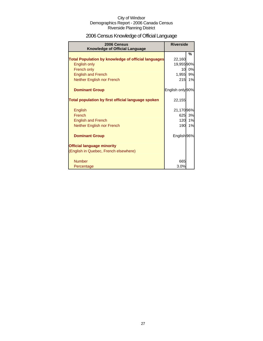# 2006 Census Knowledge of Official Language

| 2006 Census<br><b>Knowledge of Official Language</b>       | <b>Riverside</b> |    |
|------------------------------------------------------------|------------------|----|
|                                                            |                  | %  |
| <b>Total Population by knowledge of official languages</b> | 22,160           |    |
| English only                                               | 19,955 90%       |    |
| French only                                                | 10               | 0% |
| <b>English and French</b>                                  | 1,955            | 9% |
| Neither English nor French                                 | 215              | 1% |
| <b>Dominant Group</b>                                      | English only 90% |    |
| Total population by first official language spoken         | 22,155           |    |
| English                                                    | 21,17096%        |    |
| French                                                     | 625              | 3% |
| <b>English and French</b>                                  | 120              | 1% |
| Neither English nor French                                 | 190              | 1% |
| <b>Dominant Group</b>                                      | English 96%      |    |
| <b>Official language minority</b>                          |                  |    |
| (English in Quebec, French elsewhere)                      |                  |    |
| <b>Number</b>                                              | 665              |    |
| Percentage                                                 | 3.0%             |    |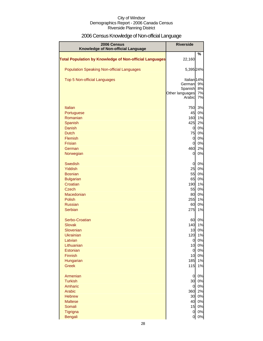# 2006 Census Knowledge of Non-official Language

| 2006 Census<br>Knowledge of Non-official Language              | <b>Riverside</b>      |          |
|----------------------------------------------------------------|-----------------------|----------|
|                                                                |                       | %        |
| <b>Total Population by Knowledge of Non-official Languages</b> | 22,160                |          |
| <b>Population Speaking Non-official Languages</b>              | 5,395 24%             |          |
| <b>Top 5 Non-official Languages</b>                            | Italian 14%           |          |
|                                                                | German<br>Spanish     | 9%<br>8% |
|                                                                | Other languages       | 7%       |
|                                                                | Arabic                | 7%       |
| <b>Italian</b>                                                 | 750                   | 3%       |
| Portuguese                                                     | 45                    | 0%       |
| Romanian                                                       | 160                   | 1%       |
| Spanish                                                        | 425                   | 2%       |
| <b>Danish</b><br><b>Dutch</b>                                  | $\overline{O}$<br>75  | 0%<br>0% |
| Flemish                                                        | $\overline{0}$        | 0%       |
| Frisian                                                        | $\overline{0}$        | 0%       |
| German                                                         | 460                   | 2%       |
| Norwegian                                                      | 0                     | 0%       |
| <b>Swedish</b>                                                 | 0                     | 0%       |
| <b>Yiddish</b>                                                 | 25                    | 0%       |
| <b>Bosnian</b>                                                 | 55                    | 0%       |
| <b>Bulgarian</b>                                               | 65                    | 0%       |
| Croatian<br><b>Czech</b>                                       | 190<br>55             | 1%<br>0% |
| Macedonian                                                     | 80                    | 0%       |
| Polish                                                         | 255                   | 1%       |
| <b>Russian</b>                                                 | 60                    | 0%       |
| <b>Serbian</b>                                                 | 275                   | 1%       |
| Serbo-Croatian                                                 | 60                    | 0%       |
| <b>Slovak</b>                                                  | 140                   | 1%       |
| Slovenian                                                      | 10                    | 0%       |
| <b>Ukrainian</b><br>Latvian                                    | 120<br>0              | 1%<br>0% |
| Lithuanian                                                     | 10                    | 0%       |
| Estonian                                                       | $\overline{0}$        | 0%       |
| Finnish                                                        | 10                    | 0%       |
| Hungarian                                                      | 185                   | 1%       |
| <b>Greek</b>                                                   | 115                   | 1%       |
| Armenian                                                       | $\overline{0}$        | 0%       |
| <b>Turkish</b>                                                 | 30                    | 0%       |
| Amharic<br>Arabic                                              | $\overline{0}$<br>360 | 0%<br>2% |
| <b>Hebrew</b>                                                  | 30                    | 0%       |
| <b>Maltese</b>                                                 | 40                    | 0%       |
| Somali                                                         | 15                    | 0%       |
| Tigrigna                                                       | $\overline{0}$        | 0%       |
| <b>Bengali</b>                                                 | 0                     | $0\%$    |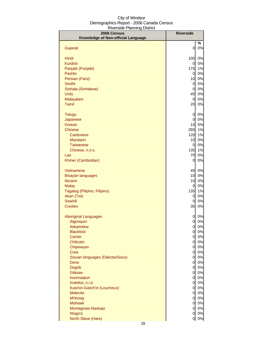| Knowledge of Non-official Language<br>%<br>Gujarati<br>0<br>0%<br>Hindi<br>100<br>0%<br><b>Kurdish</b><br>0%<br>0<br>175<br>1%<br>Panjabi (Punjabi)<br>0%<br>Pashto<br>$\overline{0}$<br>10<br>0%<br>Persian (Farsi)<br>0%<br>Sindhi<br>$\overline{0}$<br>0%<br>Sinhala (Sinhalese)<br>$\overline{0}$<br>45<br>0%<br>Urdu<br>0%<br>Malayalam<br>$\overline{0}$<br><b>Tamil</b><br>20<br>0%<br>0<br>0%<br>Telugu<br>$\overline{0}$<br>0%<br>Japanese<br><b>Korean</b><br>15<br>0%<br>265<br>1%<br><b>Chinese</b><br>120<br>1%<br>Cantonese<br>10<br>0%<br><b>Mandarin</b><br>0%<br><b>Taiwanese</b><br>0<br>135<br>1%<br>Chinese, n.o.s.<br>70<br>0%<br>Lao<br>Khmer (Cambodian)<br>0<br>0%<br>45<br>0%<br>Vietnamese<br>0%<br>10<br><b>Bisayan languages</b><br>0%<br>Ilocano<br>10<br>0%<br><b>Malay</b><br>0<br>1%<br>Tagalog (Pilipino, Filipino)<br>135<br>0%<br>Akan (Twi)<br>0<br>Swahili<br>0<br>0%<br>35<br><b>Creoles</b><br>0%<br><b>Aboriginal Languages</b><br>0<br>0%<br>0%<br>Algonquin<br>0<br><b>Atikamekw</b><br>$\overline{0}$<br>0%<br><b>Blackfoot</b><br>$\overline{0}$<br>0%<br>$\overline{0}$<br>0%<br>Carrier<br>0%<br>Chilcotin<br>$\overline{0}$ |
|----------------------------------------------------------------------------------------------------------------------------------------------------------------------------------------------------------------------------------------------------------------------------------------------------------------------------------------------------------------------------------------------------------------------------------------------------------------------------------------------------------------------------------------------------------------------------------------------------------------------------------------------------------------------------------------------------------------------------------------------------------------------------------------------------------------------------------------------------------------------------------------------------------------------------------------------------------------------------------------------------------------------------------------------------------------------------------------------------------------------------------------------------------------------------|
|                                                                                                                                                                                                                                                                                                                                                                                                                                                                                                                                                                                                                                                                                                                                                                                                                                                                                                                                                                                                                                                                                                                                                                            |
|                                                                                                                                                                                                                                                                                                                                                                                                                                                                                                                                                                                                                                                                                                                                                                                                                                                                                                                                                                                                                                                                                                                                                                            |
|                                                                                                                                                                                                                                                                                                                                                                                                                                                                                                                                                                                                                                                                                                                                                                                                                                                                                                                                                                                                                                                                                                                                                                            |
|                                                                                                                                                                                                                                                                                                                                                                                                                                                                                                                                                                                                                                                                                                                                                                                                                                                                                                                                                                                                                                                                                                                                                                            |
|                                                                                                                                                                                                                                                                                                                                                                                                                                                                                                                                                                                                                                                                                                                                                                                                                                                                                                                                                                                                                                                                                                                                                                            |
|                                                                                                                                                                                                                                                                                                                                                                                                                                                                                                                                                                                                                                                                                                                                                                                                                                                                                                                                                                                                                                                                                                                                                                            |
|                                                                                                                                                                                                                                                                                                                                                                                                                                                                                                                                                                                                                                                                                                                                                                                                                                                                                                                                                                                                                                                                                                                                                                            |
|                                                                                                                                                                                                                                                                                                                                                                                                                                                                                                                                                                                                                                                                                                                                                                                                                                                                                                                                                                                                                                                                                                                                                                            |
|                                                                                                                                                                                                                                                                                                                                                                                                                                                                                                                                                                                                                                                                                                                                                                                                                                                                                                                                                                                                                                                                                                                                                                            |
|                                                                                                                                                                                                                                                                                                                                                                                                                                                                                                                                                                                                                                                                                                                                                                                                                                                                                                                                                                                                                                                                                                                                                                            |
|                                                                                                                                                                                                                                                                                                                                                                                                                                                                                                                                                                                                                                                                                                                                                                                                                                                                                                                                                                                                                                                                                                                                                                            |
|                                                                                                                                                                                                                                                                                                                                                                                                                                                                                                                                                                                                                                                                                                                                                                                                                                                                                                                                                                                                                                                                                                                                                                            |
|                                                                                                                                                                                                                                                                                                                                                                                                                                                                                                                                                                                                                                                                                                                                                                                                                                                                                                                                                                                                                                                                                                                                                                            |
|                                                                                                                                                                                                                                                                                                                                                                                                                                                                                                                                                                                                                                                                                                                                                                                                                                                                                                                                                                                                                                                                                                                                                                            |
|                                                                                                                                                                                                                                                                                                                                                                                                                                                                                                                                                                                                                                                                                                                                                                                                                                                                                                                                                                                                                                                                                                                                                                            |
|                                                                                                                                                                                                                                                                                                                                                                                                                                                                                                                                                                                                                                                                                                                                                                                                                                                                                                                                                                                                                                                                                                                                                                            |
|                                                                                                                                                                                                                                                                                                                                                                                                                                                                                                                                                                                                                                                                                                                                                                                                                                                                                                                                                                                                                                                                                                                                                                            |
|                                                                                                                                                                                                                                                                                                                                                                                                                                                                                                                                                                                                                                                                                                                                                                                                                                                                                                                                                                                                                                                                                                                                                                            |
|                                                                                                                                                                                                                                                                                                                                                                                                                                                                                                                                                                                                                                                                                                                                                                                                                                                                                                                                                                                                                                                                                                                                                                            |
|                                                                                                                                                                                                                                                                                                                                                                                                                                                                                                                                                                                                                                                                                                                                                                                                                                                                                                                                                                                                                                                                                                                                                                            |
|                                                                                                                                                                                                                                                                                                                                                                                                                                                                                                                                                                                                                                                                                                                                                                                                                                                                                                                                                                                                                                                                                                                                                                            |
|                                                                                                                                                                                                                                                                                                                                                                                                                                                                                                                                                                                                                                                                                                                                                                                                                                                                                                                                                                                                                                                                                                                                                                            |
|                                                                                                                                                                                                                                                                                                                                                                                                                                                                                                                                                                                                                                                                                                                                                                                                                                                                                                                                                                                                                                                                                                                                                                            |
|                                                                                                                                                                                                                                                                                                                                                                                                                                                                                                                                                                                                                                                                                                                                                                                                                                                                                                                                                                                                                                                                                                                                                                            |
|                                                                                                                                                                                                                                                                                                                                                                                                                                                                                                                                                                                                                                                                                                                                                                                                                                                                                                                                                                                                                                                                                                                                                                            |
|                                                                                                                                                                                                                                                                                                                                                                                                                                                                                                                                                                                                                                                                                                                                                                                                                                                                                                                                                                                                                                                                                                                                                                            |
|                                                                                                                                                                                                                                                                                                                                                                                                                                                                                                                                                                                                                                                                                                                                                                                                                                                                                                                                                                                                                                                                                                                                                                            |
|                                                                                                                                                                                                                                                                                                                                                                                                                                                                                                                                                                                                                                                                                                                                                                                                                                                                                                                                                                                                                                                                                                                                                                            |
|                                                                                                                                                                                                                                                                                                                                                                                                                                                                                                                                                                                                                                                                                                                                                                                                                                                                                                                                                                                                                                                                                                                                                                            |
|                                                                                                                                                                                                                                                                                                                                                                                                                                                                                                                                                                                                                                                                                                                                                                                                                                                                                                                                                                                                                                                                                                                                                                            |
|                                                                                                                                                                                                                                                                                                                                                                                                                                                                                                                                                                                                                                                                                                                                                                                                                                                                                                                                                                                                                                                                                                                                                                            |
|                                                                                                                                                                                                                                                                                                                                                                                                                                                                                                                                                                                                                                                                                                                                                                                                                                                                                                                                                                                                                                                                                                                                                                            |
|                                                                                                                                                                                                                                                                                                                                                                                                                                                                                                                                                                                                                                                                                                                                                                                                                                                                                                                                                                                                                                                                                                                                                                            |
|                                                                                                                                                                                                                                                                                                                                                                                                                                                                                                                                                                                                                                                                                                                                                                                                                                                                                                                                                                                                                                                                                                                                                                            |
|                                                                                                                                                                                                                                                                                                                                                                                                                                                                                                                                                                                                                                                                                                                                                                                                                                                                                                                                                                                                                                                                                                                                                                            |
|                                                                                                                                                                                                                                                                                                                                                                                                                                                                                                                                                                                                                                                                                                                                                                                                                                                                                                                                                                                                                                                                                                                                                                            |
|                                                                                                                                                                                                                                                                                                                                                                                                                                                                                                                                                                                                                                                                                                                                                                                                                                                                                                                                                                                                                                                                                                                                                                            |
| 0%<br>Chipewyan<br>$\overline{0}$<br>0%<br>Cree<br><sub>0</sub>                                                                                                                                                                                                                                                                                                                                                                                                                                                                                                                                                                                                                                                                                                                                                                                                                                                                                                                                                                                                                                                                                                            |
| 0%<br>Siouan languages (Dakota/Sioux)<br><sub>0</sub>                                                                                                                                                                                                                                                                                                                                                                                                                                                                                                                                                                                                                                                                                                                                                                                                                                                                                                                                                                                                                                                                                                                      |
| 0%<br>Dene<br><sub>0</sub>                                                                                                                                                                                                                                                                                                                                                                                                                                                                                                                                                                                                                                                                                                                                                                                                                                                                                                                                                                                                                                                                                                                                                 |
| 0%<br><b>Dogrib</b><br>$\overline{0}$                                                                                                                                                                                                                                                                                                                                                                                                                                                                                                                                                                                                                                                                                                                                                                                                                                                                                                                                                                                                                                                                                                                                      |
| Gitksan<br>$\overline{0}$<br>0%                                                                                                                                                                                                                                                                                                                                                                                                                                                                                                                                                                                                                                                                                                                                                                                                                                                                                                                                                                                                                                                                                                                                            |
| $\overline{0}$<br>0%<br>Inuinnaqtun                                                                                                                                                                                                                                                                                                                                                                                                                                                                                                                                                                                                                                                                                                                                                                                                                                                                                                                                                                                                                                                                                                                                        |
| $\overline{0}$<br>0%<br>Inuktitut, n.i.e.                                                                                                                                                                                                                                                                                                                                                                                                                                                                                                                                                                                                                                                                                                                                                                                                                                                                                                                                                                                                                                                                                                                                  |
| Kutchin-Gwich'in (Loucheux)<br>$\overline{0}$<br>0%                                                                                                                                                                                                                                                                                                                                                                                                                                                                                                                                                                                                                                                                                                                                                                                                                                                                                                                                                                                                                                                                                                                        |
| $\overline{0}$<br>0%<br><b>Malecite</b>                                                                                                                                                                                                                                                                                                                                                                                                                                                                                                                                                                                                                                                                                                                                                                                                                                                                                                                                                                                                                                                                                                                                    |
| $\overline{O}$<br>0%<br>Mi'kmaq                                                                                                                                                                                                                                                                                                                                                                                                                                                                                                                                                                                                                                                                                                                                                                                                                                                                                                                                                                                                                                                                                                                                            |
| $\overline{0}$<br><b>Mohawk</b><br>0%                                                                                                                                                                                                                                                                                                                                                                                                                                                                                                                                                                                                                                                                                                                                                                                                                                                                                                                                                                                                                                                                                                                                      |
| $\overline{O}$<br>0%<br>Montagnais-Naskapi<br>Nisga'a<br>0%<br>0                                                                                                                                                                                                                                                                                                                                                                                                                                                                                                                                                                                                                                                                                                                                                                                                                                                                                                                                                                                                                                                                                                           |
| North Slave (Hare)<br>$0\%$<br>$\overline{0}$                                                                                                                                                                                                                                                                                                                                                                                                                                                                                                                                                                                                                                                                                                                                                                                                                                                                                                                                                                                                                                                                                                                              |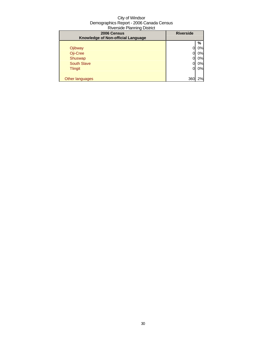| 2006 Census<br>Knowledge of Non-official Language | <b>Riverside</b> |    |
|---------------------------------------------------|------------------|----|
|                                                   |                  | %  |
| Ojibway                                           |                  | 0% |
| Oji-Cree                                          |                  | 0% |
| Shuswap                                           |                  | 0% |
| <b>South Slave</b>                                |                  | 0% |
| <b>Tlingit</b>                                    | 0                | 0% |
|                                                   |                  |    |
| Other languages                                   | 360              | 2% |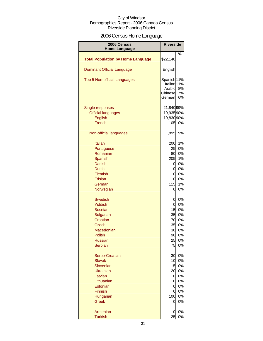# 2006 Census Home Language

| <b>2006 Census</b><br><b>Home Language</b> | <b>Riverside</b>       |          |
|--------------------------------------------|------------------------|----------|
|                                            |                        | %        |
| <b>Total Population by Home Language</b>   | \$22,140               |          |
| <b>Dominant Official Language</b>          | English                |          |
| <b>Top 5 Non-official Languages</b>        | Spanish <sup>11%</sup> |          |
|                                            | Italian <sub>11%</sub> |          |
|                                            | Arabic                 | 8%       |
|                                            | Chinese<br>German      | 7%<br>6% |
|                                            |                        |          |
| Single responses                           | 21,840 99%             |          |
| <b>Official languages</b>                  | 19,935 90%             |          |
| <b>English</b>                             | 19,830 90%             |          |
| French                                     | 10 <sub>5</sub>        | 0%       |
|                                            |                        |          |
| Non-official languages                     | 1,895                  | 9%       |
|                                            |                        |          |
| <b>Italian</b>                             | 200                    | 1%       |
| Portuguese                                 | 25                     | 0%       |
| Romanian                                   | 80                     | 0%       |
| Spanish                                    | 205                    | 1%       |
| <b>Danish</b>                              | 0                      | 0%       |
| Dutch<br>Flemish                           | <sub>0</sub><br>0l     | 0%       |
| Frisian                                    | <sub>0</sub>           | 0%<br>0% |
| German                                     | 115                    | 1%       |
| Norwegian                                  | 0                      | 0%       |
|                                            |                        |          |
| <b>Swedish</b>                             | 0                      | 0%       |
| Yiddish                                    | 0                      | 0%       |
| <b>Bosnian</b>                             | 15                     | 0%       |
| <b>Bulgarian</b>                           | 35                     | 0%       |
| Croatian                                   | 70                     | 0%       |
| <b>Czech</b>                               | 35                     | 0%       |
| Macedonian                                 | 30                     | 0%       |
| Polish                                     | 90                     | 0%       |
| <b>Russian</b>                             | 25                     | 0%       |
| Serbian                                    | 75                     | 0%       |
|                                            |                        | 0%       |
| Serbo-Croatian<br><b>Slovak</b>            | 30<br>10               | 0%       |
| Slovenian                                  | 15                     | 0%       |
| <b>Ukrainian</b>                           | 20                     | 0%       |
| Latvian                                    | 0                      | 0%       |
| Lithuanian                                 | $\overline{0}$         | 0%       |
| <b>Estonian</b>                            | 0                      | 0%       |
| <b>Finnish</b>                             | 0                      | 0%       |
| Hungarian                                  | 100                    | 0%       |
| <b>Greek</b>                               | 0                      | 0%       |
|                                            |                        |          |
| Armenian                                   | 0                      | 0%       |
| <b>Turkish</b>                             | 25                     | 0%       |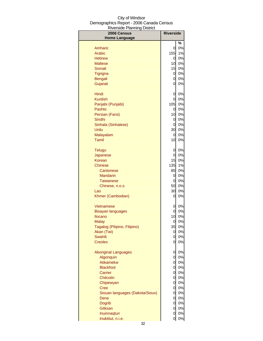| -----<br>2006 Census            | <b>Riverside</b> |          |
|---------------------------------|------------------|----------|
| <b>Home Language</b>            |                  | $\%$     |
| Amharic                         | 0                | 0%       |
| Arabic                          | 155              | 1%       |
| <b>Hebrew</b>                   | 0                | 0%       |
| <b>Maltese</b>                  | 10               | 0%       |
| Somali                          | 15               | 0%       |
| Tigrigna                        | 0                | 0%       |
| <b>Bengali</b>                  | 0                | 0%       |
| Gujarati                        | 0                | 0%       |
| Hindi                           | 0                | 0%       |
| <b>Kurdish</b>                  | 0                | 0%       |
| Panjabi (Punjabi)               | 105              | 0%       |
| Pashto                          | 0                | 0%       |
| Persian (Farsi)                 | 10               | 0%       |
| Sindhi                          | 0<br>0           | 0%<br>0% |
| Sinhala (Sinhalese)<br>Urdu     | 30               | 0%       |
| Malayalam                       | 0                | 0%       |
| <b>Tamil</b>                    | 10               | 0%       |
|                                 |                  |          |
| <b>Telugu</b>                   | 0                | 0%       |
| Japanese                        | 0<br>15          | 0%<br>0% |
| Korean<br><b>Chinese</b>        | 135              | 1%       |
| Cantonese                       | 85               | 0%       |
| <b>Mandarin</b>                 | 0                | 0%       |
| <b>Taiwanese</b>                | 0                | 0%       |
| Chinese, n.o.s.                 | 50               | 0%       |
| Lao                             | 30               | 0%       |
| Khmer (Cambodian)               | 0                | 0%       |
| Vietnamese                      | 0                | 0%       |
| <b>Bisayan languages</b>        | 0                | 0%       |
| <b>Ilocano</b>                  | 10               | 0%       |
| Malay                           | 0                | 0%       |
| Tagalog (Pilipino, Filipino)    | 35               | 0%       |
| Akan (Twi)                      | 0                | 0%       |
| Swahili<br><b>Creoles</b>       | 0<br>0           | 0%<br>0% |
|                                 |                  |          |
| <b>Aboriginal Languages</b>     | 0                | 0%       |
| Algonquin                       | 0                | 0%       |
| Atikamekw                       | 0                | 0%       |
| <b>Blackfoot</b><br>Carrier     | 0                | 0%       |
| Chilcotin                       | 0<br>0           | 0%<br>0% |
| Chipewyan                       | $\mathbf 0$      | 0%       |
| <b>Cree</b>                     | $\mathbf 0$      | 0%       |
| Siouan languages (Dakota/Sioux) | $\mathbf 0$      | 0%       |
| Dene                            | $\mathbf 0$      | 0%       |
| <b>Dogrib</b>                   | $\mathbf 0$      | 0%       |
| Gitksan                         | $\mathbf 0$      | 0%       |
| Inuinnaqtun                     | $\mathbf 0$      | 0%       |
| Inuktitut, n.i.e.               | $\mathbf 0$      | 0%       |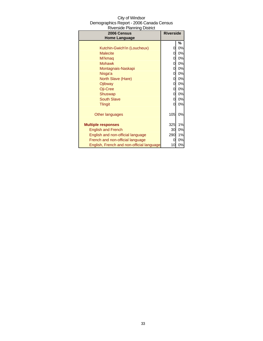| City of Windsor                          |  |  |
|------------------------------------------|--|--|
| Demographics Report - 2006 Canada Census |  |  |
| <b>Riverside Planning District</b>       |  |  |

| 2006 Census<br><b>Home Language</b>       | <b>Riverside</b> |    |
|-------------------------------------------|------------------|----|
|                                           |                  | ℅  |
| Kutchin-Gwich'in (Loucheux)               | 0                | 0% |
| <b>Malecite</b>                           | 0                | 0% |
| Mi'kmag                                   | 0                | 0% |
| <b>Mohawk</b>                             | 0                | 0% |
| Montagnais-Naskapi                        | 0                | 0% |
| Nisga'a                                   | 0                | 0% |
| North Slave (Hare)                        | 0                | 0% |
| Ojibway                                   | 0                | 0% |
| Oji-Cree                                  | 0                | 0% |
| Shuswap                                   | 0                | 0% |
| <b>South Slave</b>                        | 0                | 0% |
| <b>Tlingit</b>                            | 0                | 0% |
| Other languages                           | 105              | 0% |
| <b>Multiple responses</b>                 | 325              | 1% |
| <b>English and French</b>                 | 30               | 0% |
| English and non-official language         | 290              | 1% |
| French and non-official language          | 0                | 0% |
| English, French and non-official language | 10               | 0% |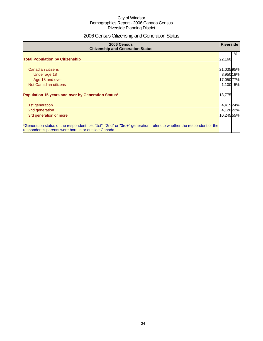# 2006 Census Citizenship and Generation Status

| 2006 Census<br><b>Citizenship and Generation Status</b>                                                                                                                       | <b>Riverside</b> |   |
|-------------------------------------------------------------------------------------------------------------------------------------------------------------------------------|------------------|---|
| <b>Total Population by Citizenship</b>                                                                                                                                        | 22,160           | % |
| Canadian citizens                                                                                                                                                             | 21,03595%        |   |
| Under age 18                                                                                                                                                                  | 3,950 18%        |   |
| Age 18 and over                                                                                                                                                               | 17,050 77%       |   |
| Not Canadian citizens                                                                                                                                                         | 1,100 5%         |   |
| Population 15 years and over by Generation Status*                                                                                                                            | 18,775           |   |
| 1st generation                                                                                                                                                                | 4,415 24%        |   |
| 2nd generation                                                                                                                                                                | 4,12022%         |   |
| 3rd generation or more                                                                                                                                                        | 10,245 55%       |   |
| *Generation status of the respondent, i.e. "1st", "2nd" or "3rd+" generation, refers to whether the respondent or the<br>respondent's parents were born in or outside Canada. |                  |   |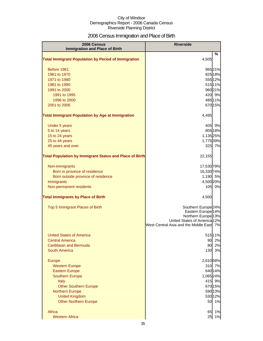# 2006 Census Immigration and Place of Birth

| %<br><b>Total Immigrant Population by Period of Immigration</b><br>4,505<br>Before 1961<br>96521%<br>1961 to 1970<br>825 18%<br>555 12%<br>1971 to 1980<br>51511%<br>1981 to 1990<br>96021%<br>1991 to 2000<br>420 9%<br>1991 to 1995<br>48511%<br>1996 to 2000<br>2001 to 2006<br>670 15%<br>4,495<br>405<br>9%<br>Under 5 years<br>5 to 14 years<br>805 18%<br>15 to 24 years<br>1,135 25%<br>25 to 44 years<br>1,775 39%<br>45 years and over<br>325 7%<br><b>Total Population by Immigrant Status and Place of Birth</b><br>22,155<br>17,530 79%<br>Non-immigrants<br>Born in province of residence<br>16,330 74%<br>Born outside province of residence<br>1,190 5%<br>Immigrants<br>4,500 20%<br>Non-permanent residents<br>105<br>0%<br>4,500<br>Southern Europe <sup>24%</sup><br>Top 5 Immigrant Places of Birth<br>Eastern Europe <sup>14%</sup><br>Northern Europe <sup>13%</sup><br>United States of America 12%<br>West Central Asia and the Middle East 7%<br><b>United States of America</b><br>515 11%<br>90<br>2%<br><b>Central America</b><br>2%<br>Caribbean and Bermuda<br>80<br><b>South America</b><br>130<br>3%<br>2,610 58%<br>Europe<br>310 7%<br><b>Western Europe</b><br><b>Eastern Europe</b><br>640 14%<br><b>Southern Europe</b><br>1,065 24%<br>415<br>9%<br><b>Italy</b><br><b>Other Southern Europe</b><br>670 15%<br>590 13% | 2006 Census                                             | <b>Riverside</b> |  |
|---------------------------------------------------------------------------------------------------------------------------------------------------------------------------------------------------------------------------------------------------------------------------------------------------------------------------------------------------------------------------------------------------------------------------------------------------------------------------------------------------------------------------------------------------------------------------------------------------------------------------------------------------------------------------------------------------------------------------------------------------------------------------------------------------------------------------------------------------------------------------------------------------------------------------------------------------------------------------------------------------------------------------------------------------------------------------------------------------------------------------------------------------------------------------------------------------------------------------------------------------------------------------------------------------------------------------------------------------------------|---------------------------------------------------------|------------------|--|
|                                                                                                                                                                                                                                                                                                                                                                                                                                                                                                                                                                                                                                                                                                                                                                                                                                                                                                                                                                                                                                                                                                                                                                                                                                                                                                                                                               | <b>Immigration and Place of Birth</b>                   |                  |  |
|                                                                                                                                                                                                                                                                                                                                                                                                                                                                                                                                                                                                                                                                                                                                                                                                                                                                                                                                                                                                                                                                                                                                                                                                                                                                                                                                                               |                                                         |                  |  |
|                                                                                                                                                                                                                                                                                                                                                                                                                                                                                                                                                                                                                                                                                                                                                                                                                                                                                                                                                                                                                                                                                                                                                                                                                                                                                                                                                               |                                                         |                  |  |
|                                                                                                                                                                                                                                                                                                                                                                                                                                                                                                                                                                                                                                                                                                                                                                                                                                                                                                                                                                                                                                                                                                                                                                                                                                                                                                                                                               |                                                         |                  |  |
|                                                                                                                                                                                                                                                                                                                                                                                                                                                                                                                                                                                                                                                                                                                                                                                                                                                                                                                                                                                                                                                                                                                                                                                                                                                                                                                                                               |                                                         |                  |  |
|                                                                                                                                                                                                                                                                                                                                                                                                                                                                                                                                                                                                                                                                                                                                                                                                                                                                                                                                                                                                                                                                                                                                                                                                                                                                                                                                                               |                                                         |                  |  |
|                                                                                                                                                                                                                                                                                                                                                                                                                                                                                                                                                                                                                                                                                                                                                                                                                                                                                                                                                                                                                                                                                                                                                                                                                                                                                                                                                               |                                                         |                  |  |
|                                                                                                                                                                                                                                                                                                                                                                                                                                                                                                                                                                                                                                                                                                                                                                                                                                                                                                                                                                                                                                                                                                                                                                                                                                                                                                                                                               |                                                         |                  |  |
|                                                                                                                                                                                                                                                                                                                                                                                                                                                                                                                                                                                                                                                                                                                                                                                                                                                                                                                                                                                                                                                                                                                                                                                                                                                                                                                                                               |                                                         |                  |  |
|                                                                                                                                                                                                                                                                                                                                                                                                                                                                                                                                                                                                                                                                                                                                                                                                                                                                                                                                                                                                                                                                                                                                                                                                                                                                                                                                                               |                                                         |                  |  |
|                                                                                                                                                                                                                                                                                                                                                                                                                                                                                                                                                                                                                                                                                                                                                                                                                                                                                                                                                                                                                                                                                                                                                                                                                                                                                                                                                               |                                                         |                  |  |
|                                                                                                                                                                                                                                                                                                                                                                                                                                                                                                                                                                                                                                                                                                                                                                                                                                                                                                                                                                                                                                                                                                                                                                                                                                                                                                                                                               | <b>Total Immigrant Population by Age at Immigration</b> |                  |  |
|                                                                                                                                                                                                                                                                                                                                                                                                                                                                                                                                                                                                                                                                                                                                                                                                                                                                                                                                                                                                                                                                                                                                                                                                                                                                                                                                                               |                                                         |                  |  |
|                                                                                                                                                                                                                                                                                                                                                                                                                                                                                                                                                                                                                                                                                                                                                                                                                                                                                                                                                                                                                                                                                                                                                                                                                                                                                                                                                               |                                                         |                  |  |
|                                                                                                                                                                                                                                                                                                                                                                                                                                                                                                                                                                                                                                                                                                                                                                                                                                                                                                                                                                                                                                                                                                                                                                                                                                                                                                                                                               |                                                         |                  |  |
|                                                                                                                                                                                                                                                                                                                                                                                                                                                                                                                                                                                                                                                                                                                                                                                                                                                                                                                                                                                                                                                                                                                                                                                                                                                                                                                                                               |                                                         |                  |  |
|                                                                                                                                                                                                                                                                                                                                                                                                                                                                                                                                                                                                                                                                                                                                                                                                                                                                                                                                                                                                                                                                                                                                                                                                                                                                                                                                                               |                                                         |                  |  |
|                                                                                                                                                                                                                                                                                                                                                                                                                                                                                                                                                                                                                                                                                                                                                                                                                                                                                                                                                                                                                                                                                                                                                                                                                                                                                                                                                               |                                                         |                  |  |
|                                                                                                                                                                                                                                                                                                                                                                                                                                                                                                                                                                                                                                                                                                                                                                                                                                                                                                                                                                                                                                                                                                                                                                                                                                                                                                                                                               |                                                         |                  |  |
|                                                                                                                                                                                                                                                                                                                                                                                                                                                                                                                                                                                                                                                                                                                                                                                                                                                                                                                                                                                                                                                                                                                                                                                                                                                                                                                                                               |                                                         |                  |  |
|                                                                                                                                                                                                                                                                                                                                                                                                                                                                                                                                                                                                                                                                                                                                                                                                                                                                                                                                                                                                                                                                                                                                                                                                                                                                                                                                                               |                                                         |                  |  |
|                                                                                                                                                                                                                                                                                                                                                                                                                                                                                                                                                                                                                                                                                                                                                                                                                                                                                                                                                                                                                                                                                                                                                                                                                                                                                                                                                               |                                                         |                  |  |
|                                                                                                                                                                                                                                                                                                                                                                                                                                                                                                                                                                                                                                                                                                                                                                                                                                                                                                                                                                                                                                                                                                                                                                                                                                                                                                                                                               |                                                         |                  |  |
|                                                                                                                                                                                                                                                                                                                                                                                                                                                                                                                                                                                                                                                                                                                                                                                                                                                                                                                                                                                                                                                                                                                                                                                                                                                                                                                                                               |                                                         |                  |  |
|                                                                                                                                                                                                                                                                                                                                                                                                                                                                                                                                                                                                                                                                                                                                                                                                                                                                                                                                                                                                                                                                                                                                                                                                                                                                                                                                                               | <b>Total Immigrants by Place of Birth</b>               |                  |  |
|                                                                                                                                                                                                                                                                                                                                                                                                                                                                                                                                                                                                                                                                                                                                                                                                                                                                                                                                                                                                                                                                                                                                                                                                                                                                                                                                                               |                                                         |                  |  |
|                                                                                                                                                                                                                                                                                                                                                                                                                                                                                                                                                                                                                                                                                                                                                                                                                                                                                                                                                                                                                                                                                                                                                                                                                                                                                                                                                               |                                                         |                  |  |
|                                                                                                                                                                                                                                                                                                                                                                                                                                                                                                                                                                                                                                                                                                                                                                                                                                                                                                                                                                                                                                                                                                                                                                                                                                                                                                                                                               |                                                         |                  |  |
|                                                                                                                                                                                                                                                                                                                                                                                                                                                                                                                                                                                                                                                                                                                                                                                                                                                                                                                                                                                                                                                                                                                                                                                                                                                                                                                                                               |                                                         |                  |  |
|                                                                                                                                                                                                                                                                                                                                                                                                                                                                                                                                                                                                                                                                                                                                                                                                                                                                                                                                                                                                                                                                                                                                                                                                                                                                                                                                                               |                                                         |                  |  |
|                                                                                                                                                                                                                                                                                                                                                                                                                                                                                                                                                                                                                                                                                                                                                                                                                                                                                                                                                                                                                                                                                                                                                                                                                                                                                                                                                               |                                                         |                  |  |
|                                                                                                                                                                                                                                                                                                                                                                                                                                                                                                                                                                                                                                                                                                                                                                                                                                                                                                                                                                                                                                                                                                                                                                                                                                                                                                                                                               |                                                         |                  |  |
|                                                                                                                                                                                                                                                                                                                                                                                                                                                                                                                                                                                                                                                                                                                                                                                                                                                                                                                                                                                                                                                                                                                                                                                                                                                                                                                                                               |                                                         |                  |  |
|                                                                                                                                                                                                                                                                                                                                                                                                                                                                                                                                                                                                                                                                                                                                                                                                                                                                                                                                                                                                                                                                                                                                                                                                                                                                                                                                                               |                                                         |                  |  |
|                                                                                                                                                                                                                                                                                                                                                                                                                                                                                                                                                                                                                                                                                                                                                                                                                                                                                                                                                                                                                                                                                                                                                                                                                                                                                                                                                               |                                                         |                  |  |
|                                                                                                                                                                                                                                                                                                                                                                                                                                                                                                                                                                                                                                                                                                                                                                                                                                                                                                                                                                                                                                                                                                                                                                                                                                                                                                                                                               |                                                         |                  |  |
|                                                                                                                                                                                                                                                                                                                                                                                                                                                                                                                                                                                                                                                                                                                                                                                                                                                                                                                                                                                                                                                                                                                                                                                                                                                                                                                                                               |                                                         |                  |  |
|                                                                                                                                                                                                                                                                                                                                                                                                                                                                                                                                                                                                                                                                                                                                                                                                                                                                                                                                                                                                                                                                                                                                                                                                                                                                                                                                                               |                                                         |                  |  |
|                                                                                                                                                                                                                                                                                                                                                                                                                                                                                                                                                                                                                                                                                                                                                                                                                                                                                                                                                                                                                                                                                                                                                                                                                                                                                                                                                               |                                                         |                  |  |
|                                                                                                                                                                                                                                                                                                                                                                                                                                                                                                                                                                                                                                                                                                                                                                                                                                                                                                                                                                                                                                                                                                                                                                                                                                                                                                                                                               |                                                         |                  |  |
|                                                                                                                                                                                                                                                                                                                                                                                                                                                                                                                                                                                                                                                                                                                                                                                                                                                                                                                                                                                                                                                                                                                                                                                                                                                                                                                                                               | <b>Northern Europe</b>                                  |                  |  |
| <b>United Kingdom</b><br>530 12%                                                                                                                                                                                                                                                                                                                                                                                                                                                                                                                                                                                                                                                                                                                                                                                                                                                                                                                                                                                                                                                                                                                                                                                                                                                                                                                              |                                                         |                  |  |
| 1%<br><b>Other Northern Europe</b><br>50                                                                                                                                                                                                                                                                                                                                                                                                                                                                                                                                                                                                                                                                                                                                                                                                                                                                                                                                                                                                                                                                                                                                                                                                                                                                                                                      |                                                         |                  |  |
| Africa<br>1%<br>65                                                                                                                                                                                                                                                                                                                                                                                                                                                                                                                                                                                                                                                                                                                                                                                                                                                                                                                                                                                                                                                                                                                                                                                                                                                                                                                                            |                                                         |                  |  |
| <b>Western Africa</b><br>25<br>1%                                                                                                                                                                                                                                                                                                                                                                                                                                                                                                                                                                                                                                                                                                                                                                                                                                                                                                                                                                                                                                                                                                                                                                                                                                                                                                                             |                                                         |                  |  |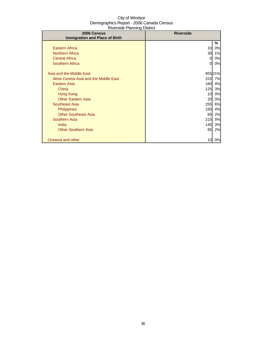| 2006 Census                           | <b>Riverside</b> |        |
|---------------------------------------|------------------|--------|
| <b>Immigration and Place of Birth</b> |                  |        |
|                                       |                  | %      |
| <b>Eastern Africa</b>                 | 10               | 0%     |
| <b>Northern Africa</b>                | 30               | 1%     |
| <b>Central Africa</b>                 | 0                | 0%     |
| <b>Southern Africa</b>                | 0                | 0%     |
|                                       |                  |        |
| Asia and the Middle East              |                  | 95521% |
| West Central Asia and the Middle East | 315              | 7%     |
| Eastern Asia                          | 160              | 4%     |
| China                                 | 125              | 3%     |
| Hong Kong                             | 10               | 0%     |
| <b>Other Eastern Asia</b>             | 20               | 0%     |
| Southeast Asia                        | 255              | 6%     |
| <b>Philippines</b>                    | 160              | 4%     |
| <b>Other Southeast Asia</b>           | 85               | 2%     |
| <b>Southern Asia</b>                  | 215              | 5%     |
| India                                 | 140              | 3%     |
| <b>Other Southern Asia</b>            | 85               | 2%     |
|                                       |                  |        |
| Oceania and other                     | 10               | 0%     |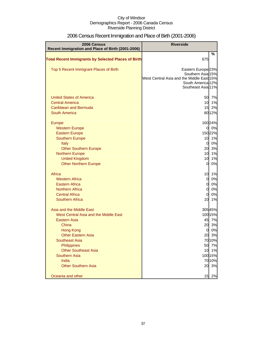| 2006 Census<br>Recent Immigration and Place of Birth (2001-2006) | <b>Riverside</b>                                               |          |
|------------------------------------------------------------------|----------------------------------------------------------------|----------|
|                                                                  |                                                                | %        |
| <b>Total Recent Immigrants by Selected Places of Birth</b>       | 675                                                            |          |
| Top 5 Recent Immigrant Places of Birth                           | Eastern Europe <sup>23%</sup>                                  |          |
|                                                                  | Southern Asia 15%<br>West Central Asia and the Middle East 15% |          |
|                                                                  | South America 12%                                              |          |
|                                                                  | Southeast Asia 11%                                             |          |
| <b>United States of America</b>                                  | 50                                                             | 7%       |
| <b>Central America</b>                                           | 10                                                             | 1%       |
| Caribbean and Bermuda                                            | 15                                                             | 2%       |
| <b>South America</b>                                             |                                                                | 8012%    |
| Europe                                                           |                                                                | 16024%   |
| <b>Western Europe</b>                                            | $\mathbf{0}$                                                   | 0%       |
| <b>Eastern Europe</b>                                            |                                                                | 150 22%  |
| <b>Southern Europe</b>                                           | 10<br>$\mathbf 0$                                              | 1%<br>0% |
| Italy<br><b>Other Southern Europe</b>                            | 20                                                             | 3%       |
| <b>Northern Europe</b>                                           | 10                                                             | 1%       |
| <b>United Kingdom</b>                                            | 10                                                             | 1%       |
| <b>Other Northern Europe</b>                                     | $\overline{0}$                                                 | 0%       |
| Africa                                                           | 10                                                             | 1%       |
| <b>Western Africa</b>                                            | $\overline{0}$                                                 | 0%       |
| <b>Eastern Africa</b>                                            | $\mathbf 0$                                                    | 0%       |
| <b>Northern Africa</b>                                           | $\mathbf 0$                                                    | 0%       |
| <b>Central Africa</b>                                            | $\overline{0}$                                                 | 0%       |
| <b>Southern Africa</b>                                           | 10                                                             | 1%       |
| Asia and the Middle East                                         |                                                                | 30545%   |
| West Central Asia and the Middle East                            |                                                                | 100 15%  |
| <b>Eastern Asia</b>                                              | 45                                                             | 7%       |
| China                                                            | 20                                                             | 3%       |
| <b>Hong Kong</b>                                                 | 0                                                              | 0%       |
| <b>Other Eastern Asia</b>                                        |                                                                | 20 3%    |
| <b>Southeast Asia</b>                                            |                                                                | 70 10%   |
| Philippines<br><b>Other Southeast Asia</b>                       | 50<br>10                                                       | 7%<br>1% |
| <b>Southern Asia</b>                                             |                                                                | 100 15%  |
| India                                                            |                                                                | 7010%    |
| <b>Other Southern Asia</b>                                       | 20                                                             | 3%       |
| Oceania and other                                                | 15                                                             | 2%       |

# 2006 Census Recent Immigration and Place of Birth (2001-2006)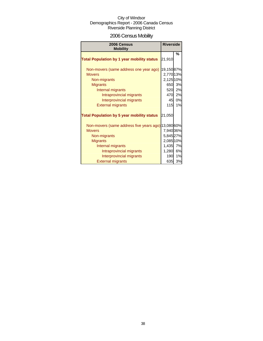# 2006 Census Mobility

| 2006 Census<br><b>Mobility</b>                      | <b>Riverside</b> |    |
|-----------------------------------------------------|------------------|----|
|                                                     |                  | %  |
| <b>Total Population by 1 year mobility status</b>   | 21,910           |    |
| Non-movers (same address one year ago)              | 19,15087%        |    |
| <b>Movers</b>                                       | 2,770 13%        |    |
| Non-migrants                                        | 2,125 10%        |    |
| <b>Migrants</b>                                     | 650              | 3% |
| Internal migrants                                   | 520              | 2% |
| Intraprovincial migrants                            | 470              | 2% |
| Interprovincial migrants                            | 45               | 0% |
| <b>External migrants</b>                            | 115              | 1% |
| <b>Total Population by 5 year mobility status</b>   | 21,050           |    |
| Non-movers (same address five years ago) 13,080 60% |                  |    |
| <b>Movers</b>                                       | 7,940 36%        |    |
| Non-migrants                                        | 5,845 27%        |    |
| <b>Migrants</b>                                     | 2,085 10%        |    |
| Internal migrants                                   | 1,435            | 7% |
| Intraprovincial migrants                            | 1,280            | 6% |
| Interprovincial migrants                            | 190              | 1% |
| <b>External migrants</b>                            | 635              | 3% |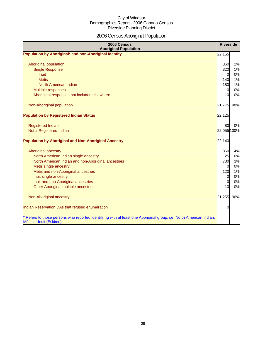# 2006 Census Aboriginal Population

| 2006 Census<br><b>Aboriginal Population</b>                                                                                                    | <b>Riverside</b> |     |
|------------------------------------------------------------------------------------------------------------------------------------------------|------------------|-----|
| Population by Aboriginal* and non-Aboriginal Identity                                                                                          | 22,155           |     |
|                                                                                                                                                |                  |     |
| Aboriginal population                                                                                                                          | 360              | 2%  |
| <b>Single Response</b>                                                                                                                         | 320              | 1%  |
| <b>Inuit</b>                                                                                                                                   | $\overline{0}$   | 0%  |
| <b>Metis</b>                                                                                                                                   | 140              | 1%  |
| North American Indian                                                                                                                          | 180              | 1%  |
| Multiple responses                                                                                                                             | $\overline{0}$   | 0%  |
| Aboriginal responses not included elsewhere                                                                                                    | 10               | 0%  |
| Non-Aboriginal population                                                                                                                      | 21,775           | 98% |
| <b>Population by Registered Indian Status</b>                                                                                                  | 22,125           |     |
|                                                                                                                                                |                  |     |
| <b>Registered Indian</b>                                                                                                                       | 80               | 0%  |
| Not a Registered Indian                                                                                                                        | 22,055 100%      |     |
| <b>Population by Aboriginal and Non-Aboriginal Ancestry</b>                                                                                    | 22,140           |     |
| Aboriginal ancestry                                                                                                                            | 860              | 4%  |
| North American Indian single ancestry                                                                                                          | 25               | 0%  |
| North American Indian and non-Aboriginal ancestries                                                                                            | <b>700</b>       | 3%  |
| Métis single ancestry                                                                                                                          | 0                | 0%  |
| Métis and non-Aboriginal ancestries                                                                                                            | 120              | 1%  |
| Inuit single ancestry                                                                                                                          | $\overline{0}$   | 0%  |
| Inuit and non-Aboriginal ancestries                                                                                                            | $\overline{0}$   | 0%  |
| Other Aboriginal multiple ancestries                                                                                                           | 10               | 0%  |
|                                                                                                                                                |                  |     |
| Non-Aboriginal ancestry                                                                                                                        | 21,255           | 96% |
| Indian Reservation DAs that refused enumeration                                                                                                | 0                |     |
| * Refers to those persons who reported identifying with at least one Aboriginal group, i.e. North American Indian,<br>Métis or Inuit (Eskimo). |                  |     |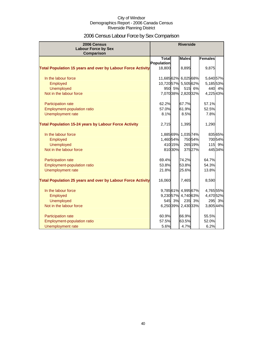# 2006 Census Labour Force by Sex Comparison

| 2006 Census                                                        |                      | <b>Riverside</b> |                   |         |                |         |
|--------------------------------------------------------------------|----------------------|------------------|-------------------|---------|----------------|---------|
| <b>Labour Force by Sex</b>                                         |                      |                  |                   |         |                |         |
| Comparison                                                         | <b>Total</b>         |                  | <b>Males</b>      |         | <b>Females</b> |         |
|                                                                    | Population           |                  |                   |         |                |         |
| <b>Total Population 15 years and over by Labour Force Activity</b> | 18,800               |                  | 8,895             |         | 9,875          |         |
|                                                                    |                      |                  |                   |         |                |         |
| In the labour force                                                | 11,68562% 6,02568%   |                  |                   |         | 5,640 57%      |         |
| Employed                                                           | 10,720 57% 5,505 62% |                  |                   |         | 5,185 53%      |         |
| <b>Unemployed</b>                                                  | 950                  | 5%               | 515               | 6%      | 440            | 4%      |
| Not in the labour force                                            |                      |                  | 7,07038% 2,82032% |         | 4,22543%       |         |
| Participation rate                                                 | 62.2%                |                  | 67.7%             |         | 57.1%          |         |
| Employment-population ratio                                        | 57.0%                |                  | 61.9%             |         | 52.5%          |         |
| Unemployment rate                                                  | 8.1%                 |                  | 8.5%              |         | 7.8%           |         |
|                                                                    |                      |                  |                   |         |                |         |
| <b>Total Population 15-24 years by Labour Force Activity</b>       | 2,715                |                  | 1,395             |         | 1,290          |         |
| In the labour force                                                | 1,885 69%            |                  | 1,035 74%         |         |                | 835 65% |
| Employed                                                           | 1,46054%             |                  |                   | 75054%  |                | 700 54% |
| <b>Unemployed</b>                                                  |                      | 410 15%          |                   | 265 19% |                | 115 9%  |
| Not in the labour force                                            |                      | 810 30%          |                   | 375 27% |                | 445 34% |
|                                                                    |                      |                  |                   |         |                |         |
| Participation rate                                                 | 69.4%                |                  | 74.2%             |         | 64.7%          |         |
| Employment-population ratio                                        | 53.8%                |                  | 53.8%             |         | 54.3%          |         |
| Unemployment rate                                                  | 21.8%                |                  | 25.6%             |         | 13.8%          |         |
| <b>Total Population 25 years and over by Labour Force Activity</b> | 16,060               |                  | 7,465             |         | 8,590          |         |
|                                                                    |                      |                  |                   |         |                |         |
| In the labour force                                                |                      |                  | 9,78561% 4,99567% |         | 4,765 55%      |         |
| Employed                                                           |                      |                  | 9,23057% 4,74063% |         | 4,470 52%      |         |
| <b>Unemployed</b>                                                  | 545                  | 3%               |                   | 235 3%  | 295            | 3%      |
| Not in the labour force                                            |                      |                  | 6,25039% 2,43033% |         | 3,805 44%      |         |
| Participation rate                                                 | 60.9%                |                  | 66.9%             |         | 55.5%          |         |
| <b>Employment-population ratio</b>                                 | 57.5%                |                  | 63.5%             |         | 52.0%          |         |
| Unemployment rate                                                  | 5.6%                 |                  | 4.7%              |         | 6.2%           |         |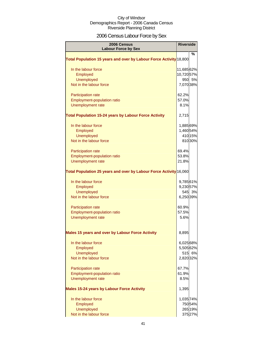# 2006 Census Labour Force by Sex

| 2006 Census<br><b>Labour Force by Sex</b>                          | <b>Riverside</b> |         |
|--------------------------------------------------------------------|------------------|---------|
|                                                                    |                  | %       |
| Total Population 15 years and over by Labour Force Activity 18,800 |                  |         |
| In the labour force                                                | 11,68562%        |         |
| Employed                                                           | 10,72057%        |         |
| <b>Unemployed</b>                                                  |                  | 950 5%  |
| Not in the labour force                                            | 7,070 38%        |         |
| <b>Participation rate</b>                                          | 62.2%            |         |
| <b>Employment-population ratio</b>                                 | 57.0%            |         |
| Unemployment rate                                                  | 8.1%             |         |
| <b>Total Population 15-24 years by Labour Force Activity</b>       | 2,715            |         |
| In the labour force                                                | 1,885 69%        |         |
| Employed                                                           | 1,46054%         |         |
| <b>Unemployed</b>                                                  |                  | 410 15% |
| Not in the labour force                                            |                  | 81030%  |
| <b>Participation rate</b>                                          | 69.4%            |         |
| <b>Employment-population ratio</b>                                 | 53.8%            |         |
| <b>Unemployment rate</b>                                           | 21.8%            |         |
| Total Population 25 years and over by Labour Force Activity 16,060 |                  |         |
| In the labour force                                                | 9,78561%         |         |
| Employed                                                           | 9,230 57%        |         |
| <b>Unemployed</b>                                                  |                  | 545 3%  |
| Not in the labour force                                            | 6,250 39%        |         |
| <b>Participation rate</b>                                          | 60.9%            |         |
| <b>Employment-population ratio</b>                                 | 57.5%            |         |
| <b>Unemployment rate</b>                                           | 5.6%             |         |
| Males 15 years and over by Labour Force Activity                   | 8,895            |         |
| In the labour force                                                | 6,025 68%        |         |
| Employed                                                           | 5,505 62%        |         |
| <b>Unemployed</b>                                                  |                  | 515 6%  |
| Not in the labour force                                            | 2,820 32%        |         |
| <b>Participation rate</b>                                          | 67.7%            |         |
| <b>Employment-population ratio</b>                                 | 61.9%            |         |
| <b>Unemployment rate</b>                                           | 8.5%             |         |
| <b>Males 15-24 years by Labour Force Activity</b>                  | 1,395            |         |
| In the labour force                                                | 1,035 74%        |         |
| Employed                                                           |                  | 75054%  |
| <b>Unemployed</b>                                                  |                  | 265 19% |
| Not in the labour force                                            |                  | 375 27% |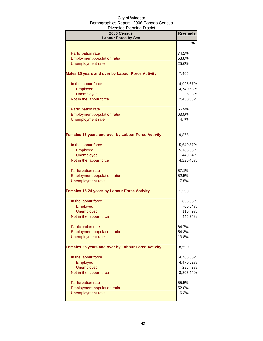| 2006 Census<br><b>Labour Force by Sex</b>                 | <b>Riverside</b> |         |
|-----------------------------------------------------------|------------------|---------|
|                                                           |                  | %       |
| Participation rate                                        | 74.2%            |         |
| <b>Employment-population ratio</b>                        | 53.8%            |         |
| Unemployment rate                                         | 25.6%            |         |
| Males 25 years and over by Labour Force Activity          | 7,465            |         |
| In the labour force                                       | 4,995 67%        |         |
| Employed                                                  | 4,740 63%        |         |
| <b>Unemployed</b>                                         |                  | 235 3%  |
| Not in the labour force                                   | 2,430 33%        |         |
| Participation rate                                        | 66.9%            |         |
| Employment-population ratio                               | 63.5%            |         |
| Unemployment rate                                         | 4.7%             |         |
| <b>Females 15 years and over by Labour Force Activity</b> | 9,875            |         |
| In the labour force                                       | 5,640 57%        |         |
| Employed                                                  | 5,185 53%        |         |
| <b>Unemployed</b>                                         |                  | 440 4%  |
| Not in the labour force                                   | 4,225 43%        |         |
| Participation rate                                        | 57.1%            |         |
| Employment-population ratio                               | 52.5%            |         |
| Unemployment rate                                         | 7.8%             |         |
| <b>Females 15-24 years by Labour Force Activity</b>       | 1,290            |         |
| In the labour force                                       |                  | 835 65% |
| Employed                                                  |                  | 70054%  |
| <b>Unemployed</b><br>Not in the labour force              |                  | 115 9%  |
|                                                           |                  | 445 34% |
| <b>Participation rate</b>                                 | 64.7%            |         |
| <b>Employment-population ratio</b>                        | 54.3%            |         |
| <b>Unemployment rate</b>                                  | 13.8%            |         |
| Females 25 years and over by Labour Force Activity        | 8,590            |         |
| In the labour force                                       | 4,765 55%        |         |
| Employed                                                  | 4,470 52%        |         |
| <b>Unemployed</b>                                         | 295              | 3%      |
| Not in the labour force                                   | 3,805 44%        |         |
| <b>Participation rate</b>                                 | 55.5%            |         |
| <b>Employment-population ratio</b>                        | 52.0%            |         |
| Unemployment rate                                         | 6.2%             |         |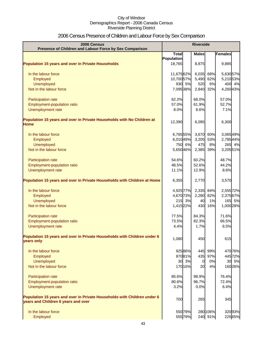# 2006 Census Presence of Children and Labour Force by Sex Comparison

| 2006 Census<br>Presence of Children and Labour Force by Sex Comparison                                          | <b>Riverside</b> |         |                |          |           |
|-----------------------------------------------------------------------------------------------------------------|------------------|---------|----------------|----------|-----------|
|                                                                                                                 | <b>Total</b>     |         | <b>Males</b>   |          | Females   |
|                                                                                                                 | Population       |         |                |          |           |
| <b>Population 15 years and over in Private Households</b>                                                       | 18,765           |         | 8,875          |          | 9,885     |
| In the labour force                                                                                             | 11,675 62%       |         | 6,035          | 68%      | 5,630 57% |
| Employed                                                                                                        | 10,700 57%       |         | 5,490          | 62%      | 5,210 53% |
| <b>Unemployed</b>                                                                                               |                  | 930 5%  | 520            | 6%       | 400 4%    |
| Not in the labour force                                                                                         | 7,095 38%        |         | 2,840          | 32%      | 4,26043%  |
| Participation rate                                                                                              | 62.2%            |         | 68.0%          |          | 57.0%     |
| Employment-population ratio                                                                                     | 57.0%            |         | 61.9%          |          | 52.7%     |
| Unemployment rate                                                                                               | 8.0%             |         | 8.6%           |          | 7.1%      |
| Population 15 years and over in Private Households with No Children at<br><b>Home</b>                           | 12,390           |         | 6,095          |          | 6,300     |
| In the labour force                                                                                             | 6,76555%         |         | 3,670 60%      |          | 3,06549%  |
| Employed                                                                                                        | 6,010 49%        |         | 3,205          | 53%      | 2,785 44% |
| <b>Unemployed</b>                                                                                               |                  | 750 6%  | 475            | 8%       | 265 4%    |
| Not in the labour force                                                                                         | 5,650 46%        |         | 2,385          | 39%      | 3,205 51% |
| Participation rate                                                                                              | 54.6%            |         | 60.2%          |          | 48.7%     |
| Employment-population ratio                                                                                     | 48.5%            |         | 52.6%          |          | 44.2%     |
| Unemployment rate                                                                                               | 11.1%            |         | 12.9%          |          | 8.6%      |
| Population 15 years and over in Private Households with Children at Home                                        | 6,355            |         | 2,770          |          | 3,570     |
| In the labour force                                                                                             | 4,925 77%        |         | 2,335          | 84%      | 2,555 72% |
| Employed                                                                                                        | 4,670 73%        |         | 2,280          | 82%      | 2,375 67% |
| <b>Unemployed</b>                                                                                               | 215              | 3%      | 40             | 1%       | 165 5%    |
| Not in the labour force                                                                                         | 1,415 22%        |         | 430            | 16%      | 1,000 28% |
| Participation rate                                                                                              | 77.5%            |         | 84.3%          |          | 71.6%     |
| Employment-population ratio                                                                                     | 73.5%            |         | 82.3%          |          | 66.5%     |
| Unemployment rate                                                                                               | 4.4%             |         | 1.7%           |          | 6.5%      |
| Population 15 years and over in Private Households with Children under 6<br>years only                          | 1,080            |         | 450            |          | 615       |
| In the labour force                                                                                             |                  | 92586%  | 445            | 99%      | 47076%    |
| Employed                                                                                                        |                  | 87081%  | 435            | 97%      | 44572%    |
| Unemployed                                                                                                      |                  | 30 3%   | $\overline{0}$ | 0%       | 30 5%     |
| Not in the labour force                                                                                         |                  | 170 16% | 20             | 4%       | 160 26%   |
| Participation rate                                                                                              | 85.6%            |         | 98.9%          |          | 76.4%     |
| Employment-population ratio                                                                                     | 80.6%            |         | 96.7%          |          | 72.4%     |
| Unemployment rate                                                                                               | 3.2%             |         | 0.0%           |          | 6.4%      |
| Population 15 years and over in Private Households with Children under 6<br>years and Children 6 years and over | 700              |         | 265            |          | 345       |
| In the labour force                                                                                             |                  | 550 79% |                | 280 106% | 32093%    |
| Employed                                                                                                        |                  | 55579%  |                | 240 91%  | 225 65%   |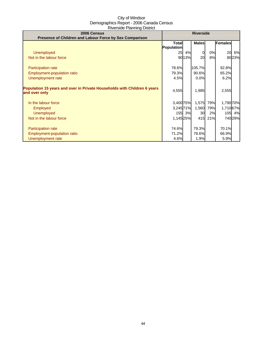| 2006 Census                                                              |              | <b>Riverside</b> |              |     |                |         |
|--------------------------------------------------------------------------|--------------|------------------|--------------|-----|----------------|---------|
| Presence of Children and Labour Force by Sex Comparison                  |              |                  |              |     |                |         |
|                                                                          | <b>Total</b> |                  | <b>Males</b> |     | <b>Females</b> |         |
|                                                                          | Population   |                  |              |     |                |         |
| <b>Unemployed</b>                                                        | 25           | 4%               | 0            | 0%  | 20             | 6%      |
| Not in the labour force                                                  |              | 9013%            | 20           | 8%  |                | 8023%   |
|                                                                          |              |                  |              |     |                |         |
| Participation rate                                                       | 78.6%        |                  | 105.7%       |     | 92.8%          |         |
| Employment-population ratio                                              | 79.3%        |                  | 90.6%        |     | 65.2%          |         |
| Unemployment rate                                                        | 4.5%         |                  | 0.0%         |     | 6.2%           |         |
|                                                                          |              |                  |              |     |                |         |
| Population 15 years and over in Private Households with Children 6 years | 4,555        |                  | 1,985        |     | 2,555          |         |
| and over only                                                            |              |                  |              |     |                |         |
|                                                                          |              |                  |              |     |                |         |
| In the labour force                                                      | 3,400 75%    |                  | 1,575        | 79% | 1,790 70%      |         |
| Employed                                                                 | 3,24571%     |                  | 1,560        | 79% | 1,710 67%      |         |
| <b>Unemployed</b>                                                        |              | 155 3%           | <b>30</b>    | 2%  |                | 105 4%  |
| Not in the labour force                                                  | 1,14525%     |                  | 415          | 21% |                | 740 29% |
|                                                                          |              |                  |              |     |                |         |
| <b>Participation rate</b>                                                | 74.6%        |                  | 79.3%        |     | 70.1%          |         |
| Employment-population ratio                                              | 71.2%        |                  | 78.6%        |     | 66.9%          |         |
| Unemployment rate                                                        | 4.6%         |                  | 1.9%         |     | 5.9%           |         |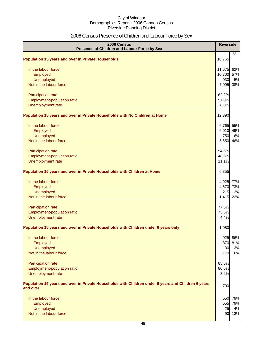# 2006 Census Presence of Children and Labour Force by Sex

| 2006 Census<br>Presence of Children and Labour Force by Sex                                                     | <b>Riverside</b> |     |
|-----------------------------------------------------------------------------------------------------------------|------------------|-----|
| <b>Population 15 years and over in Private Households</b>                                                       | 18,765           | %   |
| In the labour force                                                                                             | 11,675           | 62% |
| Employed                                                                                                        | 10,700           | 57% |
| Unemployed                                                                                                      | 930              | 5%  |
| Not in the labour force                                                                                         | 7,095            | 38% |
| Participation rate                                                                                              | 62.2%            |     |
| Employment-population ratio                                                                                     | 57.0%            |     |
| Unemployment rate                                                                                               | 8.0%             |     |
| Population 15 years and over in Private Households with No Children at Home                                     | 12,390           |     |
| In the labour force                                                                                             | 6,765            | 55% |
| Employed                                                                                                        | 6,010            | 49% |
| Unemployed                                                                                                      | 750              | 6%  |
| Not in the labour force                                                                                         | 5,650            | 46% |
| Participation rate                                                                                              | 54.6%            |     |
| Employment-population ratio                                                                                     | 48.5%            |     |
| Unemployment rate                                                                                               | 11.1%            |     |
| Population 15 years and over in Private Households with Children at Home                                        | 6,355            |     |
| In the labour force                                                                                             | 4,925            | 77% |
| Employed                                                                                                        | 4,670            | 73% |
| Unemployed                                                                                                      | 215              | 3%  |
| Not in the labour force                                                                                         | 1,415            | 22% |
| Participation rate                                                                                              | 77.5%            |     |
| Employment-population ratio                                                                                     | 73.5%            |     |
| Unemployment rate                                                                                               | 4.4%             |     |
| Population 15 years and over in Private Households with Children under 6 years only                             | 1,080            |     |
| In the labour force                                                                                             | 925              | 86% |
| Employed                                                                                                        | 870              | 81% |
| Unemployed                                                                                                      | 30               | 3%  |
| Not in the labour force                                                                                         | 170              | 16% |
| Participation rate                                                                                              | 85.6%            |     |
| Employment-population ratio                                                                                     | 80.6%            |     |
| Unemployment rate                                                                                               | 3.2%             |     |
| Population 15 years and over in Private Households with Children under 6 years and Children 6 years<br>and over | 700              |     |
| In the labour force                                                                                             | 550              | 79% |
| Employed                                                                                                        | 555              | 79% |
| Unemployed                                                                                                      | 25               | 4%  |
| Not in the labour force                                                                                         | 90               | 13% |
|                                                                                                                 |                  |     |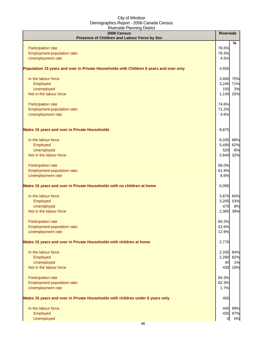| 2006 Census<br>Presence of Children and Labour Force by Sex                            | <b>Riverside</b> |         |
|----------------------------------------------------------------------------------------|------------------|---------|
|                                                                                        |                  | $\%$    |
| Participation rate                                                                     | 78.6%            |         |
| Employment-population ratio                                                            | 79.3%            |         |
| Unemployment rate                                                                      | 4.5%             |         |
| Population 15 years and over in Private Households with Children 6 years and over only | 4,555            |         |
| In the labour force                                                                    | 3,400            | 75%     |
| Employed                                                                               | 3,245            | 71%     |
| Unemployed                                                                             | 155              | 3%      |
| Not in the labour force                                                                | 1,145            | 25%     |
| Participation rate                                                                     | 74.6%            |         |
| Employment-population ratio                                                            | 71.2%            |         |
| Unemployment rate                                                                      | 4.6%             |         |
| <b>Males 15 years and over in Private Households</b>                                   | 8,875            |         |
| In the labour force                                                                    | 6,035            | 68%     |
| Employed                                                                               | 5,490            | 62%     |
| Unemployed                                                                             | 520              | 6%      |
| Not in the labour force                                                                | 2,840            | 32%     |
| Participation rate                                                                     | 68.0%            |         |
| Employment-population ratio                                                            | 61.9%            |         |
| Unemployment rate                                                                      | 8.6%             |         |
| Males 15 years and over in Private Households with no children at home                 | 6,095            |         |
| In the labour force                                                                    | 3,670            | 60%     |
| Employed                                                                               | 3,205            | 53%     |
| <b>Unemployed</b>                                                                      | 475              | 8%      |
| Not in the labour force                                                                | 2,385            | 39%     |
| Participation rate                                                                     | 60.2%            |         |
| <b>Employment-population ratio</b>                                                     | 52.6%            |         |
| Unemployment rate                                                                      | 12.9%            |         |
| Males 15 years and over in Private Households with children at home                    | 2,770            |         |
| In the labour force                                                                    | 2,335            | 84%     |
| Employed                                                                               | 2,280            | 82%     |
| Unemployed                                                                             | 40               | 1%      |
| Not in the labour force                                                                | 430              | 16%     |
| Participation rate                                                                     | 84.3%            |         |
| Employment-population ratio                                                            | 82.3%            |         |
| Unemployment rate                                                                      | 1.7%             |         |
| Males 15 years and over in Private Households with children under 6 years only         | 450              |         |
| In the labour force                                                                    | 445              | 99%     |
| Employed                                                                               |                  | 435 97% |
| <b>Unemployed</b>                                                                      | $\overline{O}$   | 0%      |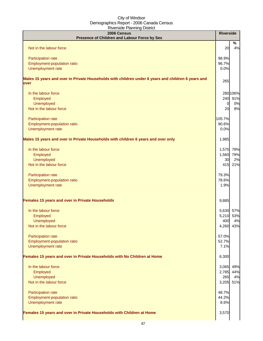| 2006 Census<br>Presence of Children and Labour Force by Sex                                                | <b>Riverside</b> |          |
|------------------------------------------------------------------------------------------------------------|------------------|----------|
| Not in the labour force                                                                                    | 20               | %<br>4%  |
|                                                                                                            |                  |          |
| Participation rate                                                                                         | 98.9%            |          |
| Employment-population ratio<br>Unemployment rate                                                           | 96.7%<br>0.0%    |          |
| Males 15 years and over in Private Households with children under 6 years and children 6 years and<br>over | 265              |          |
| In the labour force                                                                                        |                  | 280 106% |
| Employed                                                                                                   |                  | 240 91%  |
| <b>Unemployed</b>                                                                                          | $\overline{0}$   | 0%       |
| Not in the labour force                                                                                    | 20               | 8%       |
| Participation rate                                                                                         | 105.7%           |          |
| Employment-population ratio                                                                                | 90.6%            |          |
| Unemployment rate                                                                                          | 0.0%             |          |
| Males 15 years and over in Private Households with children 6 years and over only                          | 1,985            |          |
| In the labour force                                                                                        | 1,575            | 79%      |
| Employed                                                                                                   | 1,560 79%        |          |
| <b>Unemployed</b>                                                                                          | 30               | 2%       |
| Not in the labour force                                                                                    | 415              | 21%      |
| Participation rate                                                                                         | 79.3%            |          |
| Employment-population ratio                                                                                | 78.6%            |          |
| Unemployment rate                                                                                          | 1.9%             |          |
| Females 15 years and over in Private Households                                                            | 9,885            |          |
| In the labour force                                                                                        | 5,630            | 57%      |
| Employed                                                                                                   | 5,210            | 53%      |
| <b>Unemployed</b>                                                                                          | 400              | 4%       |
| Not in the labour force                                                                                    | 4,260 43%        |          |
|                                                                                                            |                  |          |
| Participation rate<br>Employment-population ratio                                                          | 57.0%<br>52.7%   |          |
| Unemployment rate                                                                                          | 7.1%             |          |
|                                                                                                            |                  |          |
| Females 15 years and over in Private Households with No Children at Home                                   | 6,300            |          |
| In the labour force                                                                                        | 3,065            | 49%      |
| Employed                                                                                                   | 2,785 44%        |          |
| <b>Unemployed</b>                                                                                          | 265              | 4%       |
| Not in the labour force                                                                                    | 3,205            | 51%      |
| Participation rate                                                                                         | 48.7%            |          |
| Employment-population ratio                                                                                | 44.2%            |          |
| Unemployment rate                                                                                          | 8.6%             |          |
|                                                                                                            |                  |          |
| Females 15 years and over in Private Households with Children at Home                                      | 3,570            |          |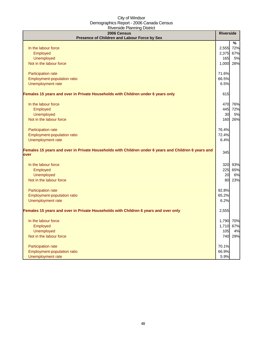| 2006 Census<br>Presence of Children and Labour Force by Sex                                                  | <b>Riverside</b> |      |
|--------------------------------------------------------------------------------------------------------------|------------------|------|
|                                                                                                              |                  | $\%$ |
| In the labour force                                                                                          | 2,555            | 72%  |
| Employed                                                                                                     | 2,375            | 67%  |
| <b>Unemployed</b>                                                                                            | 165              | 5%   |
| Not in the labour force                                                                                      | 1,000            | 28%  |
| Participation rate                                                                                           | 71.6%            |      |
| Employment-population ratio                                                                                  | 66.5%            |      |
| Unemployment rate                                                                                            | 6.5%             |      |
| Females 15 years and over in Private Households with Children under 6 years only                             | 615              |      |
| In the labour force                                                                                          | 470              | 76%  |
| Employed                                                                                                     | 445              | 72%  |
| <b>Unemployed</b>                                                                                            | 30               | 5%   |
| Not in the labour force                                                                                      | 160              | 26%  |
| Participation rate                                                                                           | 76.4%            |      |
| Employment-population ratio                                                                                  | 72.4%            |      |
| Unemployment rate                                                                                            | 6.4%             |      |
| Females 15 years and over in Private Households with Children under 6 years and Children 6 years and<br>over | 345              |      |
| In the labour force                                                                                          | 320              | 93%  |
| Employed                                                                                                     | 225              | 65%  |
| <b>Unemployed</b>                                                                                            | 20               | 6%   |
| Not in the labour force                                                                                      | 80               | 23%  |
| Participation rate                                                                                           | 92.8%            |      |
| Employment-population ratio                                                                                  | 65.2%            |      |
| Unemployment rate                                                                                            | 6.2%             |      |
| Females 15 years and over in Private Households with Children 6 years and over only                          | 2,555            |      |
| In the labour force                                                                                          | 1,790 70%        |      |
| Employed                                                                                                     | 1,710 67%        |      |
| <b>Unemployed</b>                                                                                            | 105              | 4%   |
| Not in the labour force                                                                                      | 740              | 29%  |
| Participation rate                                                                                           | 70.1%            |      |
| Employment-population ratio                                                                                  | 66.9%            |      |
| Unemployment rate                                                                                            | 5.9%             |      |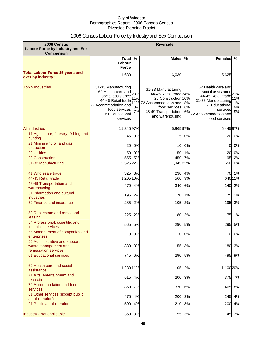# 2006 Census Labour Force by Industry and Sex Comparison

| 2006 Census<br><b>Labour Force by Industry and Sex</b><br><b>Comparison</b>    |                                                                                                                                                                 |                        | <b>Riverside</b>                                                                                                                                         |                |                                                                                                                                                             |                               |
|--------------------------------------------------------------------------------|-----------------------------------------------------------------------------------------------------------------------------------------------------------------|------------------------|----------------------------------------------------------------------------------------------------------------------------------------------------------|----------------|-------------------------------------------------------------------------------------------------------------------------------------------------------------|-------------------------------|
|                                                                                | Total $\overline{\%}$                                                                                                                                           |                        | <b>Males</b>                                                                                                                                             | $\frac{0}{0}$  | <b>Females</b>                                                                                                                                              | %                             |
|                                                                                | Labour<br><b>Force</b>                                                                                                                                          |                        |                                                                                                                                                          |                |                                                                                                                                                             |                               |
| <b>Total Labour Force 15 years and</b><br>over by Industry*                    | 11,680                                                                                                                                                          |                        | 6,030                                                                                                                                                    |                | 5,625                                                                                                                                                       |                               |
| <b>Top 5 Industries</b>                                                        | 31-33 Manufacturing<br>62 Health care and 23%<br>social assistance<br>44-45 Retail trade<br>72 Accommodation and<br>food services<br>61 Educational<br>services | 11%<br>11%<br>8%<br>7% | 31-33 Manufacturing<br>44-45 Retail trade 34%<br>23 Construction 10%<br>72 Accommodation and<br>food services<br>48-49 Transportation<br>and warehousing | 8%<br>6%<br>6% | 62 Health care and<br>social assistance<br>44-45 Retail trade<br>31-33 Manufacturing<br>61 Educational<br>services<br>72 Accommodation and<br>food services | 21%<br>12%<br>11%<br>9%<br>9% |
| <b>All industries</b>                                                          | 11,34597%                                                                                                                                                       |                        | 5,86597%                                                                                                                                                 |                | 5,44597%                                                                                                                                                    |                               |
| 11 Agriculture, forestry, fishing and<br>hunting                               | 45                                                                                                                                                              | 0%                     | 15                                                                                                                                                       | 0%             | 20                                                                                                                                                          | 0%                            |
| 21 Mining and oil and gas<br>extraction                                        | 20                                                                                                                                                              | 0%                     | 10                                                                                                                                                       | 0%             | 0                                                                                                                                                           | 0%                            |
| <b>22 Utilities</b>                                                            | 50                                                                                                                                                              | 0%                     | 50                                                                                                                                                       | 1%             | 20                                                                                                                                                          | 0%                            |
| 23 Construction                                                                |                                                                                                                                                                 | 555 5%                 | 450                                                                                                                                                      | 7%             | 95                                                                                                                                                          | 2%                            |
| 31-33 Manufacturing                                                            | 2,525 22%                                                                                                                                                       |                        | 1,945 32%                                                                                                                                                |                |                                                                                                                                                             | 550 10%                       |
| 41 Wholesale trade<br>44-45 Retail trade                                       | 1,205 10%                                                                                                                                                       | 325 3%                 | 230<br>560                                                                                                                                               | 4%<br>9%       |                                                                                                                                                             | 70 1%<br>640 11%              |
| 48-49 Transportation and                                                       |                                                                                                                                                                 | 470 4%                 | 340                                                                                                                                                      | 6%             |                                                                                                                                                             | 140 2%                        |
| warehousing<br>51 Information and cultural                                     |                                                                                                                                                                 | 195 2%                 | 70                                                                                                                                                       | 1%             | 75                                                                                                                                                          | 1%                            |
| industries<br>52 Finance and insurance                                         |                                                                                                                                                                 | 285 2%                 | 105                                                                                                                                                      | 2%             | 195                                                                                                                                                         | 3%                            |
|                                                                                |                                                                                                                                                                 |                        |                                                                                                                                                          |                |                                                                                                                                                             |                               |
| 53 Real estate and rental and<br>leasing                                       | 225                                                                                                                                                             | 2%                     | 180                                                                                                                                                      | 3%             | 75                                                                                                                                                          | 1%                            |
| 54 Professional, scientific and<br>technical services                          | 565                                                                                                                                                             | 5%                     | 290                                                                                                                                                      | 5%             | 295                                                                                                                                                         | 5%                            |
| 55 Management of companies and<br>enterprises                                  |                                                                                                                                                                 | 0 0%                   | 0I                                                                                                                                                       | 0%             | 0I                                                                                                                                                          | 0%                            |
| 56 Administrative and support,<br>waste management and<br>remediation services |                                                                                                                                                                 | 330 3%                 | 155                                                                                                                                                      | 3%             | 180                                                                                                                                                         | 3%                            |
| 61 Educational services                                                        |                                                                                                                                                                 | 745 6%                 | 290                                                                                                                                                      | 5%             | 495                                                                                                                                                         | 9%                            |
| 62 Health care and social<br>assistance                                        | 1,230 11%                                                                                                                                                       |                        | 105                                                                                                                                                      | 2%             | 1,100 20%                                                                                                                                                   |                               |
| 71 Arts, entertainment and<br>recreation                                       |                                                                                                                                                                 | 515 4%                 | 200                                                                                                                                                      | 3%             |                                                                                                                                                             | 375 7%                        |
| 72 Accommodation and food<br>services                                          |                                                                                                                                                                 | 860 7%                 | 370                                                                                                                                                      | 6%             | 465                                                                                                                                                         | 8%                            |
| 81 Other services (except public                                               |                                                                                                                                                                 | 475 4%                 | 200                                                                                                                                                      | 3%             | 245                                                                                                                                                         | 4%                            |
| administration)<br>91 Public administration                                    |                                                                                                                                                                 | 500 4%                 | 210                                                                                                                                                      | 3%             | 200                                                                                                                                                         | 4%                            |
| Industry - Not applicable                                                      |                                                                                                                                                                 | 360 3%                 |                                                                                                                                                          | 155 3%         |                                                                                                                                                             | 145 3%                        |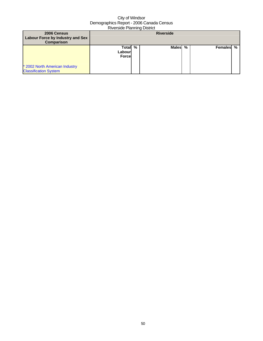| 2006 Census<br>Labour Force by Industry and Sex<br><b>Comparison</b> |                                    |  | <b>Riverside</b> |   |           |  |
|----------------------------------------------------------------------|------------------------------------|--|------------------|---|-----------|--|
| * 2002 North American Industry<br><b>Classification System</b>       | Total %<br>Labourl<br><b>Force</b> |  | Malesl           | % | Females % |  |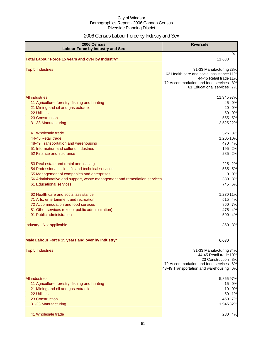# 2006 Census Labour Force by Industry and Sex

| 2006 Census<br><b>Labour Force by Industry and Sex</b>                                                                                                                                                                                           | <b>Riverside</b>                                                                                                                                                           |
|--------------------------------------------------------------------------------------------------------------------------------------------------------------------------------------------------------------------------------------------------|----------------------------------------------------------------------------------------------------------------------------------------------------------------------------|
| Total Labour Force 15 years and over by Industry*                                                                                                                                                                                                | %<br>11,680                                                                                                                                                                |
| <b>Top 5 Industries</b>                                                                                                                                                                                                                          | 31-33 Manufacturing 23%<br>62 Health care and social assistance 11%<br>44-45 Retail trade 11%<br>72 Accommodation and food services<br>8%<br>61 Educational services<br>7% |
| <b>All industries</b><br>11 Agriculture, forestry, fishing and hunting<br>21 Mining and oil and gas extraction<br>22 Utilities<br>23 Construction<br>31-33 Manufacturing                                                                         | 11,34597%<br>0%<br>45<br>20<br>0%<br>50<br>0%<br>555 5%<br>2,525 22%                                                                                                       |
| 41 Wholesale trade<br>44-45 Retail trade<br>48-49 Transportation and warehousing<br>51 Information and cultural industries<br>52 Finance and insurance                                                                                           | 325 3%<br>1,205 10%<br>470 4%<br>195<br>2%<br>285<br>2%                                                                                                                    |
| 53 Real estate and rental and leasing<br>54 Professional, scientific and technical services<br>55 Management of companies and enterprises<br>56 Administrative and support, waste management and remediation services<br>61 Educational services | 225<br>2%<br>5%<br>565<br>0%<br>0<br>330<br>3%<br>745<br>6%                                                                                                                |
| 62 Health care and social assistance<br>71 Arts, entertainment and recreation<br>72 Accommodation and food services<br>81 Other services (except public administration)<br>91 Public administration                                              | 1,230 11%<br>515<br>4%<br>860 7%<br>4%<br>475<br>4%<br>500                                                                                                                 |
| Industry - Not applicable                                                                                                                                                                                                                        | 360<br>3%                                                                                                                                                                  |
| Male Labour Force 15 years and over by Industry*                                                                                                                                                                                                 | 6,030                                                                                                                                                                      |
| <b>Top 5 Industries</b>                                                                                                                                                                                                                          | 31-33 Manufacturing 34%<br>44-45 Retail trade 10%<br>23 Construction 8%<br>72 Accommodation and food services<br>6%<br>48-49 Transportation and warehousing<br>6%          |
| All industries<br>11 Agriculture, forestry, fishing and hunting<br>21 Mining and oil and gas extraction<br><b>22 Utilities</b><br>23 Construction<br>31-33 Manufacturing<br>41 Wholesale trade                                                   | 5,86597%<br>0%<br>15<br>10 0%<br>50 1%<br>450 7%<br>1,945 32%<br>230 4%                                                                                                    |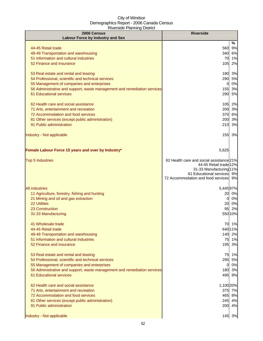| 2006 Census<br><b>Labour Force by Industry and Sex</b>                                                                                                                                              | <b>Riverside</b>                                                                                                                                                        |
|-----------------------------------------------------------------------------------------------------------------------------------------------------------------------------------------------------|-------------------------------------------------------------------------------------------------------------------------------------------------------------------------|
| 44-45 Retail trade<br>48-49 Transportation and warehousing                                                                                                                                          | %<br>9%<br>560<br>340<br>6%                                                                                                                                             |
| 51 Information and cultural industries<br>52 Finance and insurance                                                                                                                                  | 70 1%<br>105<br>2%                                                                                                                                                      |
| 53 Real estate and rental and leasing<br>54 Professional, scientific and technical services<br>55 Management of companies and enterprises                                                           | 180 3%<br>290 5%<br>0%<br>$\mathbf{0}$                                                                                                                                  |
| 56 Administrative and support, waste management and remediation services<br>61 Educational services                                                                                                 | 155 3%<br>290 5%                                                                                                                                                        |
| 62 Health care and social assistance<br>71 Arts, entertainment and recreation<br>72 Accommodation and food services                                                                                 | 105 2%<br>200 3%<br>370 6%                                                                                                                                              |
| 81 Other services (except public administration)<br>91 Public administration                                                                                                                        | 3%<br>200<br>210<br>3%                                                                                                                                                  |
| Industry - Not applicable                                                                                                                                                                           | 3%<br>155                                                                                                                                                               |
| Female Labour Force 15 years and over by Industry*                                                                                                                                                  | 5,625                                                                                                                                                                   |
| <b>Top 5 Industries</b>                                                                                                                                                                             | 62 Health care and social assistance 21%<br>44-45 Retail trade 12%<br>31-33 Manufacturing 11%<br>61 Educational services 9%<br>72 Accommodation and food services<br>9% |
| <b>All industries</b>                                                                                                                                                                               | 5,445 97%                                                                                                                                                               |
| 11 Agriculture, forestry, fishing and hunting<br>21 Mining and oil and gas extraction<br><b>22 Utilities</b><br>23 Construction                                                                     | 20<br>0%<br>0%<br>0<br>0%<br>20<br>2%<br>95                                                                                                                             |
| 31-33 Manufacturing                                                                                                                                                                                 | 55010%                                                                                                                                                                  |
| 41 Wholesale trade<br>44-45 Retail trade<br>48-49 Transportation and warehousing<br>51 Information and cultural industries<br>52 Finance and insurance                                              | 70 1%<br>64011%<br>140 2%<br>75 1%<br>195<br>3%                                                                                                                         |
| 53 Real estate and rental and leasing<br>54 Professional, scientific and technical services                                                                                                         | 75<br>1%<br>295<br>5%                                                                                                                                                   |
| 55 Management of companies and enterprises<br>56 Administrative and support, waste management and remediation services<br>61 Educational services                                                   | 0%<br>$\mathbf{0}$<br>180 3%<br>495 9%                                                                                                                                  |
| 62 Health care and social assistance<br>71 Arts, entertainment and recreation<br>72 Accommodation and food services<br>81 Other services (except public administration)<br>91 Public administration | 1,100 20%<br>375 7%<br>465 8%<br>245 4%<br>200 4%                                                                                                                       |
| Industry - Not applicable                                                                                                                                                                           | 145<br>3%                                                                                                                                                               |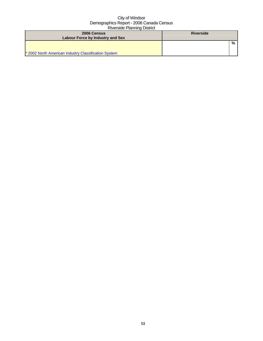| 2006 Census                                          | <b>Riverside</b> |   |
|------------------------------------------------------|------------------|---|
| Labour Force by Industry and Sex                     |                  |   |
|                                                      |                  | % |
|                                                      |                  |   |
| * 2002 North American Industry Classification System |                  |   |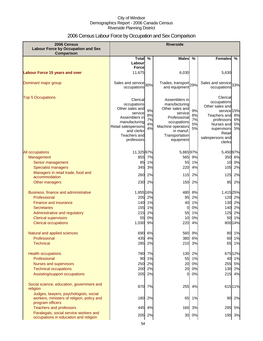# 2006 Census Labour Force by Occupation and Sex Comparison

| 2006 Census<br><b>Labour Force by Occupation and Sex</b><br>Comparison                                                                                                                                    | <b>Riverside</b>                                                                                                                                           |                                  |                                                                                                                                                              |                                        |                                                                                                                                                                                      |
|-----------------------------------------------------------------------------------------------------------------------------------------------------------------------------------------------------------|------------------------------------------------------------------------------------------------------------------------------------------------------------|----------------------------------|--------------------------------------------------------------------------------------------------------------------------------------------------------------|----------------------------------------|--------------------------------------------------------------------------------------------------------------------------------------------------------------------------------------|
|                                                                                                                                                                                                           | <b>Total</b>                                                                                                                                               | %                                | <b>Males</b>                                                                                                                                                 | %                                      | Females<br>%                                                                                                                                                                         |
|                                                                                                                                                                                                           | Labour                                                                                                                                                     |                                  |                                                                                                                                                              |                                        |                                                                                                                                                                                      |
|                                                                                                                                                                                                           | <b>Force</b>                                                                                                                                               |                                  |                                                                                                                                                              |                                        |                                                                                                                                                                                      |
| <b>Labour Force 15 years and over</b>                                                                                                                                                                     | 11,675                                                                                                                                                     |                                  | 6,030                                                                                                                                                        |                                        | 5,630                                                                                                                                                                                |
| Dominant major group                                                                                                                                                                                      | Sales and service 30%<br>occupations                                                                                                                       |                                  | Trades, transport <sub>29%</sub><br>and equipment                                                                                                            |                                        | Sales and service 33%<br>occupations                                                                                                                                                 |
| <b>Top 5 Occupations</b>                                                                                                                                                                                  | Clerical<br>occupations<br>Other sales and<br>service<br>Assemblers in<br>manufacturing<br>Retail salespersons<br>and clerks<br>Teachers and<br>professors | 9%<br>8%<br>7%<br>4%<br>4%       | Assemblers in<br>manufacturing<br>Other sales and<br>service<br>Professional<br>occupations<br>Machine operators<br>in manuf.<br>Transportation<br>equipment | 9%<br>8%<br>7%<br>5%<br>5%             | Clerical<br>occupations<br>Other sales and<br>service 15%<br>Teachers and<br>8%<br>6%<br>professors<br>5%<br>Nurses and<br>5%<br>supervisors<br>Retail<br>salespersons and<br>clerks |
| <b>All occupations</b><br>Management<br>Senior management<br><b>Specialist managers</b>                                                                                                                   | 11,32597%<br>855<br>85<br>345                                                                                                                              | 7%<br>1%<br>3%                   | 5,86597%<br>565<br>55<br>220                                                                                                                                 | 9%<br>1%<br>4%                         | 5,450 97%<br>350 6%<br>0%<br>10<br>105<br>2%                                                                                                                                         |
| Managers in retail trade, food and                                                                                                                                                                        | 260                                                                                                                                                        | 2%                               | 115                                                                                                                                                          | 2%                                     | 125<br>2%                                                                                                                                                                            |
| accommodation<br>Other managers                                                                                                                                                                           | 230                                                                                                                                                        | 2%                               | 150                                                                                                                                                          | 2%                                     | 85<br>2%                                                                                                                                                                             |
| Business, finance and administrative<br>Professional<br><b>Finance and insurance</b><br><b>Secretaries</b><br>Administrative and regulatory<br><b>Clerical supervisors</b><br><b>Clerical occupations</b> | 1,855 16%<br>205<br>140<br>155<br>215<br>55<br>1,030                                                                                                       | 2%<br>1%<br>1%<br>2%<br>0%<br>9% | 480<br>95<br>40<br>0<br>55<br>10<br>220                                                                                                                      | 8%<br>2%<br>1%<br>0%<br>1%<br>0%<br>4% | 1,415 25%<br>120<br>2%<br>2%<br>130<br>140<br>2%<br>125<br>2%<br>50<br>1%<br>800 14%                                                                                                 |
| Natural and applied sciences                                                                                                                                                                              |                                                                                                                                                            | 690 6%                           | 560                                                                                                                                                          | 9%                                     | 80 1%                                                                                                                                                                                |
| Professional                                                                                                                                                                                              | 435                                                                                                                                                        | 4%                               |                                                                                                                                                              | 380 6%                                 | 60<br>1%                                                                                                                                                                             |
| <b>Technical</b>                                                                                                                                                                                          | 285                                                                                                                                                        | 2%                               |                                                                                                                                                              | 210 3%                                 | 65 1%                                                                                                                                                                                |
| <b>Health occupations</b><br>Professional<br>Nurses and supervisors<br><b>Technical occupations</b><br>Assisting/support occupations                                                                      | 90<br>250<br>200<br>205                                                                                                                                    | 780 7%<br>1%<br>2%<br>2%<br>2%   | 20<br>20<br>$\Omega$                                                                                                                                         | 130 2%<br>55 1%<br>0%<br>0%<br>0%      | 675 12%<br>40 1%<br>255 5%<br>130 2%<br>215 4%                                                                                                                                       |
|                                                                                                                                                                                                           |                                                                                                                                                            |                                  |                                                                                                                                                              |                                        |                                                                                                                                                                                      |
| Social science, education, government and<br>religion<br>Judges, lawyers, psychologists, social                                                                                                           | 870                                                                                                                                                        | 7%                               | 255                                                                                                                                                          | 4%                                     | 615 11%                                                                                                                                                                              |
| workers, ministers of religion, policy and<br>program officers                                                                                                                                            | 180                                                                                                                                                        | 2%                               | 65                                                                                                                                                           | 1%                                     | 90<br>2%                                                                                                                                                                             |
| <b>Teachers and professors</b>                                                                                                                                                                            | 445                                                                                                                                                        | 4%                               |                                                                                                                                                              | 160 3%                                 | 295<br>5%                                                                                                                                                                            |
| Paralegals, social service workers and<br>occupations in education and religion                                                                                                                           | 205                                                                                                                                                        | 2%                               | 30                                                                                                                                                           | 0%                                     | 3%<br>195                                                                                                                                                                            |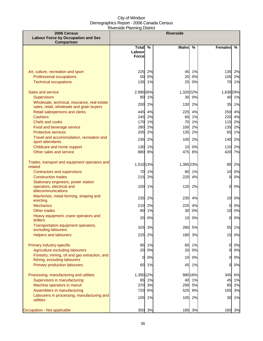| 2006 Census<br><b>Labour Force by Occupation and Sex</b><br>Comparison                                        |                                        |                | <b>Riverside</b> |                     |                       |                   |
|---------------------------------------------------------------------------------------------------------------|----------------------------------------|----------------|------------------|---------------------|-----------------------|-------------------|
|                                                                                                               | <b>Total</b><br>Labour<br><b>Force</b> | $\%$           | <b>Males</b>     | $\%$                | <b>Females</b>        | $\%$              |
| Art, culture, recreation and sport<br><b>Professional occupations</b><br><b>Technical occupations</b>         | 225<br>50<br>135                       | 2%<br>0%<br>1% | 45<br>20<br>25   | 1%<br>0%<br>0%      | 135<br>105            | 2%<br>2%<br>70 1% |
| Sales and service<br><b>Supervisors</b><br>Wholesale, technical, insurance, real estate                       | 2,990 26%<br>80                        | 1%             | 1,320 22%<br>30  | 0%                  | 1,630 29%<br>40       | 1%                |
| sales, retail, wholesale and grain buyers<br>Retail salespersons and clerks<br><b>Cashiers</b>                | 200<br>445<br>245                      | 2%<br>4%<br>2% | 130<br>225<br>60 | 2%<br>4%<br>1%      | 35<br>250<br>220      | 1%<br>4%<br>4%    |
| <b>Chefs and cooks</b><br>Food and beverage service                                                           | 170<br>280                             | 1%<br>2%       | 70<br>100        | 1%<br>2%            | 115<br>135            | 2%<br>2%          |
| <b>Protective services</b><br>Travel and accommodation, recreation and<br>sport attendants                    | 205<br>235                             | 2%<br>2%       | 135<br>100       | 2%<br>2%            | 65<br>140             | 1%<br>2%          |
| Childcare and home support<br>Other sales and service                                                         | 130<br>880                             | 1%<br>8%       | 10<br>475        | 0%<br>8%            | 110<br>420            | 2%<br>7%          |
| Trades, transport and equipment operators and<br>related<br>Contractors and supervisors                       | 1,510 13%<br>70                        | 1%             | 1,385 23%<br>80  | 1%                  | 85<br>10 <sup>1</sup> | 2%<br>0%          |
| <b>Construction trades</b><br>Stationary engineers, power station<br>operators, electrical and                | 215<br>100                             | 2%<br>1%       | 220<br>120       | 4%<br>2%            | 0<br>01               | 0%<br>0%          |
| telecommunications<br>Machinists, metal forming, shaping and<br>erecting                                      | 235                                    | 2%             | 235              | 4%                  | 10                    | 0%                |
| <b>Mechanics</b><br>Other trades<br>Heavy equipment, crane operators and                                      | 210<br>80                              | 2%<br>1%       | 225<br>30        | 4%<br>0%            | 0<br>10               | 0%<br>0%          |
| drillers<br>Transportation equipment operators,<br>excluding labourers                                        | 20<br>325                              | 0%<br>3%       | 10<br>280        | 0%<br>5%            | $\overline{0}$<br>55  | 0%<br>1%          |
| <b>Helpers and labourers</b>                                                                                  | 225                                    | 2%             | 180              | 3%                  | 15                    | 0%                |
| Primary industry-specific<br>Agriculture excluding labourers<br>Forestry, mining, oil and gas extraction, and | 95<br>20<br>0                          | 1%<br>0%<br>0% | 60<br>20<br>10   | 1%<br>0%<br>0%      | 0<br>Ol<br>01         | 0%<br>0%<br>0%    |
| fishing, excluding labourers<br><b>Primary production labourers</b>                                           | 65                                     | 1%             | 45               | 1%                  | 01                    | 0%                |
| Processing, manufacturing and utilities<br>Supervisors in manufacturing<br>Machine operators in manuf.        | 1,350 12%<br>85<br>370                 | 1%<br>3%       | 40<br>290        | 980 16%<br>1%<br>5% | 345<br>45<br>85       | 6%<br>1%<br>2%    |
| Assemblers in manufacturing<br>Labourers in processing, manufacturing and<br>utilities                        | 720<br>105                             | 6%<br>1%       | 525<br>105       | 9%<br>2%            | 165<br>30             | 3%<br>1%          |
| Occupation - Not applicable                                                                                   | 350                                    | 3%             | 185              | 3%                  | 160                   | 3%                |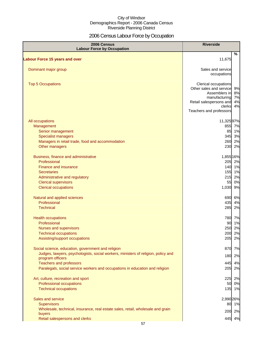# 2006 Census Labour Force by Occupation

| 2006 Census<br><b>Labour Force by Occupation</b>                                                      | <b>Riverside</b>                                |          |
|-------------------------------------------------------------------------------------------------------|-------------------------------------------------|----------|
| <b>Labour Force 15 years and over</b>                                                                 | 11,675                                          | %        |
|                                                                                                       |                                                 |          |
| Dominant major group                                                                                  | Sales and service<br>occupations                |          |
| <b>Top 5 Occupations</b>                                                                              | Clerical occupations<br>Other sales and service | 9%       |
|                                                                                                       | Assemblers in<br>manufacturing                  | 8%<br>7% |
|                                                                                                       | Retail salespersons and                         | 4%       |
|                                                                                                       | clerks<br>Teachers and professors               | 4%       |
| All occupations                                                                                       | 11,32597%                                       |          |
| Management                                                                                            | 855 7%                                          |          |
| Senior management                                                                                     | 85 1%                                           |          |
| <b>Specialist managers</b>                                                                            | 345 3%                                          |          |
| Managers in retail trade, food and accommodation                                                      | 260                                             | 2%       |
| Other managers                                                                                        | 230                                             | 2%       |
| Business, finance and administrative                                                                  | 1,855 16%                                       |          |
| Professional                                                                                          | 205 2%                                          |          |
| <b>Finance and insurance</b>                                                                          | 140 1%                                          |          |
| <b>Secretaries</b>                                                                                    | 155 1%                                          |          |
| Administrative and regulatory                                                                         | 215                                             | 2%       |
| <b>Clerical supervisors</b>                                                                           | 55 0%                                           |          |
| <b>Clerical occupations</b>                                                                           | 1,030 9%                                        |          |
| Natural and applied sciences                                                                          | 690 6%                                          |          |
| Professional                                                                                          | 435                                             | 4%       |
| <b>Technical</b>                                                                                      | 285                                             | 2%       |
| <b>Health occupations</b>                                                                             | 780 7%                                          |          |
| Professional                                                                                          | 90 1%                                           |          |
| Nurses and supervisors                                                                                | 250                                             | 2%       |
| <b>Technical occupations</b>                                                                          | 200                                             | 2%       |
| Assisting/support occupations                                                                         | 205                                             | 2%       |
| Social science, education, government and religion                                                    | 870                                             | 7%       |
| Judges, lawyers, psychologists, social workers, ministers of religion, policy and<br>program officers | 180                                             | 2%       |
| <b>Teachers and professors</b>                                                                        | 445                                             | 4%       |
| Paralegals, social service workers and occupations in education and religion                          | 205                                             | 2%       |
| Art, culture, recreation and sport                                                                    | 225                                             | 2%       |
| Professional occupations                                                                              | 50                                              | 0%       |
| <b>Technical occupations</b>                                                                          | 135 1%                                          |          |
| Sales and service                                                                                     | 2,990 26%                                       |          |
| <b>Supervisors</b>                                                                                    | 80 1%                                           |          |
| Wholesale, technical, insurance, real estate sales, retail, wholesale and grain                       | 200 2%                                          |          |
| buyers                                                                                                |                                                 |          |
| Retail salespersons and clerks                                                                        | 445 4%                                          |          |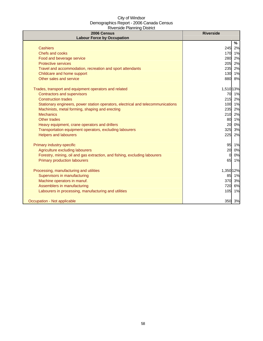| 2006 Census<br><b>Labour Force by Occupation</b>                                 | <b>Riverside</b> |
|----------------------------------------------------------------------------------|------------------|
|                                                                                  | %                |
| <b>Cashiers</b>                                                                  | 245<br>2%        |
| <b>Chefs and cooks</b>                                                           | 170 1%           |
| Food and beverage service                                                        | 2%<br>280        |
| <b>Protective services</b>                                                       | 205<br>2%        |
| Travel and accommodation, recreation and sport attendants                        | 235<br>2%        |
| Childcare and home support                                                       | 1%<br>130        |
| Other sales and service                                                          | 880 8%           |
| Trades, transport and equipment operators and related                            | 1,510 13%        |
| <b>Contractors and supervisors</b>                                               | 70<br>1%         |
| <b>Construction trades</b>                                                       | 215 2%           |
| Stationary engineers, power station operators, electrical and telecommunications | 100 1%           |
| Machinists, metal forming, shaping and erecting                                  | 235 2%           |
| <b>Mechanics</b>                                                                 | 210 2%           |
| Other trades                                                                     | 1%<br>80         |
| Heavy equipment, crane operators and drillers                                    | 0%<br>20         |
| Transportation equipment operators, excluding labourers                          | 325<br>3%        |
| <b>Helpers and labourers</b>                                                     | 225<br>2%        |
| Primary industry-specific                                                        | 95 1%            |
| Agriculture excluding labourers                                                  | 20<br>0%         |
| Forestry, mining, oil and gas extraction, and fishing, excluding labourers       | 0%<br>$\Omega$   |
| <b>Primary production labourers</b>                                              | 65 1%            |
| Processing, manufacturing and utilities                                          | 1,350 12%        |
| Supervisors in manufacturing                                                     | 85<br>1%         |
| Machine operators in manuf.                                                      | 370<br>3%        |
| Assemblers in manufacturing                                                      | 720<br>6%        |
| Labourers in processing, manufacturing and utilities                             | 105 1%           |
| Occupation - Not applicable                                                      | 350 3%           |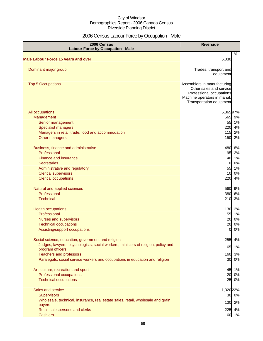# 2006 Census Labour Force by Occupation - Male

| 2006 Census<br><b>Labour Force by Occupation - Male</b>                                               | <b>Riverside</b>                                                                                                                              |    |
|-------------------------------------------------------------------------------------------------------|-----------------------------------------------------------------------------------------------------------------------------------------------|----|
| <b>Male Labour Force 15 years and over</b>                                                            | %<br>6,030                                                                                                                                    |    |
|                                                                                                       |                                                                                                                                               |    |
| Dominant major group                                                                                  | Trades, transport and<br>equipment                                                                                                            |    |
| <b>Top 5 Occupations</b>                                                                              | Assemblers in manufacturing<br>Other sales and service<br>Professional occupations<br>Machine operators in manuf.<br>Transportation equipment |    |
| All occupations                                                                                       | 5,86597%                                                                                                                                      |    |
| Management                                                                                            | 565 9%                                                                                                                                        |    |
| Senior management                                                                                     | 55 1%                                                                                                                                         |    |
| <b>Specialist managers</b>                                                                            | 220                                                                                                                                           | 4% |
| Managers in retail trade, food and accommodation                                                      | 115                                                                                                                                           | 2% |
| Other managers                                                                                        | 150                                                                                                                                           | 2% |
| Business, finance and administrative                                                                  | 480                                                                                                                                           | 8% |
| Professional                                                                                          | 95                                                                                                                                            | 2% |
| Finance and insurance                                                                                 | 40                                                                                                                                            | 1% |
| <b>Secretaries</b>                                                                                    | $\overline{0}$                                                                                                                                | 0% |
| Administrative and regulatory                                                                         | 55                                                                                                                                            | 1% |
| <b>Clerical supervisors</b>                                                                           | 10                                                                                                                                            | 0% |
| <b>Clerical occupations</b>                                                                           | 220                                                                                                                                           | 4% |
| Natural and applied sciences                                                                          | 560 9%                                                                                                                                        |    |
| Professional                                                                                          | 380                                                                                                                                           | 6% |
| <b>Technical</b>                                                                                      | 210                                                                                                                                           | 3% |
| <b>Health occupations</b>                                                                             | 130 2%                                                                                                                                        |    |
| Professional                                                                                          | 55                                                                                                                                            | 1% |
| Nurses and supervisors                                                                                | 20                                                                                                                                            | 0% |
| <b>Technical occupations</b>                                                                          | 20                                                                                                                                            | 0% |
| Assisting/support occupations                                                                         | $\Omega$                                                                                                                                      | 0% |
| Social science, education, government and religion                                                    | 255                                                                                                                                           | 4% |
| Judges, lawyers, psychologists, social workers, ministers of religion, policy and<br>program officers | 65                                                                                                                                            | 1% |
| <b>Teachers and professors</b>                                                                        | 160 3%                                                                                                                                        |    |
| Paralegals, social service workers and occupations in education and religion                          | 30 0%                                                                                                                                         |    |
| Art, culture, recreation and sport                                                                    | 45                                                                                                                                            | 1% |
| Professional occupations                                                                              | 20                                                                                                                                            | 0% |
| <b>Technical occupations</b>                                                                          | 25 0%                                                                                                                                         |    |
| Sales and service                                                                                     | 1,320 22%                                                                                                                                     |    |
| <b>Supervisors</b>                                                                                    | 30 0%                                                                                                                                         |    |
| Wholesale, technical, insurance, real estate sales, retail, wholesale and grain<br>buyers             | 130 2%                                                                                                                                        |    |
| Retail salespersons and clerks                                                                        | 225 4%                                                                                                                                        |    |
| <b>Cashiers</b>                                                                                       | 60 1%                                                                                                                                         |    |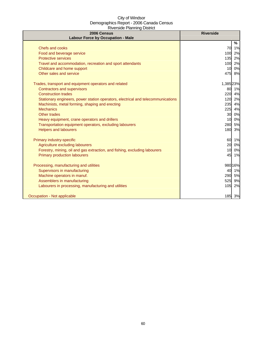| 2006 Census<br><b>Labour Force by Occupation - Male</b>                          | <b>Riverside</b> |
|----------------------------------------------------------------------------------|------------------|
|                                                                                  | %                |
| Chefs and cooks                                                                  | 70<br>1%         |
| Food and beverage service                                                        | 100<br>2%        |
| <b>Protective services</b>                                                       | 135<br>2%        |
| Travel and accommodation, recreation and sport attendants                        | 2%<br>100        |
| Childcare and home support                                                       | 0%<br>10         |
| Other sales and service                                                          | 8%<br>475        |
| Trades, transport and equipment operators and related                            | 1,385 23%        |
| Contractors and supervisors                                                      | 80<br>1%         |
| <b>Construction trades</b>                                                       | 220<br>4%        |
| Stationary engineers, power station operators, electrical and telecommunications | 2%<br>120        |
| Machinists, metal forming, shaping and erecting                                  | 4%<br>235        |
| <b>Mechanics</b>                                                                 | 225<br>4%        |
| Other trades                                                                     | 30<br>0%         |
| Heavy equipment, crane operators and drillers                                    | 0%<br>10         |
| Transportation equipment operators, excluding labourers                          | 5%<br>280        |
| <b>Helpers and labourers</b>                                                     | 3%<br>180        |
| Primary industry-specific                                                        | 1%<br>60         |
| Agriculture excluding labourers                                                  | 0%<br>20         |
| Forestry, mining, oil and gas extraction, and fishing, excluding labourers       | 0%<br>10         |
| <b>Primary production labourers</b>                                              | 45<br>1%         |
| Processing, manufacturing and utilities                                          | 980 16%          |
| Supervisors in manufacturing                                                     | 40<br>1%         |
| Machine operators in manuf.                                                      | 290 5%           |
| Assemblers in manufacturing                                                      | 525<br>9%        |
| Labourers in processing, manufacturing and utilities                             | 105<br>2%        |
| Occupation - Not applicable                                                      | 185 3%           |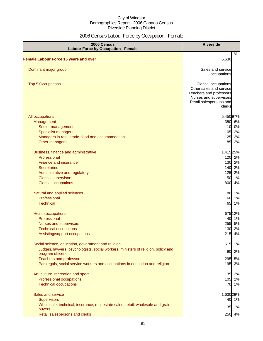# 2006 Census Labour Force by Occupation - Female

| 2006 Census<br><b>Labour Force by Occupation - Female</b>                         | <b>Riverside</b>                                                                                                                          |
|-----------------------------------------------------------------------------------|-------------------------------------------------------------------------------------------------------------------------------------------|
| <b>Female Labour Force 15 years and over</b>                                      | %<br>5,630                                                                                                                                |
| Dominant major group                                                              | Sales and service<br>occupations                                                                                                          |
| <b>Top 5 Occupations</b>                                                          | Clerical occupations<br>Other sales and service<br>Teachers and professors<br>Nurses and supervisors<br>Retail salespersons and<br>clerks |
| All occupations                                                                   | 5,450 97%                                                                                                                                 |
| Management                                                                        | 350 6%                                                                                                                                    |
| Senior management                                                                 | 10 0%                                                                                                                                     |
| <b>Specialist managers</b>                                                        | 105 2%                                                                                                                                    |
| Managers in retail trade, food and accommodation                                  | 125<br>2%                                                                                                                                 |
| Other managers                                                                    | 2%<br>85                                                                                                                                  |
| Business, finance and administrative                                              | 1,415 25%                                                                                                                                 |
| Professional                                                                      | 120 2%                                                                                                                                    |
| Finance and insurance                                                             | 130 2%                                                                                                                                    |
| <b>Secretaries</b>                                                                | 140 2%                                                                                                                                    |
| Administrative and regulatory                                                     | 2%<br>125                                                                                                                                 |
| <b>Clerical supervisors</b>                                                       | 1%<br>50                                                                                                                                  |
| <b>Clerical occupations</b>                                                       | 800 14%                                                                                                                                   |
| Natural and applied sciences                                                      | 80 1%                                                                                                                                     |
| Professional                                                                      | 60<br>1%                                                                                                                                  |
| <b>Technical</b>                                                                  | 65<br>1%                                                                                                                                  |
| <b>Health occupations</b>                                                         | 675 12%                                                                                                                                   |
| Professional                                                                      | 40 1%                                                                                                                                     |
| <b>Nurses and supervisors</b>                                                     | 255 5%                                                                                                                                    |
| <b>Technical occupations</b>                                                      | 130 2%                                                                                                                                    |
| Assisting/support occupations                                                     | 215<br>4%                                                                                                                                 |
| Social science, education, government and religion                                | 615 11%                                                                                                                                   |
| Judges, lawyers, psychologists, social workers, ministers of religion, policy and | 2%<br>90                                                                                                                                  |
| program officers<br><b>Teachers and professors</b>                                | 5%<br>295                                                                                                                                 |
| Paralegals, social service workers and occupations in education and religion      | 195<br>3%                                                                                                                                 |
|                                                                                   |                                                                                                                                           |
| Art, culture, recreation and sport                                                | 135<br>2%                                                                                                                                 |
| Professional occupations                                                          | 105 2%                                                                                                                                    |
| <b>Technical occupations</b>                                                      | 70 1%                                                                                                                                     |
| Sales and service                                                                 | 1,630 29%                                                                                                                                 |
| <b>Supervisors</b>                                                                | 40 1%                                                                                                                                     |
| Wholesale, technical, insurance, real estate sales, retail, wholesale and grain   | 35 1%                                                                                                                                     |
| buyers                                                                            |                                                                                                                                           |
| Retail salespersons and clerks                                                    | 250 4%                                                                                                                                    |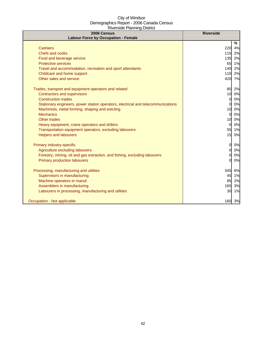| 2006 Census<br><b>Labour Force by Occupation - Female</b>                        | <b>Riverside</b> |    |
|----------------------------------------------------------------------------------|------------------|----|
|                                                                                  | %                |    |
| <b>Cashiers</b>                                                                  | 220<br>4%        |    |
| Chefs and cooks                                                                  | 115<br>2%        |    |
| Food and beverage service                                                        | 135              | 2% |
| <b>Protective services</b>                                                       | 65               | 1% |
| Travel and accommodation, recreation and sport attendants                        | 140              | 2% |
| Childcare and home support                                                       | 110              | 2% |
| Other sales and service                                                          | 420              | 7% |
| Trades, transport and equipment operators and related                            | 85<br>2%         |    |
| <b>Contractors and supervisors</b>                                               | 10<br>0%         |    |
| <b>Construction trades</b>                                                       | $\Omega$         | 0% |
| Stationary engineers, power station operators, electrical and telecommunications | 0                | 0% |
| Machinists, metal forming, shaping and erecting                                  | 10<br>0%         |    |
| <b>Mechanics</b>                                                                 | $\Omega$         | 0% |
| <b>Other trades</b>                                                              | 0%<br>10         |    |
| Heavy equipment, crane operators and drillers                                    | $\Omega$         | 0% |
| Transportation equipment operators, excluding labourers                          | 55 1%            |    |
| <b>Helpers and labourers</b>                                                     | 15 0%            |    |
| Primary industry-specific                                                        | $\Omega$         | 0% |
| Agriculture excluding labourers                                                  | $\Omega$         | 0% |
| Forestry, mining, oil and gas extraction, and fishing, excluding labourers       | O                | 0% |
| <b>Primary production labourers</b>                                              | 0                | 0% |
| Processing, manufacturing and utilities                                          | 345<br>6%        |    |
| Supervisors in manufacturing                                                     | 45               | 1% |
| Machine operators in manuf.                                                      | 85               | 2% |
| Assemblers in manufacturing                                                      | 165              | 3% |
| Labourers in processing, manufacturing and utilities                             | 30               | 1% |
| Occupation - Not applicable                                                      | 160 3%           |    |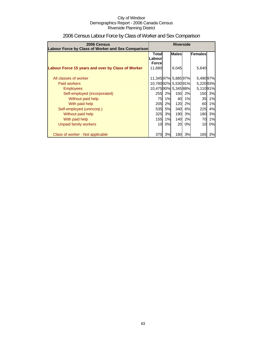| 2006 Census<br>Labour Force by Class of Worker and Sex Comparison | <b>Riverside</b>                            |    |              |    |                 |    |
|-------------------------------------------------------------------|---------------------------------------------|----|--------------|----|-----------------|----|
|                                                                   | <b>Males</b><br>Females<br>Total<br>Labourl |    |              |    |                 |    |
| Labour Force 15 years and over by Class of Worker                 | <b>Force</b><br>11,680                      |    | 6,045        |    | 5,640           |    |
| All classes of worker                                             | 11,34597% 5,88597%                          |    |              |    | 5,490 97%       |    |
| Paid workers                                                      | 10,78092% 5,53091%                          |    |              |    | 5,220 93%       |    |
| <b>Employees</b>                                                  | 10,475 90% 5,345 88%                        |    |              |    | 5,11091%        |    |
| Self-employed (incorporated)                                      | 255                                         | 2% | 150 <b>I</b> | 2% | 150 <b>I</b>    | 3% |
| Without paid help                                                 | 75                                          | 1% | 40           | 1% | 35 <sub>l</sub> | 1% |
| With paid help                                                    | 205                                         | 2% | 120          | 2% | 60              | 1% |
| Self-employed (unincorp.)                                         | 535                                         | 5% | 340          | 6% | 225             | 4% |
| Without paid help                                                 | 325                                         | 3% | 190          | 3% | 180I            | 3% |
| With paid help                                                    | 155                                         | 1% | 140          | 2% | 70              | 1% |
| Unpaid family workers                                             | 10                                          | 0% | 20           | 0% | 10              | 0% |
| Class of worker - Not applicable                                  | 370                                         | 3% | <b>180</b>   | 3% | 165I            | 3% |

# 2006 Census Labour Force by Class of Worker and Sex Comparison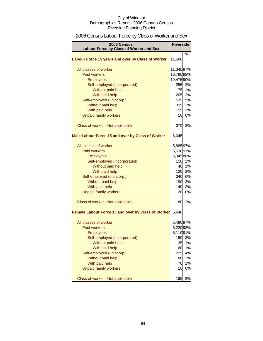# 2006 Census Labour Force by Class of Worker and Sex

| 2006 Census<br>Labour Force by Class of Worker and Sex | <b>Riverside</b> |        |
|--------------------------------------------------------|------------------|--------|
|                                                        |                  | %      |
| Labour Force 15 years and over by Class of Worker      | 11,680           |        |
| All classes of worker                                  | 11,34597%        |        |
| <b>Paid workers</b>                                    | 10,78092%        |        |
| <b>Employees</b>                                       | 10,47590%        |        |
| Self-employed (incorporated)                           | 255              | 2%     |
| Without paid help                                      | 75               | 1%     |
| With paid help                                         | 205              | 2%     |
| Self-employed (unincorp.)                              |                  | 535 5% |
| Without paid help                                      | 325              | 3%     |
| With paid help                                         | 155              | 1%     |
| <b>Unpaid family workers</b>                           | 10               | 0%     |
| Class of worker - Not applicable                       | 370              | 3%     |
| Male Labour Force 15 and over by Class of Worker       | 6,045            |        |
| All classes of worker                                  | 5,88597%         |        |
| Paid workers                                           | 5,53091%         |        |
| <b>Employees</b>                                       | 5,34588%         |        |
| Self-employed (incorporated)                           | 150              | 2%     |
| Without paid help                                      | 40               | 1%     |
| With paid help                                         | 120              | 2%     |
| Self-employed (unincorp.)                              | 340              | 6%     |
| Without paid help                                      | 190              | 3%     |
| With paid help                                         | 140              | 2%     |
| <b>Unpaid family workers</b>                           | 20               | 0%     |
| Class of worker - Not applicable                       | 180              | 3%     |
| Female Labour Force 15 and over by Class of Worker     | 5,640            |        |
| All classes of worker                                  | 5,490 97%        |        |
| <b>Paid workers</b>                                    | 5,22093%         |        |
| <b>Employees</b>                                       | 5,11091%         |        |
| Self-employed (incorporated)                           | 150              | 3%     |
| Without paid help                                      | 35               | $1\%$  |
| With paid help                                         | 60               | 1%     |
| Self-employed (unincorp)                               | 225              | 4%     |
| Without paid help                                      | 180              | 3%     |
| With paid help                                         | 70               | 1%     |
| <b>Unpaid family workers</b>                           | 10               | 0%     |
| Class of worker - Not applicable                       | 165              | 3%     |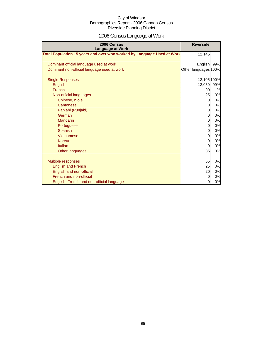# 2006 Census Language at Work

| 2006 Census<br><b>Language at Work</b>                                 | <b>Riverside</b>     |    |
|------------------------------------------------------------------------|----------------------|----|
| Total Population 15 years and over who worked by Language Used at Work | 12,145               |    |
| Dominant official language used at work                                | English 99%          |    |
| Dominant non-official language used at work                            | Other languages 100% |    |
| <b>Single Responses</b>                                                | 12,105 100%          |    |
| English                                                                | 12,050 99%           |    |
| French                                                                 | 90                   | 1% |
| Non-official languages                                                 | 25                   | 0% |
| Chinese, n.o.s.                                                        | $\overline{O}$       | 0% |
| Cantonese                                                              | $\overline{0}$       | 0% |
| Panjabi (Punjabi)                                                      | 0                    | 0% |
| German                                                                 | $\overline{0}$       | 0% |
| <b>Mandarin</b>                                                        | $\overline{0}$       | 0% |
| Portuguese                                                             | 0                    | 0% |
| Spanish                                                                | $\overline{0}$       | 0% |
| Vietnamese                                                             | $\overline{0}$       | 0% |
| Korean                                                                 | 0                    | 0% |
| Italian                                                                | 0l                   | 0% |
| Other languages                                                        | 35                   | 0% |
| <b>Multiple responses</b>                                              | 55                   | 0% |
| <b>English and French</b>                                              | 25                   | 0% |
| English and non-official                                               | 20                   | 0% |
| French and non-official                                                | $\overline{0}$       | 0% |
| English, French and non-official language                              | $\mathbf{0}$         | 0% |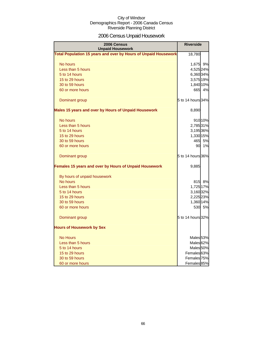# 2006 Census Unpaid Housework

| 2006 Census<br><b>Unpaid Housework</b>                                 | <b>Riverside</b>       |
|------------------------------------------------------------------------|------------------------|
| <b>Total Population 15 years and over by Hours of Unpaid Housework</b> | 18,780                 |
| No hours                                                               | 1,675 9%               |
| Less than 5 hours                                                      | 4,525 24%              |
| 5 to 14 hours                                                          | 6,360 34%              |
| 15 to 29 hours                                                         | 3,575 19%              |
| 30 to 59 hours                                                         | 1,840 10%              |
| 60 or more hours                                                       | 665 4%                 |
| Dominant group                                                         | 5 to 14 hours 34%      |
| <b>Males 15 years and over by Hours of Unpaid Housework</b>            | 8,890                  |
| No hours                                                               | 910 10%                |
| Less than 5 hours                                                      | 2,785 31%              |
| 5 to 14 hours                                                          | 3,195 36%              |
| 15 to 29 hours                                                         | 1,330 15%              |
| 30 to 59 hours                                                         | 465 5%                 |
| 60 or more hours                                                       | 1%<br>90               |
| Dominant group                                                         | 5 to 14 hours 36%      |
| Females 15 years and over by Hours of Unpaid Housework                 | 9,885                  |
| By hours of unpaid housework                                           |                        |
| No hours                                                               | 815 8%                 |
| Less than 5 hours                                                      | 1,725 17%              |
| 5 to 14 hours                                                          | 3,160 32%              |
| 15 to 29 hours                                                         | 2,225 23%              |
| 30 to 59 hours                                                         | 1,360 14%              |
| 60 or more hours                                                       | 530 5%                 |
| Dominant group                                                         | 5 to 14 hours 32%      |
| <b>Hours of Housework by Sex</b>                                       |                        |
| <b>No Hours</b>                                                        | Males <sub>53%</sub>   |
| Less than 5 hours                                                      | Males <sub>62%</sub>   |
| 5 to 14 hours                                                          | Males <sub>50%</sub>   |
| 15 to 29 hours                                                         | Females <sup>63%</sup> |
| 30 to 59 hours                                                         | Females 75%            |
| 60 or more hours                                                       | Females 85%            |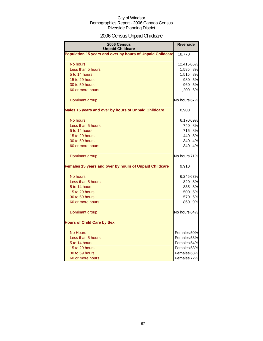# 2006 Census Unpaid Childcare

| 2006 Census<br><b>Unpaid Childcare</b>                    | <b>Riverside</b>        |        |
|-----------------------------------------------------------|-------------------------|--------|
| Population 15 years and over by hours of Unpaid Childcare | 18,770                  |        |
| No hours                                                  | 12,41566%               |        |
| Less than 5 hours                                         | 1,585 8%                |        |
| 5 to 14 hours                                             | 1,515                   | 8%     |
| 15 to 29 hours                                            | 980                     | 5%     |
| 30 to 59 hours                                            | 960                     | 5%     |
| 60 or more hours                                          | 1,200 6%                |        |
| Dominant group                                            | No hours 67%            |        |
| Males 15 years and over by hours of Unpaid Childcare      | 8,900                   |        |
| No hours                                                  | 6,170 69%               |        |
| Less than 5 hours                                         |                         | 740 8% |
| 5 to 14 hours                                             | 715                     | 8%     |
| 15 to 29 hours                                            | 440                     | 5%     |
| 30 to 59 hours                                            | 340                     | 4%     |
| 60 or more hours                                          | 340                     | 4%     |
| Dominant group                                            | No hours <sup>71%</sup> |        |
| Females 15 years and over by hours of Unpaid Childcare    | 9,910                   |        |
| No hours                                                  | 6,245 63%               |        |
| Less than 5 hours                                         |                         | 820 8% |
| 5 to 14 hours                                             |                         | 835 8% |
| 15 to 29 hours                                            | 500l                    | 5%     |
| 30 to 59 hours                                            | 570                     | 6%     |
| 60 or more hours                                          | 860                     | 9%     |
| Dominant group                                            | No hours 64%            |        |
| <b>Hours of Child Care by Sex</b>                         |                         |        |
| <b>No Hours</b>                                           | Females <sup>50%</sup>  |        |
| Less than 5 hours                                         | Females <sub>53%</sub>  |        |
| 5 to 14 hours                                             | Females 54%             |        |
| 15 to 29 hours                                            | Females <sub>53%</sub>  |        |
| 30 to 59 hours                                            | Females <sup>63%</sup>  |        |
| 60 or more hours                                          | Females <sub>72%</sub>  |        |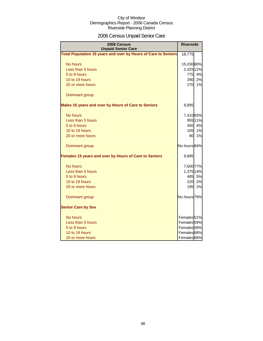# 2006 Census Unpaid Senior Care

| 2006 Census<br><b>Unpaid Senior Care</b>                              | <b>Riverside</b>       |         |
|-----------------------------------------------------------------------|------------------------|---------|
| <b>Total Population 15 years and over by Hours of Care to Seniors</b> | 18,775                 |         |
| No hours                                                              | 15,030 80%             |         |
| Less than 5 hours                                                     | 2,325 12%              |         |
| 5 to 9 hours                                                          | 775                    | 4%      |
| 10 to 19 hours                                                        | 290                    | 2%      |
| 20 or more hours                                                      | 270                    | 1%      |
| Dominant group                                                        |                        |         |
| Males 15 years and over by Hours of Care to Seniors                   | 8,895                  |         |
| No hours                                                              | 7,410 83%              |         |
| Less than 5 hours                                                     |                        | 955 11% |
| 5 to 9 hours                                                          | 350                    | 4%      |
| 10 to 19 hours                                                        | 105                    | 1%      |
| 20 or more hours                                                      | 90l                    | 1%      |
| Dominant group                                                        | No hours 84%           |         |
| Females 15 years and over by Hours of Care to Seniors                 | 9,895                  |         |
| No hours                                                              | 7,600 77%              |         |
| Less than 5 hours                                                     | 1,375 14%              |         |
| 5 to 9 hours                                                          | 485                    | 5%      |
| 10 to 19 hours                                                        | 220                    | 2%      |
| 20 or more hours                                                      | 195                    | 2%      |
| Dominant group                                                        | No hours 79%           |         |
| <b>Senior Care by Sex</b>                                             |                        |         |
| No hours                                                              | Females <sup>51%</sup> |         |
| Less than 5 hours                                                     | Females 59%            |         |
| 5 to 9 hours                                                          | Females 58%            |         |
| 10 to 19 hours                                                        | Females <sup>68%</sup> |         |
| 20 or more hours                                                      | Females 68%            |         |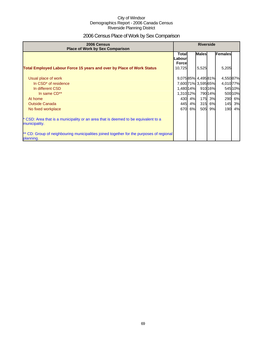# 2006 Census Place of Work by Sex Comparison

| 2006 Census<br><b>Place of Work by Sex Comparison</b>                                                 | <b>Riverside</b>                 |        |                     |         |                |         |
|-------------------------------------------------------------------------------------------------------|----------------------------------|--------|---------------------|---------|----------------|---------|
|                                                                                                       | Totall<br>Labour<br><b>Force</b> |        | <b>Males</b>        |         | <b>Females</b> |         |
| <b>Total Employed Labour Force 15 years and over by Place of Work Status</b>                          | 10,725                           |        | 5,525               |         | 5,205          |         |
| Usual place of work                                                                                   |                                  |        | 9,07585% 4,49581%   |         | 4,550 87%      |         |
| In CSD <sup>*</sup> of residence                                                                      |                                  |        | 7,600 71% 3,595 65% |         | 4,010 77%      |         |
| In different CSD                                                                                      | 1,480 14%                        |        |                     | 910 16% |                | 545 10% |
| In same CD**                                                                                          | 1,310 12%                        |        |                     | 790 14% |                | 500 10% |
| At home                                                                                               |                                  | 430 4% | 175                 | 3%      | 290            | 6%      |
| <b>Outside Canada</b>                                                                                 | 445                              | 4%     | 315                 | 6%      | 145            | 3%      |
| No fixed workplace                                                                                    |                                  | 670 6% | 505                 | 9%      | 190 <b>I</b>   | 4%      |
| CSD: Area that is a municipality or an area that is deemed to be equivalent to a<br>municipality.     |                                  |        |                     |         |                |         |
| ** CD: Group of neighbouring municipalities joined together for the purposes of regional<br>planning. |                                  |        |                     |         |                |         |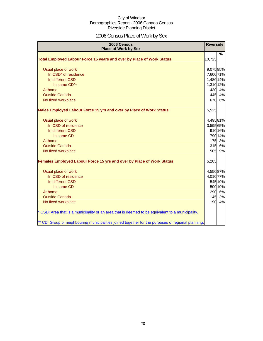# 2006 Census Place of Work by Sex

| 2006 Census<br><b>Place of Work by Sex</b>                                                         | <b>Riverside</b> |               |
|----------------------------------------------------------------------------------------------------|------------------|---------------|
| Total Employed Labour Force 15 years and over by Place of Work Status                              | 10,725           | $\frac{9}{6}$ |
|                                                                                                    |                  |               |
| Usual place of work                                                                                | 9,075 85%        |               |
| In CSD* of residence                                                                               | 7,600 71%        |               |
| In different CSD                                                                                   | 1,480 14%        |               |
| In same CD**                                                                                       | 1,310 12%        |               |
| At home                                                                                            | 430              | 4%            |
| <b>Outside Canada</b>                                                                              |                  | 445 4%        |
| No fixed workplace                                                                                 |                  | 670 6%        |
| Males Employed Labour Force 15 yrs and over by Place of Work Status                                | 5,525            |               |
| Usual place of work                                                                                | 4,49581%         |               |
| In CSD of residence                                                                                | 3,595 65%        |               |
| In different CSD                                                                                   |                  | 910 16%       |
| In same CD                                                                                         |                  | 790 14%       |
| At home                                                                                            |                  | 175 3%        |
| <b>Outside Canada</b>                                                                              |                  | 315 6%        |
| No fixed workplace                                                                                 | 505              | 9%            |
| Females Employed Labour Force 15 yrs and over by Place of Work Status                              | 5,205            |               |
| Usual place of work                                                                                | 4,550 87%        |               |
| In CSD of residence                                                                                | 4,010 77%        |               |
| In different CSD                                                                                   |                  | 545 10%       |
| In same CD                                                                                         |                  | 500 10%       |
| At home                                                                                            |                  | 290 6%        |
| <b>Outside Canada</b>                                                                              | 145              | 3%            |
| No fixed workplace                                                                                 | 190              | 4%            |
| * CSD: Area that is a municipality or an area that is deemed to be equivalent to a municipality.   |                  |               |
| ** CD: Group of neighbouring municipalities joined together for the purposes of regional planning. |                  |               |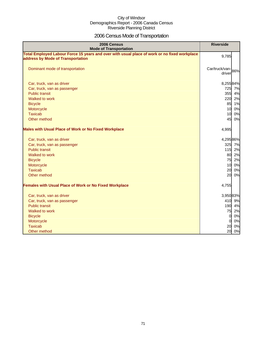# 2006 Census Mode of Transportation

| 2006 Census<br><b>Mode of Transportation</b>                                                                                      | <b>Riverside</b>            |
|-----------------------------------------------------------------------------------------------------------------------------------|-----------------------------|
| Total Employed Labour Force 15 years and over with usual place of work or no fixed workplace<br>address by Mode of Transportation | 9,785                       |
| Dominant mode of transportation                                                                                                   | Car/truck/van-86%<br>driver |
| Car, truck, van as driver                                                                                                         | 8,25584%                    |
| Car, truck, van as passenger                                                                                                      | 725 7%                      |
| <b>Public transit</b>                                                                                                             | 355<br>4%                   |
| Walked to work                                                                                                                    | 220<br>2%                   |
| <b>Bicycle</b>                                                                                                                    | 85<br>1%                    |
| Motorcycle                                                                                                                        | 10<br>0%                    |
| <b>Taxicab</b>                                                                                                                    | 10<br>0%                    |
| Other method                                                                                                                      | 45<br>0%                    |
| <b>Males with Usual Place of Work or No Fixed Workplace</b>                                                                       | 4,995                       |
| Car, truck, van as driver                                                                                                         | 4,295 86%                   |
| Car, truck, van as passenger                                                                                                      | 325 7%                      |
| <b>Public transit</b>                                                                                                             | 115 2%                      |
| Walked to work                                                                                                                    | 80<br>2%                    |
| <b>Bicycle</b>                                                                                                                    | 75<br>2%                    |
| Motorcycle                                                                                                                        | 10<br>0%                    |
| <b>Taxicab</b>                                                                                                                    | 20<br>0%                    |
| Other method                                                                                                                      | 20<br>0%                    |
| <b>Females with Usual Place of Work or No Fixed Workplace</b>                                                                     | 4,755                       |
| Car, truck, van as driver                                                                                                         | 3,95083%                    |
| Car, truck, van as passenger                                                                                                      | 410 9%                      |
| <b>Public transit</b>                                                                                                             | 190 4%                      |
| Walked to work                                                                                                                    | 75<br>2%                    |
| <b>Bicycle</b>                                                                                                                    | 0%<br>$\overline{0}$        |
| Motorcycle                                                                                                                        | 0%<br>$\overline{0}$        |
| <b>Taxicab</b>                                                                                                                    | 0%<br>20                    |
| Other method                                                                                                                      | 20<br>0%                    |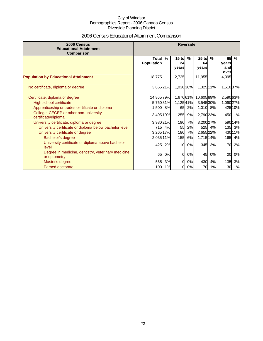# 2006 Census Educational Attainment Comparison

| 2006 Census<br><b>Educational Attainment</b><br>Comparison         | <b>Riverside</b>                  |        |                        |    |                        |      |                            |               |
|--------------------------------------------------------------------|-----------------------------------|--------|------------------------|----|------------------------|------|----------------------------|---------------|
|                                                                    | <b>Total</b><br><b>Population</b> | $\%$   | $15$ to<br>24<br>vears | %  | $25$ to<br>64<br>years | $\%$ | 65<br>years<br>and<br>over | $\frac{9}{6}$ |
| <b>Population by Educational Attainment</b>                        | 18,775                            |        | 2,725                  |    | 11,955                 |      | 4,095                      |               |
| No certificate, diploma or degree                                  | 3,865 21%                         |        | 1,030 38%              |    | 1,325 11%              |      | 1,510 37%                  |               |
| Certificate, diploma or degree                                     | 14,865 79%                        |        | 1,670 61%              |    | 10,60589%              |      | 2,59063%                   |               |
| High school certificate                                            | 5,760 31%                         |        | 1,12541%               |    | 3,545 30%              |      | 1,090 27%                  |               |
| Apprenticeship or trades certificate or diploma                    | 1,500 8%                          |        | 65                     | 2% | 1,010 8%               |      |                            | 425 10%       |
| College, CEGEP or other non-university<br>certificate/diploma      | 3,495 19%                         |        | 255                    | 9% | 2,790 23%              |      |                            | 45011%        |
| University certificate, diploma or degree                          | 3,980 21%                         |        | 190                    | 7% | 3,200 27%              |      |                            | 59014%        |
| University certificate or diploma below bachelor level             |                                   | 715 4% | 55                     | 2% | 525                    | 4%   | 135                        | 3%            |
| University certificate or degree                                   | 3,265 17%                         |        | 180                    | 7% | 2,655 22%              |      |                            | 43011%        |
| Bachelor's degree                                                  | 2,035 11%                         |        | 155                    | 6% | 1,715 14%              |      | 165                        | 4%            |
| University certificate or diploma above bachelor<br>level          | 425                               | 2%     | 10                     | 0% | 345                    | 3%   | 70                         | 2%            |
| Degree in medicine, dentistry, veterinary medicine<br>or optometry | 65                                | 0%     | <sub>0</sub>           | 0% | 45                     | 0%   | 20                         | 0%            |
| Master's degree                                                    |                                   | 565 3% | 0l                     | 0% | 430                    | 4%   | 135                        | 3%            |
| <b>Earned doctorate</b>                                            |                                   | 100 1% | $\overline{0}$         | 0% | 70                     | 1%   | 30                         | 1%            |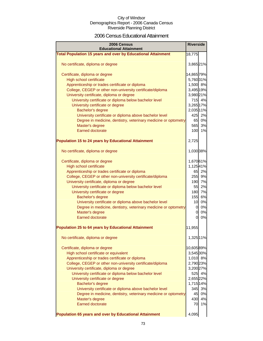### 2006 Census Educational Attainment

| 2006 Census<br><b>Educational Attainment</b>                        | <b>Riverside</b> |        |
|---------------------------------------------------------------------|------------------|--------|
| <b>Total Population 15 years and over by Educational Attainment</b> | 18,775           |        |
|                                                                     |                  |        |
| No certificate, diploma or degree                                   | 3,865 21%        |        |
|                                                                     |                  |        |
| Certificate, diploma or degree                                      | 14,865 79%       |        |
| High school certificate                                             | 5,760 31%        |        |
| Apprenticeship or trades certificate or diploma                     | 1,500 8%         |        |
| College, CEGEP or other non-university certificate/diploma          | 3,495 19%        |        |
| University certificate, diploma or degree                           | 3,980 21%        |        |
| University certificate or diploma below bachelor level              |                  | 715 4% |
| University certificate or degree                                    | 3,265 17%        |        |
| Bachelor's degree                                                   | 2,035 11%        |        |
| University certificate or diploma above bachelor level              |                  | 425 2% |
| Degree in medicine, dentistry, veterinary medicine or optometry     | 65               | 0%     |
| Master's degree                                                     | 565              | 3%     |
| Earned doctorate                                                    | 100              | 1%     |
|                                                                     |                  |        |
| <b>Population 15 to 24 years by Educational Attainment</b>          | 2,725            |        |
|                                                                     |                  |        |
| No certificate, diploma or degree                                   | 1,030 38%        |        |
|                                                                     |                  |        |
| Certificate, diploma or degree                                      | 1,67061%         |        |
| High school certificate                                             | 1,12541%         | 65 2%  |
| Apprenticeship or trades certificate or diploma                     |                  | 255 9% |
| College, CEGEP or other non-university certificate/diploma          |                  |        |
| University certificate, diploma or degree                           |                  | 190 7% |
| University certificate or diploma below bachelor level              | 55               | 2%     |
| University certificate or degree                                    |                  | 180 7% |
| Bachelor's degree                                                   |                  | 155 6% |
| University certificate or diploma above bachelor level              | 10 <sup>1</sup>  | 0%     |
| Degree in medicine, dentistry, veterinary medicine or optometry     | 0                | 0%     |
| Master's degree                                                     | 0                | 0%     |
| <b>Earned doctorate</b>                                             | 0                | 0%     |
| <b>Population 25 to 64 years by Educational Attainment</b>          | 11,955           |        |
|                                                                     |                  |        |
| No certificate, diploma or degree                                   | 1,325 11%        |        |
|                                                                     |                  |        |
| Certificate, diploma or degree                                      | 10,60589%        |        |
| High school certificate or equivalent                               | 3,545 30%        |        |
| Apprenticeship or trades certificate or diploma                     | 1,010 8%         |        |
| College, CEGEP or other non-university certificate/diploma          | 2,790 23%        |        |
| University certificate, diploma or degree                           | 3,200 27%        |        |
| University certificate or diploma below bachelor level              |                  | 525 4% |
| University certificate or degree                                    | 2,655 22%        |        |
| <b>Bachelor's degree</b>                                            | 1,715 14%        |        |
| University certificate or diploma above bachelor level              | 345              | 3%     |
| Degree in medicine, dentistry, veterinary medicine or optometry     | 45               | 0%     |
| Master's degree                                                     | 430              | 4%     |
| <b>Earned doctorate</b>                                             | 70               | 1%     |
|                                                                     |                  |        |
| Population 65 years and over by Educational Attainment              | 4,095            |        |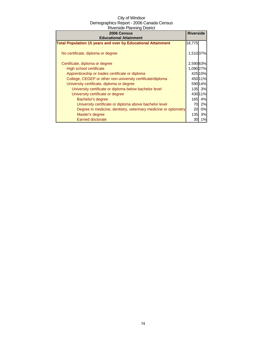| 2006 Census                                                         | <b>Riverside</b> |         |
|---------------------------------------------------------------------|------------------|---------|
| <b>Educational Attainment</b>                                       |                  |         |
| <b>Total Population 15 years and over by Educational Attainment</b> | 18,775           |         |
| No certificate, diploma or degree                                   | 1,510 37%        |         |
| Certificate, diploma or degree                                      | 2,590 63%        |         |
| High school certificate                                             | 1,090 27%        |         |
| Apprenticeship or trades certificate or diploma                     |                  | 425 10% |
| College, CEGEP or other non-university certificate/diploma          |                  | 450 11% |
| University certificate, diploma or degree                           |                  | 590 14% |
| University certificate or diploma below bachelor level              |                  | 135 3%  |
| University certificate or degree                                    |                  | 430 11% |
| Bachelor's degree                                                   |                  | 165 4%  |
| University certificate or diploma above bachelor level              | 70.              | 2%      |
| Degree in medicine, dentistry, veterinary medicine or optometry     | 20l              | 0%      |
| Master's degree                                                     | 135              | 3%      |
| <b>Earned doctorate</b>                                             | 30               | 1%      |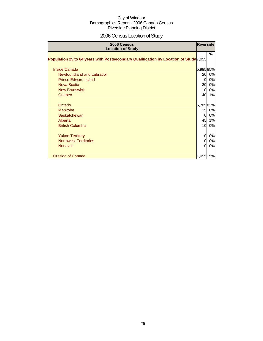# 2006 Census Location of Study

| 2006 Census<br><b>Location of Study</b>                                               | Riverside    |    |
|---------------------------------------------------------------------------------------|--------------|----|
| Population 25 to 64 years with Postsecondary Qualification by Location of Study 7,055 |              | %  |
| <b>Inside Canada</b>                                                                  | 5,98585%     |    |
| Newfoundland and Labrador                                                             | 20           | 0% |
| <b>Prince Edward Island</b>                                                           | 0            | 0% |
| Nova Scotia                                                                           | 30           | 0% |
| <b>New Brunswick</b>                                                                  | 10           | 0% |
| Quebec                                                                                | 40           | 1% |
| Ontario                                                                               | 5,78582%     |    |
| <b>Manitoba</b>                                                                       | 35           | 0% |
| Saskatchewan                                                                          | 0            | 0% |
| Alberta                                                                               | 45           | 1% |
| <b>British Columbia</b>                                                               | 10           | 0% |
| <b>Yukon Territory</b>                                                                | 0            | 0% |
| <b>Northwest Territories</b>                                                          | 0            | 0% |
| <b>Nunavut</b>                                                                        | <sub>0</sub> | 0% |
| <b>Outside of Canada</b>                                                              | 1,055 15%    |    |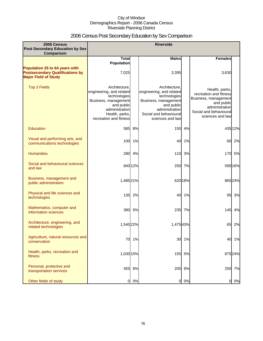# 2006 Census Post Secondary Education by Sex Comparison

| 2006 Census<br>Post Secondary Education by Sex                                                          |                                                                                                                                                               |         | <b>Riverside</b>                                                                                                                                                |         |                                                                                                                                                |         |
|---------------------------------------------------------------------------------------------------------|---------------------------------------------------------------------------------------------------------------------------------------------------------------|---------|-----------------------------------------------------------------------------------------------------------------------------------------------------------------|---------|------------------------------------------------------------------------------------------------------------------------------------------------|---------|
| Comparison                                                                                              |                                                                                                                                                               |         |                                                                                                                                                                 |         |                                                                                                                                                |         |
|                                                                                                         | <b>Total</b><br><b>Population</b>                                                                                                                             |         | <b>Males</b>                                                                                                                                                    |         | <b>Females</b>                                                                                                                                 |         |
| Population 25 to 64 years with<br><b>Postsecondary Qualifications by</b><br><b>Major Field of Study</b> | 7,025                                                                                                                                                         |         | 3,395                                                                                                                                                           |         | 3,630                                                                                                                                          |         |
| <b>Top 3 Fields</b>                                                                                     | Architecture.<br>engineering, and related<br>technologies<br>Business, management<br>and public<br>administration<br>Health, parks,<br>recreation and fitness |         | Architecture.<br>engineering, and related<br>technologies<br>Business, management<br>and public<br>administration<br>Social and behavioural<br>sciences and law |         | Health, parks,<br>recreation and fitness<br>Business, management<br>and public<br>administration<br>Social and behavioural<br>sciences and law |         |
| Education                                                                                               | 585                                                                                                                                                           | 8%      | 150                                                                                                                                                             | 4%      |                                                                                                                                                | 435 12% |
| Visual and performing arts, and<br>communications technologies                                          |                                                                                                                                                               | 100 1%  | 40                                                                                                                                                              | 1%      | 60                                                                                                                                             | 2%      |
| <b>Humanities</b>                                                                                       | 280                                                                                                                                                           | 4%      | 110                                                                                                                                                             | 3%      | 170                                                                                                                                            | 5%      |
| Social and behavioural sciences<br>and law                                                              |                                                                                                                                                               | 840 12% | 250                                                                                                                                                             | 7%      |                                                                                                                                                | 590 16% |
| Business, management and<br>public administration                                                       | 1,485 21%                                                                                                                                                     |         |                                                                                                                                                                 | 620 18% |                                                                                                                                                | 865 24% |
| Physical and life sciences and<br>technologies                                                          | 135                                                                                                                                                           | 2%      | 40                                                                                                                                                              | 1%      | 95                                                                                                                                             | 3%      |
| Mathematics, computer and<br>information sciences                                                       | 380                                                                                                                                                           | 5%      | 235                                                                                                                                                             | 7%      | 145                                                                                                                                            | 4%      |
| Architecture, engineering, and<br>related technologies                                                  | 1,540 22%                                                                                                                                                     |         | 1,475 43%                                                                                                                                                       |         | 65                                                                                                                                             | 2%      |
| Agriculture, natural resources and<br>conservation                                                      | 70                                                                                                                                                            | 1%      | 30                                                                                                                                                              | 1%      | 40                                                                                                                                             | 1%      |
| Health, parks, recreation and<br>fitness                                                                | 1,030 15%                                                                                                                                                     |         |                                                                                                                                                                 | 155 5%  |                                                                                                                                                | 875 24% |
| Personal, protective and<br>transportation services                                                     | 455                                                                                                                                                           | 6%      |                                                                                                                                                                 | 205 6%  | 250                                                                                                                                            | 7%      |
| Other fields of study                                                                                   | $\overline{a}$                                                                                                                                                | 0%      | $\overline{0}$                                                                                                                                                  | 0%      | 0                                                                                                                                              | 0%      |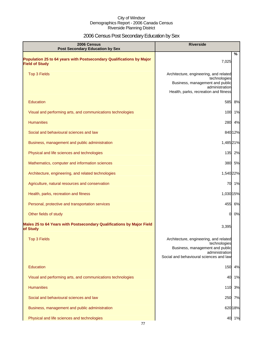# 2006 Census Post Secondary Education by Sex

| <b>Riverside</b><br>2006 Census<br><b>Post Secondary Education by Sex</b>                     |                                                                                                                                                        |
|-----------------------------------------------------------------------------------------------|--------------------------------------------------------------------------------------------------------------------------------------------------------|
| Population 25 to 64 years with Postsecondary Qualifications by Major<br><b>Field of Study</b> | %<br>7,025                                                                                                                                             |
| <b>Top 3 Fields</b>                                                                           | Architecture, engineering, and related<br>technologies<br>Business, management and public<br>administration<br>Health, parks, recreation and fitness   |
| Education                                                                                     | 585<br>8%                                                                                                                                              |
| Visual and performing arts, and communications technologies                                   | 1%<br>100                                                                                                                                              |
| <b>Humanities</b>                                                                             | 280<br>4%                                                                                                                                              |
| Social and behavioural sciences and law                                                       | 840 12%                                                                                                                                                |
| Business, management and public administration                                                | 1,485 21%                                                                                                                                              |
| Physical and life sciences and technologies                                                   | 135 2%                                                                                                                                                 |
| Mathematics, computer and information sciences                                                | 380 5%                                                                                                                                                 |
| Architecture, engineering, and related technologies                                           | 1,540 22%                                                                                                                                              |
| Agriculture, natural resources and conservation                                               | 70 1%                                                                                                                                                  |
| Health, parks, recreation and fitness                                                         | 1,030 15%                                                                                                                                              |
| Personal, protective and transportation services                                              | 455 6%                                                                                                                                                 |
| Other fields of study                                                                         | 0%<br>0                                                                                                                                                |
| Males 25 to 64 Years with Postsecondary Qualifications by Major Field<br>of Study             | 3,395                                                                                                                                                  |
| <b>Top 3 Fields</b>                                                                           | Architecture, engineering, and related<br>technologies<br>Business, management and public<br>administration<br>Social and behavioural sciences and law |
| Education                                                                                     | 150<br>4%                                                                                                                                              |
| Visual and performing arts, and communications technologies                                   | 40<br>1%                                                                                                                                               |
| <b>Humanities</b>                                                                             | 110 3%                                                                                                                                                 |
| Social and behavioural sciences and law                                                       | 250 7%                                                                                                                                                 |
| Business, management and public administration                                                | 620 18%                                                                                                                                                |
| Physical and life sciences and technologies                                                   | 40 1%                                                                                                                                                  |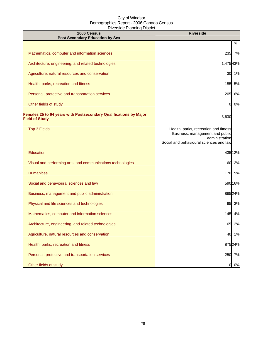| 2006 Census<br><b>Post Secondary Education by Sex</b>                                      | <b>Riverside</b>                                                                                                                      |  |
|--------------------------------------------------------------------------------------------|---------------------------------------------------------------------------------------------------------------------------------------|--|
|                                                                                            | %                                                                                                                                     |  |
| Mathematics, computer and information sciences                                             | 235 7%                                                                                                                                |  |
| Architecture, engineering, and related technologies                                        | 1,47543%                                                                                                                              |  |
| Agriculture, natural resources and conservation                                            | 30 1%                                                                                                                                 |  |
| Health, parks, recreation and fitness                                                      | 155 5%                                                                                                                                |  |
| Personal, protective and transportation services                                           | 205<br>6%                                                                                                                             |  |
| Other fields of study                                                                      | 0%<br>0                                                                                                                               |  |
| Females 25 to 64 years with Postsecondary Qualifications by Major<br><b>Field of Study</b> | 3,630                                                                                                                                 |  |
| <b>Top 3 Fields</b>                                                                        | Health, parks, recreation and fitness<br>Business, management and public<br>administration<br>Social and behavioural sciences and law |  |
| Education                                                                                  | 435 12%                                                                                                                               |  |
| Visual and performing arts, and communications technologies                                | 60 2%                                                                                                                                 |  |
| <b>Humanities</b>                                                                          | 170 5%                                                                                                                                |  |
| Social and behavioural sciences and law                                                    | 590 16%                                                                                                                               |  |
| Business, management and public administration                                             | 865 24%                                                                                                                               |  |
| Physical and life sciences and technologies                                                | 95 3%                                                                                                                                 |  |
| Mathematics, computer and information sciences                                             | 145 4%                                                                                                                                |  |
| Architecture, engineering, and related technologies                                        | 65<br>2%                                                                                                                              |  |
| Agriculture, natural resources and conservation                                            | 40 1%                                                                                                                                 |  |
| Health, parks, recreation and fitness                                                      | 875 24%                                                                                                                               |  |
| Personal, protective and transportation services                                           | 250 7%                                                                                                                                |  |
| Other fields of study                                                                      | 0 0%                                                                                                                                  |  |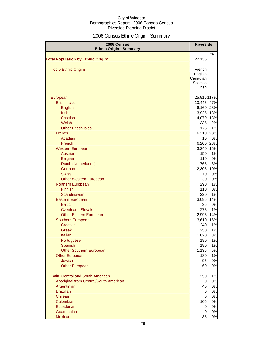# 2006 Census Ethnic Origin - Summary

| 2006 Census<br><b>Ethnic Origin - Summary</b> | <b>Riverside</b>    |                      |
|-----------------------------------------------|---------------------|----------------------|
| <b>Total Population by Ethnic Origin*</b>     | 22,135              | %                    |
| <b>Top 5 Ethnic Origins</b>                   | French              |                      |
|                                               | English             |                      |
|                                               | Canadian            |                      |
|                                               | Scottish            |                      |
|                                               | Irish               |                      |
| European                                      |                     | 25,915 117%          |
| <b>British Isles</b>                          | 10,445              | 47%                  |
| English                                       | 6,160               | 28%                  |
| <b>Irish</b>                                  | 3,925               | 18%                  |
| <b>Scottish</b>                               | 4,070               | 18%                  |
| Welsh                                         | 335                 | 2%                   |
| <b>Other British Isles</b>                    | <b>175</b>          | 1%                   |
| French                                        | 6,210               | 28%                  |
| Acadian                                       | 10                  | 0%                   |
| French                                        | 6,200               | 28%                  |
| <b>Western European</b>                       | 3,240               | 15%                  |
| Austrian                                      | 150                 | 1%                   |
| <b>Belgian</b>                                | 110                 | 0%                   |
| Dutch (Netherlands)<br>German                 | <b>765</b><br>2,305 | 3%<br>10%            |
| <b>Swiss</b>                                  | 70                  | 0%                   |
| <b>Other Western European</b>                 | 30                  | 0%                   |
| Northern European                             | 290                 | 1%                   |
| Finnish                                       | 110                 | 0%                   |
| Scandinavian                                  | 220                 | 1%                   |
| Eastern European                              | 3,095               | 14%                  |
| <b>Baltic</b>                                 | 35                  | 0%                   |
| <b>Czech and Slovak</b>                       | 275                 | 1%                   |
| <b>Other Eastern European</b>                 | 2,995               | 14%                  |
| Southern European                             | 3,610               | 16%                  |
| Croatian                                      | 240                 | 1%                   |
| Greek                                         | 250                 | 1%                   |
| Italian                                       | 1,820               | 8%                   |
| Portuguese                                    | 180                 | 1%                   |
| Spanish                                       | 190                 | 1%                   |
| <b>Other Southern European</b>                | 1,135               | 5%                   |
| <b>Other European</b>                         | 180                 | 1%                   |
| <b>Jewish</b>                                 | 95                  | 0%                   |
| <b>Other European</b>                         | 60                  | 0%                   |
| Latin, Central and South American             | 250                 | 1%                   |
| Aboriginal from Central/South American        | 0                   | 0%                   |
| Argentinian                                   | 45                  | 0%                   |
| <b>Brazilian</b>                              | $\overline{0}$      | 0%                   |
| Chilean                                       | $\overline{0}$      | 0%                   |
| Colombian                                     | 105                 | 0%                   |
| Ecuadorian                                    |                     | 0%<br>$\overline{0}$ |
| Guatemalan                                    |                     | 0%<br>0              |
| Mexican                                       | 35                  | 0%                   |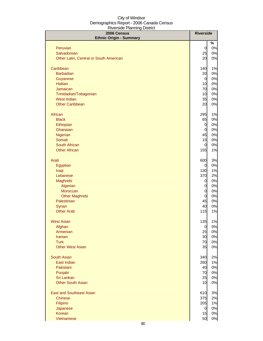| 2006 Census<br><b>Ethnic Origin - Summary</b> | <b>Riverside</b> |             |
|-----------------------------------------------|------------------|-------------|
| Peruvian                                      | $\overline{0}$   | %<br>$0\%$  |
| Salvadorean                                   | 25               | 0%          |
| Other Latin, Central or South American        | 20               | 0%          |
| Caribbean                                     | 140              | 1%          |
| <b>Barbadian</b>                              | 20               | 0%          |
| Guyanese                                      | $\overline{0}$   | 0%          |
| <b>Haitian</b>                                | 10               | 0%          |
| Jamaican                                      | 70               | 0%          |
| Trinidadian/Tobagonian                        | 10               | 0%          |
| <b>West Indian</b>                            | 35               | 0%          |
| <b>Other Caribbean</b>                        | 20               | 0%          |
| African                                       | 295              | 1%          |
| <b>Black</b>                                  | 65               | 0%          |
| Ethiopian                                     | $\overline{0}$   | 0%          |
| Ghanaian                                      | $\overline{0}$   | 0%          |
| Nigerian                                      | 45               | 0%          |
| Somali                                        | 15               | 0%          |
| South African                                 | $\overline{0}$   | 0%          |
| <b>Other African</b>                          | 155              | 1%          |
| Arab                                          | 600              | 3%          |
| Egyptian                                      | <sub>0</sub>     | 0%          |
| Iraqi                                         | 130              | 1%          |
| Lebanese                                      | 370              | 2%          |
| Maghrebi                                      | $\overline{0}$   | 0%          |
| Algerian                                      | $\overline{0}$   | 0%          |
| Moroccan                                      | $\mathbf 0$      | 0%          |
| <b>Other Maghrebi</b>                         | $\mathbf 0$      | 0%          |
| Palestinian                                   | 45               | 0%          |
| Syrian                                        | 40               | 0%          |
| <b>Other Arab</b>                             | 115              | 1%          |
| <b>West Asian</b>                             | 135              | 1%          |
| Afghan                                        | $\overline{0}$   | 0%          |
| Armenian                                      | 25               | 0%          |
| <b>Iranian</b>                                | 30               | 0%          |
| <b>Turk</b>                                   | 70               | 0%          |
| <b>Other West Asian</b>                       | 35               | 0%          |
| South Asian                                   | 340              | 2%          |
| East Indian                                   | 260              | 1%          |
| Pakistani                                     | 40               | 0%          |
| Punjabi                                       | 70               | 0%          |
| Sri Lankan                                    | 25               | 0%          |
| <b>Other South Asian</b>                      | 10               | 0%          |
| <b>East and Southeast Asian</b>               | 610              | 3%          |
| <b>Chinese</b>                                | 375              | 2%          |
| Filipino                                      | 205              | 1%          |
| Japanese<br>Korean                            | $\overline{0}$   | 0%          |
| Vietnamese                                    | 15<br>50         | 0%<br>$0\%$ |
|                                               |                  |             |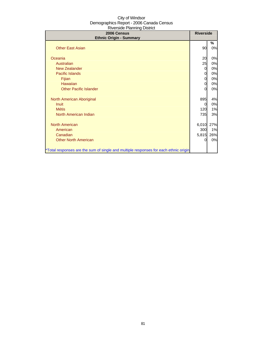| 2006 Census<br><b>Ethnic Origin - Summary</b>                                        | <b>Riverside</b> |         |
|--------------------------------------------------------------------------------------|------------------|---------|
| <b>Other East Asian</b>                                                              | 90               | %<br>0% |
| Oceania                                                                              | 20               | 0%      |
| Australian                                                                           | 25               | 0%      |
| <b>New Zealander</b>                                                                 | 0                | 0%      |
| <b>Pacific Islands</b>                                                               | 0                | 0%      |
| Fijian                                                                               | 0                | 0%      |
| <b>Hawaiian</b>                                                                      | 0                | 0%      |
| <b>Other Pacific Islander</b>                                                        | 0                | 0%      |
| North American Aboriginal                                                            | 895              | 4%      |
| <b>Inuit</b>                                                                         | 0                | 0%      |
| <b>Métis</b>                                                                         | 120              | 1%      |
| North American Indian                                                                | 735              | 3%      |
| <b>North American</b>                                                                | 6,010            | 27%     |
| American                                                                             | 300              | 1%      |
| Canadian                                                                             | 5,815            | 26%     |
| <b>Other North American</b>                                                          | 0                | 0%      |
| *Total responses are the sum of single and multiple responses for each ethnic origin |                  |         |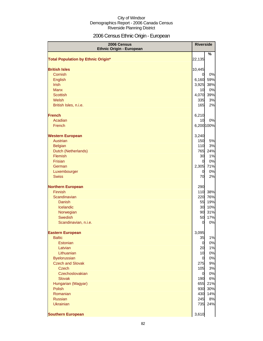# 2006 Census Ethnic Origin - European

| 2006 Census<br><b>Ethnic Origin - European</b> | <b>Riverside</b>            |            |
|------------------------------------------------|-----------------------------|------------|
| <b>Total Population by Ethnic Origin*</b>      | 22,135                      | %          |
|                                                |                             |            |
| <b>British Isles</b>                           | 10,445                      |            |
| Cornish                                        | $\overline{0}$              | 0%         |
| <b>English</b><br><b>Irish</b>                 | 6,160<br>3,925              | 59%<br>38% |
| <b>Manx</b>                                    | 10                          | 0%         |
| <b>Scottish</b>                                | 4,070                       | 39%        |
| Welsh                                          | 335                         | 3%         |
| British Isles, n.i.e.                          | 165                         | 2%         |
| <b>French</b>                                  | 6,210                       |            |
| Acadian                                        | 10                          | 0%         |
| French                                         | 6,200 100%                  |            |
| <b>Western European</b>                        | 3,240                       |            |
| Austrian                                       | 150                         | 5%         |
| <b>Belgian</b>                                 | 110                         | 3%         |
| Dutch (Netherlands)                            |                             | 765 24%    |
| Flemish                                        | 30                          | 1%         |
| Frisian                                        | 0l                          | 0%         |
| German<br>Luxembourger                         | 2,305 71%<br>$\overline{0}$ | 0%         |
| <b>Swiss</b>                                   | 70                          | 2%         |
| <b>Northern European</b>                       | 290                         |            |
| <b>Finnish</b>                                 | 110                         | 38%        |
| Scandinavian                                   | 220                         | 76%        |
| <b>Danish</b>                                  | 55                          | 19%        |
| Icelandic                                      | 30                          | 10%        |
| Norwegian                                      | 90                          | 31%        |
| Swedish                                        | 50                          | 17%        |
| Scandinavian, n.i.e.                           | $\Omega$                    | 0%         |
| <b>Eastern European</b>                        | 3,095                       |            |
| <b>Baltic</b>                                  | 35                          | 1%         |
| Estonian                                       | $\overline{0}$              | 0%         |
| Latvian                                        | 20                          | 1%         |
| Lithuanian                                     | 10                          | 0%         |
| <b>Byelorussian</b><br><b>Czech and Slovak</b> | $\overline{0}$<br>275       | 0%<br>9%   |
| <b>Czech</b>                                   | 105                         | 3%         |
| Czechoslovakian                                | <sub>0</sub>                | 0%         |
| <b>Slovak</b>                                  | 190                         | 6%         |
| Hungarian (Magyar)                             |                             | 655 21%    |
| <b>Polish</b>                                  | 930                         | 30%        |
| Romanian                                       | 430                         | 14%        |
| <b>Russian</b>                                 | 245                         | 8%         |
| <b>Ukrainian</b>                               |                             | 735 24%    |
| <b>Southern European</b>                       | 3,610                       |            |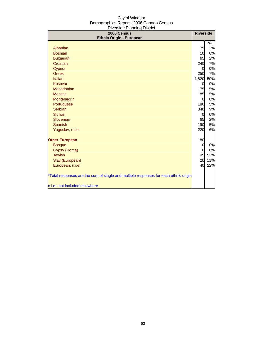| 2006 Census<br><b>Ethnic Origin - European</b>                                       | <b>Riverside</b> |     |
|--------------------------------------------------------------------------------------|------------------|-----|
|                                                                                      |                  | %   |
| Albanian                                                                             | 75               | 2%  |
| <b>Bosnian</b>                                                                       | 10               | 0%  |
| <b>Bulgarian</b>                                                                     | 65               | 2%  |
| Croatian                                                                             | 240              | 7%  |
| Cypriot                                                                              | 0                | 0%  |
| <b>Greek</b>                                                                         | 250              | 7%  |
| Italian                                                                              | 1,820            | 50% |
| Kosovar                                                                              | <sub>0</sub>     | 0%  |
| Macedonian                                                                           | 175              | 5%  |
| <b>Maltese</b>                                                                       | 185              | 5%  |
| Montenegrin                                                                          | $\overline{0}$   | 0%  |
| Portuguese                                                                           | 180              | 5%  |
| Serbian                                                                              | 340              | 9%  |
| <b>Sicilian</b>                                                                      | $\overline{0}$   | 0%  |
| Slovenian                                                                            | 65               | 2%  |
| Spanish                                                                              | 190              | 5%  |
| Yugoslav, n.i.e.                                                                     | 220              | 6%  |
| <b>Other European</b>                                                                | 180              |     |
| <b>Basque</b>                                                                        | $\overline{0}$   | 0%  |
| Gypsy (Roma)                                                                         | $\Omega$         | 0%  |
| <b>Jewish</b>                                                                        | 95               | 53% |
| Slav (European)                                                                      | 20               | 11% |
| European, n.i.e.                                                                     | 40               | 22% |
| *Total responses are the sum of single and multiple responses for each ethnic origin |                  |     |
| n.i.e.: not included elsewhere                                                       |                  |     |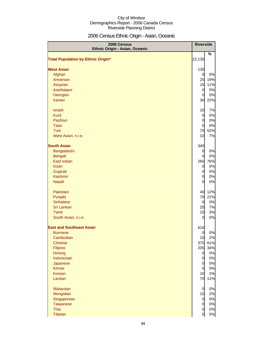# 2006 Census Ethnic Origin - Asian, Oceanic

| 2006 Census<br>Ethnic Origin - Asian, Oceanic |                | <b>Riverside</b> |
|-----------------------------------------------|----------------|------------------|
| <b>Total Population by Ethnic Origin*</b>     | 22,135         | %                |
| <b>West Asian</b>                             | 135            |                  |
| Afghan                                        | $\overline{0}$ | 0%               |
| Armenian                                      | 25             | 19%              |
| Assyrian                                      | 15             | 11%              |
| Azerbaijani                                   | $\overline{0}$ | 0%               |
| Georgian                                      | $\overline{0}$ | 0%               |
| Iranian                                       | 30             | 22%              |
|                                               |                |                  |
| <b>Israeli</b>                                | 10             | 7%               |
| <b>Kurd</b>                                   | $\overline{0}$ | 0%               |
| Pashtun                                       | $\overline{0}$ | 0%               |
| <b>Tatar</b>                                  | $\overline{0}$ | 0%               |
| <b>Turk</b>                                   | 70             | 52%              |
| West Asian, n.i.e.                            | 10             | 7%               |
| <b>South Asian</b>                            | 340            |                  |
| Bangladeshi                                   | $\overline{0}$ | 0%               |
| Bengali                                       | $\Omega$       | 0%               |
| East Indian                                   | 260            | 76%              |
| Goan                                          | $\overline{0}$ | 0%               |
| Gujarati                                      | $\overline{0}$ | 0%               |
| Kashmiri                                      | $\overline{0}$ | 0%               |
| Nepali                                        | $\overline{0}$ | 0%               |
| Pakistani                                     | 40             | 12%              |
| Punjabi                                       | 70             | 21%              |
| <b>Sinhalese</b>                              | $\overline{0}$ | 0%               |
| Sri Lankan                                    | 25             | 7%               |
| Tamil                                         | 10             | 3%               |
| South Asian, n.i.e.                           | 0              | 0%               |
| <b>East and Southeast Asian</b>               | 610            |                  |
| <b>Burmese</b>                                | $\overline{0}$ | 0%               |
| Cambodian                                     | 10             | 2%               |
| <b>Chinese</b>                                | 375            | 61%              |
| Filipino                                      | 205            | 34%              |
| Hmong                                         | $\overline{0}$ | 0%               |
| Indonesian                                    | $\overline{O}$ | 0%               |
| Japanese                                      | $\overline{0}$ | 0%               |
| <b>Khmer</b>                                  | $\overline{0}$ | 0%               |
| Korean                                        | 15             | 2%               |
| Laotian                                       | 70             | 11%              |
| Malaysian                                     | $\overline{0}$ | 0%               |
| Mongolian                                     | 10             | 2%               |
| Singaporean                                   | $\overline{0}$ | 0%               |
| <b>Taiwanese</b>                              | $\overline{0}$ | 0%               |
| Thai                                          | $\overline{0}$ | 0%               |
| Tibetan                                       | $\overline{0}$ | 0%               |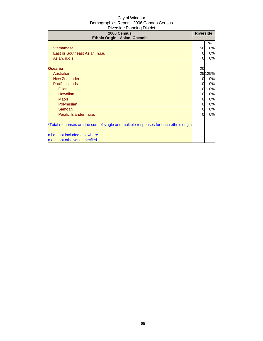| 2006 Census<br>Ethnic Origin - Asian, Oceanic                                                                                                                                                                                                                                                                                             | <b>Riverside</b>                            |                                                                               |
|-------------------------------------------------------------------------------------------------------------------------------------------------------------------------------------------------------------------------------------------------------------------------------------------------------------------------------------------|---------------------------------------------|-------------------------------------------------------------------------------|
| Vietnamese<br>East or Southeast Asian, n.i.e.<br>Asian, n.o.s.<br><b>Oceania</b><br>Australian<br><b>New Zealander</b><br><b>Pacific Islands</b><br>Fijian<br><b>Hawaiian</b><br><b>Maori</b><br>Polynesian<br>Samoan<br>Pacific Islander, n.i.e.<br>*Total responses are the sum of single and multiple responses for each ethnic origin | 50<br>Ω<br>20<br>0<br>0<br>0<br>0<br>0<br>0 | %<br>8%<br>0%<br>0%<br>25125%<br>0%<br>0%<br>0%<br>0%<br>0%<br>0%<br>0%<br>0% |
| n.i.e.: not included elsewhere<br>n.o.s: not otherwise specfied                                                                                                                                                                                                                                                                           |                                             |                                                                               |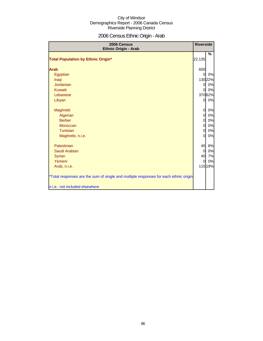# 2006 Census Ethnic Origin - Arab

| 2006 Census<br><b>Ethnic Origin - Arab</b>                                           | <b>Riverside</b> |         |
|--------------------------------------------------------------------------------------|------------------|---------|
|                                                                                      |                  | %       |
| <b>Total Population by Ethnic Origin*</b>                                            | 22,135           |         |
| <b>Arab</b>                                                                          | 600              |         |
| Egyptian                                                                             | $\Omega$         | 0%      |
| Iraqi                                                                                |                  | 130 22% |
| <b>Jordanian</b>                                                                     | <sub>0</sub>     | 0%      |
| Kuwaiti                                                                              | $\mathbf{0}$     | 0%      |
| Lebanese                                                                             |                  | 37062%  |
| Libyan                                                                               | 0                | 0%      |
| Maghrebi                                                                             | $\overline{0}$   | 0%      |
| Algerian                                                                             | $\mathbf{0}$     | 0%      |
| <b>Berber</b>                                                                        | $\overline{0}$   | 0%      |
| Moroccan                                                                             | $\overline{0}$   | 0%      |
| Tunisian                                                                             | $\overline{0}$   | 0%      |
| Maghrebi, n.i.e.                                                                     | $\overline{0}$   | 0%      |
| Palestinian                                                                          | 45               | 8%      |
| Saudi Arabian                                                                        | $\overline{0}$   | 0%      |
| <b>Syrian</b>                                                                        | 40               | 7%      |
| Yemeni                                                                               | $\Omega$         | 0%      |
| Arab, n.i.e.                                                                         |                  | 115 19% |
| *Total responses are the sum of single and multiple responses for each ethnic origin |                  |         |
| n.i.e.: not included elsewhere                                                       |                  |         |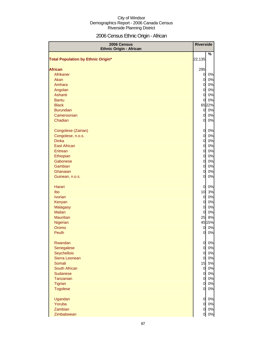# 2006 Census Ethnic Origin - African

| 2006 Census<br><b>Ethnic Origin - African</b> |                                  | <b>Riverside</b> |
|-----------------------------------------------|----------------------------------|------------------|
|                                               |                                  | $\%$             |
| <b>Total Population by Ethnic Origin*</b>     | 22,135                           |                  |
|                                               |                                  |                  |
| <b>African</b><br>Afrikaner                   | 295                              | 0%               |
| Akan                                          | $\overline{0}$<br>$\overline{0}$ | 0%               |
| Amhara                                        | $\overline{0}$                   | 0%               |
| Angolan                                       | $\overline{0}$                   | 0%               |
| Ashanti                                       | $\overline{0}$                   | 0%               |
| <b>Bantu</b>                                  | $\overline{0}$                   | 0%               |
| <b>Black</b>                                  |                                  | 6522%            |
| <b>Burundian</b>                              | $\overline{0}$                   | 0%               |
| Cameroonian                                   | $\overline{0}$                   | 0%               |
| Chadian                                       | $\overline{0}$                   | 0%               |
|                                               |                                  |                  |
| Congolese (Zairian)                           | $\overline{0}$                   | 0%               |
| Congolese, n.o.s.                             | $\overline{0}$                   | 0%               |
| <b>Dinka</b>                                  | $\overline{0}$                   | 0%               |
| <b>East African</b>                           | $\overline{0}$                   | 0%               |
| Eritrean                                      | $\overline{0}$                   | 0%               |
| Ethiopian                                     | $\overline{0}$                   | 0%               |
| Gabonese                                      | $\overline{0}$                   | 0%               |
| Gambian                                       | $\overline{0}$                   | 0%               |
| Ghanaian                                      | $\overline{0}$                   | 0%               |
| Guinean, n.o.s.                               | $\overline{0}$                   | 0%               |
|                                               |                                  |                  |
| Harari                                        | 0                                | 0%               |
| Ibo                                           | 10                               | 3%               |
| <b>Ivorian</b>                                | $\overline{0}$                   | 0%               |
| Kenyan                                        | $\overline{0}$                   | 0%               |
| <b>Malagasy</b>                               | $\overline{0}$                   | 0%               |
| <b>Malian</b>                                 | $\overline{0}$                   | 0%               |
| <b>Mauritian</b>                              | 25                               | 8%               |
| Nigerian                                      |                                  | 45 15%           |
| Oromo                                         | 0                                | 0%               |
| Peulh                                         | 0                                | 0%               |
|                                               |                                  |                  |
| Rwandan                                       | $\overline{0}$                   | 0%               |
| Senegalese                                    | $\overline{O}$                   | 0%               |
| <b>Seychellois</b>                            | $\overline{0}$                   | 0%               |
| Sierra Leonean                                | $\overline{0}$                   | 0%               |
| Somali                                        | 15                               | 5%               |
| South African                                 | $\mathbf{0}$                     | 0%               |
| <b>Sudanese</b>                               | $\overline{0}$                   | 0%               |
| Tanzanian                                     | $\overline{0}$                   | 0%               |
| Tigrian                                       | $\overline{0}$                   | 0%               |
| <b>Togolese</b>                               | $\overline{0}$                   | 0%               |
| Ugandan                                       | $\overline{0}$                   | 0%               |
| Yoruba                                        | $\mathbf 0$                      | 0%               |
| Zambian                                       | $\overline{0}$                   | 0%               |
| Zimbabwean                                    | 0                                | 0%               |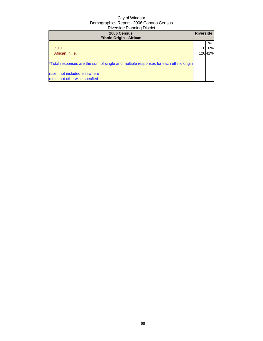| 2006 Census<br><b>Ethnic Origin - African</b>                                        | <b>Riverside</b> |        |
|--------------------------------------------------------------------------------------|------------------|--------|
|                                                                                      |                  | %      |
| Zulu                                                                                 |                  | 0%l    |
| African, n.i.e.                                                                      |                  | 12041% |
| *Total responses are the sum of single and multiple responses for each ethnic origin |                  |        |
| n.i.e.: not included elsewhere                                                       |                  |        |
| n.o.s: not otherwise specfied                                                        |                  |        |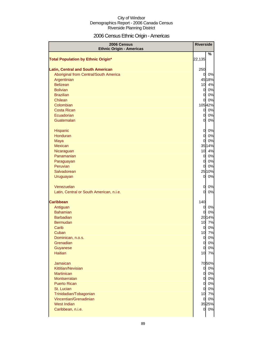# 2006 Census Ethnic Origin - Americas

| 2006 Census<br><b>Ethnic Origin - Americas</b> |                | <b>Riverside</b> |
|------------------------------------------------|----------------|------------------|
|                                                |                | %                |
| <b>Total Population by Ethnic Origin*</b>      | 22,135         |                  |
| <b>Latin, Central and South American</b>       | 250            |                  |
| Aboriginal from Central/South America          | 0              | 0%               |
| Argentinian                                    |                | 4518%            |
| <b>Belizean</b>                                | 10             | 4%               |
| <b>Bolivian</b>                                | $\overline{0}$ | 0%               |
| <b>Brazilian</b>                               | $\overline{0}$ | 0%               |
| Chilean                                        | 0              | 0%               |
| Colombian                                      |                | 10542%           |
| <b>Costa Rican</b>                             | $\overline{O}$ | 0%               |
| Ecuadorian                                     | $\overline{0}$ | 0%               |
| Guatemalan                                     | 0              | 0%               |
|                                                |                |                  |
| Hispanic                                       | 0              | 0%               |
| Honduran                                       | $\overline{0}$ | 0%               |
| Maya                                           | 0              | 0%               |
| <b>Mexican</b>                                 |                | 35 14%           |
| Nicaraguan                                     | 10             | 4%               |
| Panamanian                                     | $\overline{0}$ | 0%               |
| Paraguayan<br>Peruvian                         | $\overline{0}$ | 0%<br>0%         |
| Salvadorean                                    | 0              | 2510%            |
| Uruguayan                                      | $\overline{0}$ | 0%               |
|                                                |                |                  |
| Venezuelan                                     | 0              | 0%               |
| Latin, Central or South American, n.i.e.       | 0              | 0%               |
|                                                |                |                  |
| <b>Caribbean</b>                               | 140            |                  |
| Antiguan                                       | 0              | 0%               |
| <b>Bahamian</b>                                | 0              | 0%               |
| <b>Barbadian</b>                               |                | 2014%            |
| <b>Bermudan</b>                                | 10             | 7%               |
| Carib                                          | 0              | 0%               |
| Cuban                                          | 10             | 7%               |
| Dominican, n.o.s.                              | $\overline{0}$ | 0%               |
| Grenadian                                      | $\overline{0}$ | 0%               |
| Guyanese                                       | $\overline{0}$ | 0%               |
| <b>Haitian</b>                                 | 10             | 7%               |
| Jamaican                                       |                |                  |
| Kittitian/Nevisian                             | $\overline{0}$ | 7050%<br>0%      |
| <b>Martinican</b>                              | $\overline{0}$ | 0%               |
| Montserratan                                   | $\overline{0}$ | 0%               |
| <b>Puerto Rican</b>                            | $\overline{0}$ | 0%               |
| St. Lucian                                     | $\overline{0}$ | 0%               |
| Trinidadian/Tobagonian                         | 10             | 7%               |
| Vincentian/Grenadinian                         | 0              | 0%               |
| West Indian                                    |                | 3525%            |
| Caribbean, n.i.e.                              | $\overline{0}$ | 0%               |
|                                                |                |                  |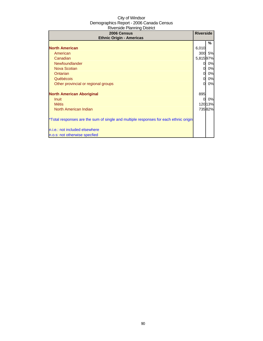| 2006 Census<br><b>Ethnic Origin - Americas</b>                                       | <b>Riverside</b> |         |
|--------------------------------------------------------------------------------------|------------------|---------|
|                                                                                      |                  | %       |
| <b>North American</b>                                                                | 6,010            |         |
| American                                                                             | 300              | 5%      |
| Canadian                                                                             | 5,81597%         |         |
| Newfoundlander                                                                       | 0                | 0%      |
| <b>Nova Scotian</b>                                                                  | 0                | 0%      |
| Ontarian                                                                             | 0                | 0%      |
| Québécois                                                                            | 0                | 0%      |
| Other provincial or regional groups                                                  | $\Omega$         | 0%      |
| <b>North American Aboriginal</b>                                                     | 895              |         |
| Inuit                                                                                | 0                | 0%      |
| <b>Métis</b>                                                                         |                  | 120 13% |
| North American Indian                                                                |                  | 73582%  |
| *Total responses are the sum of single and multiple responses for each ethnic origin |                  |         |
| n.i.e.: not included elsewhere                                                       |                  |         |
| n.o.s: not otherwise specfied                                                        |                  |         |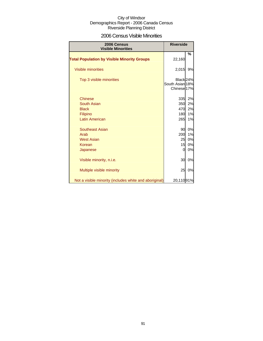### 2006 Census Visible Minorities

| <b>Riverside</b><br>2006 Census<br><b>Visible Minorities</b> |                                                                   |    |
|--------------------------------------------------------------|-------------------------------------------------------------------|----|
| <b>Total Population by Visible Minority Groups</b>           | 22,160                                                            | %  |
| <b>Visible minorities</b>                                    | 2,015                                                             | 9% |
| Top 3 visible minorities                                     | Black <sub>24%</sub><br>South Asian 18%<br>Chinese <sup>17%</sup> |    |
| <b>Chinese</b>                                               | 335                                                               | 2% |
| South Asian                                                  | 350                                                               | 2% |
| <b>Black</b>                                                 | 470                                                               | 2% |
| Filipino                                                     | 180                                                               | 1% |
| <b>Latin American</b>                                        | 265                                                               | 1% |
| <b>Southeast Asian</b>                                       | 90                                                                | 0% |
| Arab                                                         | 200                                                               | 1% |
| <b>West Asian</b>                                            | 25                                                                | 0% |
| Korean                                                       | 15                                                                | 0% |
| Japanese                                                     | 0                                                                 | 0% |
| Visible minority, n.i.e.                                     | 30                                                                | 0% |
| Multiple visible minority                                    | 25                                                                | 0% |
| Not a visible minority (includes white and aboriginal)       | 20,11091%                                                         |    |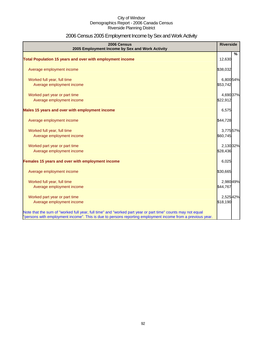# 2006 Census 2005 Employment Income by Sex and Work Activity

| 2006 Census<br>2005 Employment Income by Sex and Work Activity                                              | <b>Riverside</b> |
|-------------------------------------------------------------------------------------------------------------|------------------|
|                                                                                                             | %                |
| Total Population 15 years and over with employment income                                                   | 12,630           |
| Average employment income                                                                                   | \$38,032         |
| Worked full year, full time                                                                                 | 6,800 54%        |
| Average employment income                                                                                   | \$53,742         |
| Worked part year or part time                                                                               | 4,690 37%        |
| Average employment income                                                                                   | \$22,912         |
| Males 15 years and over with employment income                                                              | 6,575            |
| Average employment income                                                                                   | \$44,728         |
| Worked full year, full time                                                                                 | 3,775 57%        |
| Average employment income                                                                                   | \$60,745         |
| Worked part year or part time                                                                               | 2,130 32%        |
| Average employment income                                                                                   | \$28,436         |
| Females 15 years and over with employment income                                                            | 6,025            |
| Average employment income                                                                                   | \$30,665         |
| Worked full year, full time                                                                                 | 2,980 49%        |
| Average employment income                                                                                   | \$44,767         |
| Worked part year or part time                                                                               | 2,525 42%        |
| Average employment income                                                                                   | \$18,190         |
| Note that the sum of "worked full year, full time" and "worked part year or part time" counts may not equal |                  |
| "persons with employment income". This is due to persons reporting employment income from a previous year.  |                  |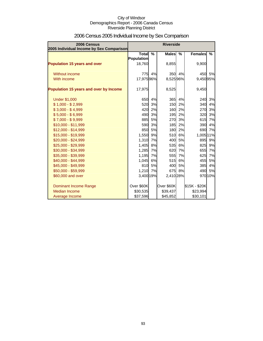| 2006 Census<br>2005 Individual Income by Sex Comparison |                   | <b>Riverside</b> |              |               |                |         |
|---------------------------------------------------------|-------------------|------------------|--------------|---------------|----------------|---------|
|                                                         | <b>Total</b>      | $\frac{9}{6}$    | <b>Males</b> | $\frac{9}{6}$ | <b>Females</b> | $\%$    |
|                                                         | <b>Population</b> |                  |              |               |                |         |
| <b>Population 15 years and over</b>                     | 18,760            |                  | 8,855        |               | 9,900          |         |
| Without income                                          |                   | 775 4%           | 350          | 4%            | 450            | 5%      |
| With income                                             | 17,97596%         |                  | 8,52596%     |               | 9,45095%       |         |
|                                                         |                   |                  |              |               |                |         |
| Population 15 years and over by Income                  | 17,975            |                  | 8,525        |               | 9,450          |         |
| <b>Under \$1,000</b>                                    | 650               | 4%               | 365          | 4%            | 240            | 3%      |
| $$1,000 - $2,999$                                       | 520               | 3%               | 150          | 2%            | 340            | 4%      |
| $$3,000 - $4,999$                                       | 420               | 2%               | 160          | 2%            | 270            | 3%      |
| $$5,000 - $6,999$                                       | 490               | 3%               | 195          | 2%            | 320            | 3%      |
| $$7,000 - $9,999$                                       | 885               | 5%               | 270          | 3%            | 615            | 7%      |
| $$10,000 - $11,999$                                     | 590               | 3%               | 185          | 2%            | 390            | 4%      |
| \$12,000 - \$14,999                                     | 850               | 5%               | 180          | 2%            | 690            | 7%      |
| \$15,000 - \$19,999                                     | 1,550             | 9%               | 510          | 6%            | 1,005 11%      |         |
| \$20,000 - \$24,999                                     | 1,310             | 7%               | 400          | 5%            | 895            | 9%      |
| \$25,000 - \$29,999                                     | 1,405             | 8%               | 535          | 6%            | 825            | 9%      |
| \$30,000 - \$34,999                                     | 1,285             | 7%               | 620          | 7%            | 655            | 7%      |
| \$35,000 - \$39,999                                     | 1,195             | 7%               | 555          | 7%            | 625            | 7%      |
| \$40,000 - \$44,999                                     | 1,045             | 6%               | 515          | 6%            | 455            | 5%      |
| \$45,000 - \$49,999                                     | 810               | 5%               | 400          | 5%            | 385            | 4%      |
| \$50,000 - \$59,999                                     | 1,210 7%          |                  |              | 675 8%        | 490            | 5%      |
| \$60,000 and over                                       | 3,400 19%         |                  | 2,410 28%    |               |                | 970 10% |
| Dominant Income Range                                   | Over \$60K        |                  | Over \$60K   |               | \$15K - \$20K  |         |
| Median Income                                           | \$30,535          |                  | \$39,437     |               | \$23,994       |         |
| Average Income                                          | \$37,596          |                  | \$45,852     |               | \$30,101       |         |

# 2006 Census 2005 Individual Income by Sex Comparison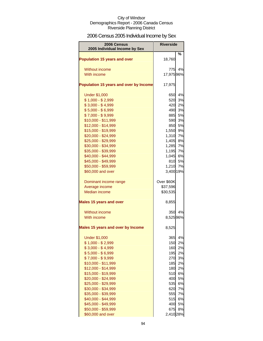# 2006 Census 2005 Individual Income by Sex

| %<br><b>Population 15 years and over</b><br>18,760<br>4%<br><b>Without income</b><br>775<br>With income<br>17,97596%<br>Population 15 years and over by Income<br>17,975<br>4%<br><b>Under \$1,000</b><br>650<br>$$1,000 - $2,999$<br>3%<br>520<br>$$3,000 - $4,999$<br>2%<br>420<br>$$5,000 - $6,999$<br>3%<br>490<br>$$7,000 - $9,999$<br>885<br>5%<br>\$10,000 - \$11,999<br>3%<br>590<br>\$12,000 - \$14,999<br>5%<br>850<br>\$15,000 - \$19,999<br>9%<br>1,550<br>\$20,000 - \$24,999<br>1,310<br>7%<br>\$25,000 - \$29,999<br>8%<br>1,405<br>\$30,000 - \$34,999<br>1,285<br>7%<br>\$35,000 - \$39,999<br>1,195<br>7%<br>\$40,000 - \$44,999<br>1,045<br>6%<br>\$45,000 - \$49,999<br>810<br>5%<br>\$50,000 - \$59,999<br>1,210<br>7%<br>\$60,000 and over<br>3,400 19%<br>Over \$60K<br>Dominant income range<br>Average income<br>\$37,596<br><b>Median income</b><br>\$30,535<br><b>Males 15 years and over</b><br>8,855<br>4%<br>Without income<br>350<br>With income<br>8,52596%<br>Males 15 years and over by Income<br>8,525<br>4%<br><b>Under \$1,000</b><br>365<br>$$1,000 - $2,999$<br>2%<br>150<br>$$3,000 - $4,999$<br>2%<br>160<br>$$5,000 - $6,999$<br>2%<br>195<br>$$7,000 - $9,999$<br>3%<br>270<br>\$10,000 - \$11,999<br>2%<br>185<br>\$12,000 - \$14,999<br>180<br>2%<br>\$15,000 - \$19,999<br>6%<br>510<br>\$20,000 - \$24,999<br>5%<br>400<br>\$25,000 - \$29,999<br>6%<br>535<br>\$30,000 - \$34,999<br>7%<br>620<br>\$35,000 - \$39,999<br>555<br>7%<br>\$40,000 - \$44,999<br>515<br>6%<br>\$45,000 - \$49,999<br>400<br>5% | 2006 Census<br>2005 Individual Income by Sex | <b>Riverside</b> |  |
|------------------------------------------------------------------------------------------------------------------------------------------------------------------------------------------------------------------------------------------------------------------------------------------------------------------------------------------------------------------------------------------------------------------------------------------------------------------------------------------------------------------------------------------------------------------------------------------------------------------------------------------------------------------------------------------------------------------------------------------------------------------------------------------------------------------------------------------------------------------------------------------------------------------------------------------------------------------------------------------------------------------------------------------------------------------------------------------------------------------------------------------------------------------------------------------------------------------------------------------------------------------------------------------------------------------------------------------------------------------------------------------------------------------------------------------------------------------------------------------------------------------------------------------------------------|----------------------------------------------|------------------|--|
|                                                                                                                                                                                                                                                                                                                                                                                                                                                                                                                                                                                                                                                                                                                                                                                                                                                                                                                                                                                                                                                                                                                                                                                                                                                                                                                                                                                                                                                                                                                                                            |                                              |                  |  |
|                                                                                                                                                                                                                                                                                                                                                                                                                                                                                                                                                                                                                                                                                                                                                                                                                                                                                                                                                                                                                                                                                                                                                                                                                                                                                                                                                                                                                                                                                                                                                            |                                              |                  |  |
|                                                                                                                                                                                                                                                                                                                                                                                                                                                                                                                                                                                                                                                                                                                                                                                                                                                                                                                                                                                                                                                                                                                                                                                                                                                                                                                                                                                                                                                                                                                                                            |                                              |                  |  |
|                                                                                                                                                                                                                                                                                                                                                                                                                                                                                                                                                                                                                                                                                                                                                                                                                                                                                                                                                                                                                                                                                                                                                                                                                                                                                                                                                                                                                                                                                                                                                            |                                              |                  |  |
|                                                                                                                                                                                                                                                                                                                                                                                                                                                                                                                                                                                                                                                                                                                                                                                                                                                                                                                                                                                                                                                                                                                                                                                                                                                                                                                                                                                                                                                                                                                                                            |                                              |                  |  |
|                                                                                                                                                                                                                                                                                                                                                                                                                                                                                                                                                                                                                                                                                                                                                                                                                                                                                                                                                                                                                                                                                                                                                                                                                                                                                                                                                                                                                                                                                                                                                            |                                              |                  |  |
|                                                                                                                                                                                                                                                                                                                                                                                                                                                                                                                                                                                                                                                                                                                                                                                                                                                                                                                                                                                                                                                                                                                                                                                                                                                                                                                                                                                                                                                                                                                                                            |                                              |                  |  |
|                                                                                                                                                                                                                                                                                                                                                                                                                                                                                                                                                                                                                                                                                                                                                                                                                                                                                                                                                                                                                                                                                                                                                                                                                                                                                                                                                                                                                                                                                                                                                            |                                              |                  |  |
|                                                                                                                                                                                                                                                                                                                                                                                                                                                                                                                                                                                                                                                                                                                                                                                                                                                                                                                                                                                                                                                                                                                                                                                                                                                                                                                                                                                                                                                                                                                                                            |                                              |                  |  |
|                                                                                                                                                                                                                                                                                                                                                                                                                                                                                                                                                                                                                                                                                                                                                                                                                                                                                                                                                                                                                                                                                                                                                                                                                                                                                                                                                                                                                                                                                                                                                            |                                              |                  |  |
|                                                                                                                                                                                                                                                                                                                                                                                                                                                                                                                                                                                                                                                                                                                                                                                                                                                                                                                                                                                                                                                                                                                                                                                                                                                                                                                                                                                                                                                                                                                                                            |                                              |                  |  |
|                                                                                                                                                                                                                                                                                                                                                                                                                                                                                                                                                                                                                                                                                                                                                                                                                                                                                                                                                                                                                                                                                                                                                                                                                                                                                                                                                                                                                                                                                                                                                            |                                              |                  |  |
|                                                                                                                                                                                                                                                                                                                                                                                                                                                                                                                                                                                                                                                                                                                                                                                                                                                                                                                                                                                                                                                                                                                                                                                                                                                                                                                                                                                                                                                                                                                                                            |                                              |                  |  |
|                                                                                                                                                                                                                                                                                                                                                                                                                                                                                                                                                                                                                                                                                                                                                                                                                                                                                                                                                                                                                                                                                                                                                                                                                                                                                                                                                                                                                                                                                                                                                            |                                              |                  |  |
|                                                                                                                                                                                                                                                                                                                                                                                                                                                                                                                                                                                                                                                                                                                                                                                                                                                                                                                                                                                                                                                                                                                                                                                                                                                                                                                                                                                                                                                                                                                                                            |                                              |                  |  |
|                                                                                                                                                                                                                                                                                                                                                                                                                                                                                                                                                                                                                                                                                                                                                                                                                                                                                                                                                                                                                                                                                                                                                                                                                                                                                                                                                                                                                                                                                                                                                            |                                              |                  |  |
|                                                                                                                                                                                                                                                                                                                                                                                                                                                                                                                                                                                                                                                                                                                                                                                                                                                                                                                                                                                                                                                                                                                                                                                                                                                                                                                                                                                                                                                                                                                                                            |                                              |                  |  |
|                                                                                                                                                                                                                                                                                                                                                                                                                                                                                                                                                                                                                                                                                                                                                                                                                                                                                                                                                                                                                                                                                                                                                                                                                                                                                                                                                                                                                                                                                                                                                            |                                              |                  |  |
|                                                                                                                                                                                                                                                                                                                                                                                                                                                                                                                                                                                                                                                                                                                                                                                                                                                                                                                                                                                                                                                                                                                                                                                                                                                                                                                                                                                                                                                                                                                                                            |                                              |                  |  |
|                                                                                                                                                                                                                                                                                                                                                                                                                                                                                                                                                                                                                                                                                                                                                                                                                                                                                                                                                                                                                                                                                                                                                                                                                                                                                                                                                                                                                                                                                                                                                            |                                              |                  |  |
|                                                                                                                                                                                                                                                                                                                                                                                                                                                                                                                                                                                                                                                                                                                                                                                                                                                                                                                                                                                                                                                                                                                                                                                                                                                                                                                                                                                                                                                                                                                                                            |                                              |                  |  |
|                                                                                                                                                                                                                                                                                                                                                                                                                                                                                                                                                                                                                                                                                                                                                                                                                                                                                                                                                                                                                                                                                                                                                                                                                                                                                                                                                                                                                                                                                                                                                            |                                              |                  |  |
|                                                                                                                                                                                                                                                                                                                                                                                                                                                                                                                                                                                                                                                                                                                                                                                                                                                                                                                                                                                                                                                                                                                                                                                                                                                                                                                                                                                                                                                                                                                                                            |                                              |                  |  |
|                                                                                                                                                                                                                                                                                                                                                                                                                                                                                                                                                                                                                                                                                                                                                                                                                                                                                                                                                                                                                                                                                                                                                                                                                                                                                                                                                                                                                                                                                                                                                            |                                              |                  |  |
|                                                                                                                                                                                                                                                                                                                                                                                                                                                                                                                                                                                                                                                                                                                                                                                                                                                                                                                                                                                                                                                                                                                                                                                                                                                                                                                                                                                                                                                                                                                                                            |                                              |                  |  |
|                                                                                                                                                                                                                                                                                                                                                                                                                                                                                                                                                                                                                                                                                                                                                                                                                                                                                                                                                                                                                                                                                                                                                                                                                                                                                                                                                                                                                                                                                                                                                            |                                              |                  |  |
|                                                                                                                                                                                                                                                                                                                                                                                                                                                                                                                                                                                                                                                                                                                                                                                                                                                                                                                                                                                                                                                                                                                                                                                                                                                                                                                                                                                                                                                                                                                                                            |                                              |                  |  |
|                                                                                                                                                                                                                                                                                                                                                                                                                                                                                                                                                                                                                                                                                                                                                                                                                                                                                                                                                                                                                                                                                                                                                                                                                                                                                                                                                                                                                                                                                                                                                            |                                              |                  |  |
|                                                                                                                                                                                                                                                                                                                                                                                                                                                                                                                                                                                                                                                                                                                                                                                                                                                                                                                                                                                                                                                                                                                                                                                                                                                                                                                                                                                                                                                                                                                                                            |                                              |                  |  |
|                                                                                                                                                                                                                                                                                                                                                                                                                                                                                                                                                                                                                                                                                                                                                                                                                                                                                                                                                                                                                                                                                                                                                                                                                                                                                                                                                                                                                                                                                                                                                            |                                              |                  |  |
|                                                                                                                                                                                                                                                                                                                                                                                                                                                                                                                                                                                                                                                                                                                                                                                                                                                                                                                                                                                                                                                                                                                                                                                                                                                                                                                                                                                                                                                                                                                                                            |                                              |                  |  |
|                                                                                                                                                                                                                                                                                                                                                                                                                                                                                                                                                                                                                                                                                                                                                                                                                                                                                                                                                                                                                                                                                                                                                                                                                                                                                                                                                                                                                                                                                                                                                            |                                              |                  |  |
|                                                                                                                                                                                                                                                                                                                                                                                                                                                                                                                                                                                                                                                                                                                                                                                                                                                                                                                                                                                                                                                                                                                                                                                                                                                                                                                                                                                                                                                                                                                                                            |                                              |                  |  |
|                                                                                                                                                                                                                                                                                                                                                                                                                                                                                                                                                                                                                                                                                                                                                                                                                                                                                                                                                                                                                                                                                                                                                                                                                                                                                                                                                                                                                                                                                                                                                            |                                              |                  |  |
|                                                                                                                                                                                                                                                                                                                                                                                                                                                                                                                                                                                                                                                                                                                                                                                                                                                                                                                                                                                                                                                                                                                                                                                                                                                                                                                                                                                                                                                                                                                                                            |                                              |                  |  |
|                                                                                                                                                                                                                                                                                                                                                                                                                                                                                                                                                                                                                                                                                                                                                                                                                                                                                                                                                                                                                                                                                                                                                                                                                                                                                                                                                                                                                                                                                                                                                            |                                              |                  |  |
|                                                                                                                                                                                                                                                                                                                                                                                                                                                                                                                                                                                                                                                                                                                                                                                                                                                                                                                                                                                                                                                                                                                                                                                                                                                                                                                                                                                                                                                                                                                                                            |                                              |                  |  |
|                                                                                                                                                                                                                                                                                                                                                                                                                                                                                                                                                                                                                                                                                                                                                                                                                                                                                                                                                                                                                                                                                                                                                                                                                                                                                                                                                                                                                                                                                                                                                            |                                              |                  |  |
|                                                                                                                                                                                                                                                                                                                                                                                                                                                                                                                                                                                                                                                                                                                                                                                                                                                                                                                                                                                                                                                                                                                                                                                                                                                                                                                                                                                                                                                                                                                                                            |                                              |                  |  |
|                                                                                                                                                                                                                                                                                                                                                                                                                                                                                                                                                                                                                                                                                                                                                                                                                                                                                                                                                                                                                                                                                                                                                                                                                                                                                                                                                                                                                                                                                                                                                            |                                              |                  |  |
|                                                                                                                                                                                                                                                                                                                                                                                                                                                                                                                                                                                                                                                                                                                                                                                                                                                                                                                                                                                                                                                                                                                                                                                                                                                                                                                                                                                                                                                                                                                                                            |                                              |                  |  |
| \$50,000 - \$59,999<br>675<br>8%                                                                                                                                                                                                                                                                                                                                                                                                                                                                                                                                                                                                                                                                                                                                                                                                                                                                                                                                                                                                                                                                                                                                                                                                                                                                                                                                                                                                                                                                                                                           |                                              |                  |  |
| 2,410 28%<br>\$60,000 and over                                                                                                                                                                                                                                                                                                                                                                                                                                                                                                                                                                                                                                                                                                                                                                                                                                                                                                                                                                                                                                                                                                                                                                                                                                                                                                                                                                                                                                                                                                                             |                                              |                  |  |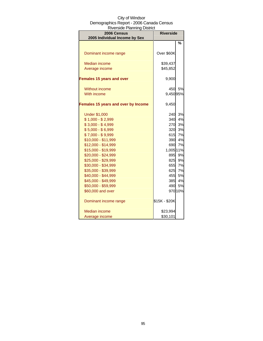| יו וויטוש אוויוויוויוויון וויוטווייט ווי<br>2006 Census<br>2005 Individual Income by Sex | <b>Riverside</b> |         |
|------------------------------------------------------------------------------------------|------------------|---------|
|                                                                                          |                  | %       |
|                                                                                          |                  |         |
| Dominant income range                                                                    | Over \$60K       |         |
| <b>Median income</b>                                                                     | \$39,437         |         |
| Average income                                                                           | \$45,852         |         |
| <b>Females 15 years and over</b>                                                         | 9,900            |         |
| <b>Without income</b>                                                                    | 450              | 5%      |
| With income                                                                              | 9,45095%         |         |
| Females 15 years and over by Income                                                      | 9,450            |         |
| <b>Under \$1,000</b>                                                                     | 240              | 3%      |
| $$1,000 - $2,999$                                                                        | 340              | 4%      |
| $$3,000 - $4,999$                                                                        | 270              | 3%      |
| $$5,000 - $6,999$                                                                        | 320              | 3%      |
| $$7,000 - $9,999$                                                                        | 615              | 7%      |
| \$10,000 - \$11,999                                                                      | 390              | 4%      |
| \$12,000 - \$14,999                                                                      | 690              | 7%      |
| \$15,000 - \$19,999                                                                      | 1,005 11%        |         |
| \$20,000 - \$24,999                                                                      | 895              | 9%      |
| \$25,000 - \$29,999                                                                      | 825              | 9%      |
| \$30,000 - \$34,999                                                                      | 655              | 7%      |
| \$35,000 - \$39,999                                                                      | 625              | 7%      |
| \$40,000 - \$44,999                                                                      | 455              | 5%      |
| \$45,000 - \$49,999                                                                      | 385              | 4%      |
| \$50,000 - \$59,999                                                                      | 490              | 5%      |
| \$60,000 and over                                                                        |                  | 970 10% |
| Dominant income range                                                                    | \$15K - \$20K    |         |
| Median income                                                                            | \$23,994         |         |
| Average income                                                                           | \$30,101         |         |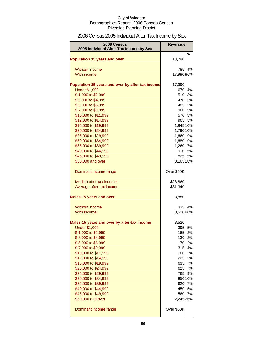# 2006 Census 2005 Individual After-Tax Income by Sex

| 2006 Census                                      | <b>Riverside</b> |               |
|--------------------------------------------------|------------------|---------------|
| 2005 Individual After-Tax Income by Sex          |                  |               |
| <b>Population 15 years and over</b>              | 18,790           | %             |
| Without income                                   | 785              | 4%            |
| With income                                      | 17,990 96%       |               |
| Population 15 years and over by after-tax income | 17,990           |               |
| <b>Under \$1,000</b>                             | 670              | 4%            |
| \$1,000 to \$2,999                               | 510              | 3%            |
| \$3,000 to \$4,999                               |                  | 470 3%        |
| \$5,000 to \$6,999                               |                  | 485 3%        |
| \$7,000 to \$9,999                               |                  | 960 5%        |
| \$10,000 to \$11,999                             |                  | 570 3%        |
| \$12,000 to \$14,999                             | 965              | 5%            |
| \$15,000 to \$19,999                             | 1,845 10%        |               |
| \$20,000 to \$24,999                             | 1,790 10%        |               |
| \$25,000 to \$29,999                             | 1,660            | 9%            |
| \$30,000 to \$34,999                             | 1,680            | 9%            |
| \$35,000 to \$39,999                             | 1,260 7%         |               |
| \$40,000 to \$44,999                             |                  | 910 5%        |
| \$45,000 to \$49,999                             | 825              | 5%            |
| \$50,000 and over                                | 3,165 18%        |               |
| Dominant income range                            | Over \$50K       |               |
| Median after-tax income                          | \$26,860         |               |
| Average after-tax income                         | \$31,340         |               |
| <b>Males 15 years and over</b>                   | 8,880            |               |
| Without income                                   | 335              | 4%            |
| With income                                      | 8,520 96%        |               |
| Males 15 years and over by after-tax income      | 8,520            |               |
| <b>Under \$1,000</b>                             | 395              | 5%            |
| \$1,000 to \$2,999                               | 165              | 2%            |
| \$3,000 to \$4,999                               |                  | 130 2%        |
| \$5,000 to \$6,999                               |                  | 170 2%        |
| \$7,000 to \$9,999                               | 315              | 4%            |
| \$10,000 to \$11,999                             |                  | 160 2%        |
| \$12,000 to \$14,999                             |                  | 225 3%        |
| \$15,000 to \$19,999                             | 635              | 7%            |
| \$20,000 to \$24,999                             | 625<br>765       | 7%            |
| \$25,000 to \$29,999<br>\$30,000 to \$34,999     |                  | 9%<br>850 10% |
| \$35,000 to \$39,999                             | 620              | 7%            |
| \$40,000 to \$44,999                             |                  | 450 5%        |
| \$45,000 to \$49,999                             | 560              | 7%            |
| \$50,000 and over                                | 2,245 26%        |               |
| Dominant income range                            | Over \$50K       |               |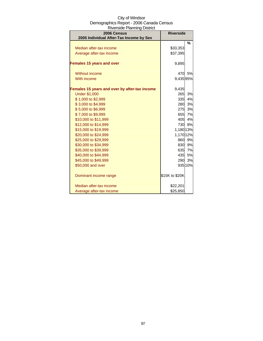| City of Windsor                          |
|------------------------------------------|
| Demographics Report - 2006 Canada Census |
| <b>Riverside Planning District</b>       |

| 2006 Census<br>2005 Individual After-Tax Income by Sex | <b>Riverside</b> |           |
|--------------------------------------------------------|------------------|-----------|
|                                                        |                  | %         |
| Median after-tax income                                | \$33,353         |           |
| Average after-tax income                               | \$37,395         |           |
| <b>Females 15 years and over</b>                       | 9,895            |           |
| Without income                                         | 470              | <b>5%</b> |
| With income                                            | 9,43595%         |           |
| Females 15 years and over by after-tax income          | 9,435            |           |
| <b>Under \$1,000</b>                                   | 265              | 3%        |
| \$1,000 to \$2,999                                     | 335              | 4%        |
| \$3,000 to \$4,999                                     | 280              | 3%        |
| \$5,000 to \$6,999                                     |                  | 275 3%    |
| \$7,000 to \$9,999                                     |                  | 655 7%    |
| \$10,000 to \$11,999                                   |                  | 405 4%    |
| \$12,000 to \$14,999                                   |                  | 730 8%    |
| \$15,000 to \$19,999                                   | 1,180 13%        |           |
| \$20,000 to \$24,999                                   | 1,170 12%        |           |
| \$25,000 to \$29,999                                   |                  | 860 9%    |
| \$30,000 to \$34,999                                   |                  | 830 9%    |
| \$35,000 to \$39,999                                   |                  | 635 7%    |
| \$40,000 to \$44,999                                   |                  | 435 5%    |
| \$45,000 to \$49,999                                   |                  | 290 3%    |
| \$50,000 and over                                      |                  | 935 10%   |
| Dominant income range                                  | \$15K to \$20K   |           |
| Median after-tax income                                | \$22,201         |           |
| Average after-tax income                               | \$25,850         |           |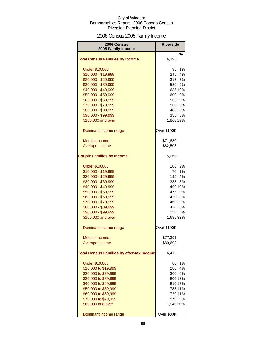# 2006 Census 2005 Family Income

| 2006 Census<br>2005 Family Income                | <b>Riverside</b> |           |
|--------------------------------------------------|------------------|-----------|
| <b>Total Census Families by Income</b>           | 6,395            | %         |
| <b>Under \$10,000</b>                            | 95               | 1%        |
| \$10,000 - \$19,999                              | 245              | 4%        |
| \$20,000 - \$29,999                              | 315              | <b>5%</b> |
| \$30,000 - \$39,999                              | 580              | 9%        |
| \$40,000 - \$49,999                              |                  | 635 10%   |
| \$50,000 - \$59,999                              | 600              | 9%        |
| \$60,000 - \$69,999                              | 560              | 9%        |
| \$70,000 - \$79,999                              | 560              | 9%        |
| \$80,000 - \$89,999                              | 480              | 8%        |
| \$90,000 - \$99,999                              | 335              | 5%        |
| \$100,000 and over                               | 1,860 29%        |           |
| Dominant income range                            | Over \$100K      |           |
| <b>Median income</b>                             | \$71,830         |           |
| Average income                                   | \$82,503         |           |
| <b>Couple Families by Income</b>                 | 5,060            |           |
| <b>Under \$10,000</b>                            | 100I             | 2%        |
| \$10,000 - \$19,999                              | 70               | 1%        |
| \$20,000 - \$29,999                              | 195              | 4%        |
| \$30,000 - \$39,999                              | 385              | 8%        |
| \$40,000 - \$49,999                              |                  | 490 10%   |
| \$50,000 - \$59,999                              | 475              | 9%        |
| \$60,000 - \$69,999                              | 430              | 8%        |
| \$70,000 - \$79,999                              | 460              | 9%        |
| \$80,000 - \$89,999                              | 420              | 8%        |
| \$90,000 - \$99,999                              | 250              | 5%        |
| \$100,000 and over                               | 1,695 33%        |           |
| Dominant income range                            | Over \$100K      |           |
| <b>Median income</b>                             | \$77,391         |           |
| Average income                                   | \$89,698         |           |
| <b>Total Census Families by after-tax Income</b> | 6,410            |           |
| <b>Under \$10,000</b>                            | 80               | 1%        |
| \$10,000 to \$19,999                             | 280              | 4%        |
| \$20,000 to \$29,999                             | 360              | 6%        |
| \$30,000 to \$39,999                             |                  | 800 12%   |
| \$40,000 to \$49,999                             |                  | 810 13%   |
| \$50,000 to \$59,999                             |                  | 735 11%   |
| \$60,000 to \$69,999                             |                  | 720 11%   |
| \$70,000 to \$79,999                             | 570              | 9%        |
| \$80,000 and over                                | 1,940 30%        |           |
| Dominant income range                            | Over \$80K       |           |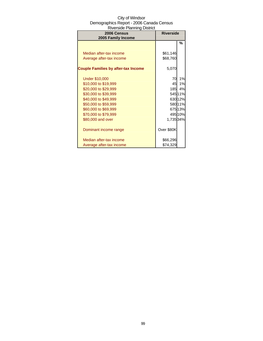| 2006 Census                                | <b>Riverside</b> |         |
|--------------------------------------------|------------------|---------|
| 2005 Family Income                         |                  | %       |
|                                            |                  |         |
| Median after-tax income                    | \$61,146         |         |
| Average after-tax income                   | \$68,760         |         |
|                                            |                  |         |
| <b>Couple Families by after-tax Income</b> | 5,070            |         |
|                                            |                  |         |
| <b>Under \$10,000</b>                      | 70               | 1%      |
| \$10,000 to \$19,999                       | 45               | 1%      |
| \$20,000 to \$29,999                       | 185I             | 4%      |
| \$30,000 to \$39,999                       |                  | 545 11% |
| \$40,000 to \$49,999                       |                  | 630 12% |
| \$50,000 to \$59,999                       |                  | 58011%  |
| \$60,000 to \$69,999                       |                  | 67513%  |
| \$70,000 to \$79,999                       |                  | 495 10% |
| \$80,000 and over                          | 1,735 34%        |         |
|                                            |                  |         |
| Dominant income range                      | Over \$80K       |         |
|                                            |                  |         |
| Median after-tax income                    | \$66,296         |         |
| Average after-tax income                   | \$74,329         |         |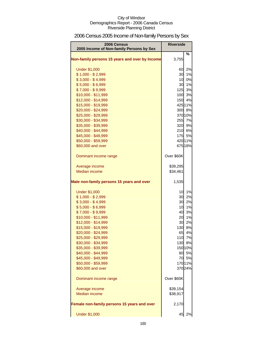# 2006 Census 2005 Income of Non-family Persons by Sex

| 2006 Census<br>2005 Income of Non-family Persons by Sex | <b>Riverside</b> |         |
|---------------------------------------------------------|------------------|---------|
| Non-family persons 15 years and over by Income          | 3,755            | %       |
| <b>Under \$1,000</b>                                    | 60               | 2%      |
| $$1,000 - $2,999$                                       | 30               | 1%      |
| $$3,000 - $4,999$                                       | 10               | 0%      |
| $$5,000 - $6,999$                                       | 30               | 1%      |
| $$7,000 - $9,999$                                       |                  | 125 3%  |
| \$10,000 - \$11,999                                     |                  | 100 3%  |
| \$12,000 - \$14,999                                     |                  | 150 4%  |
| \$15,000 - \$19,999                                     |                  | 425 11% |
| \$20,000 - \$24,999                                     |                  | 300 8%  |
| \$25,000 - \$29,999                                     |                  | 370 10% |
| \$30,000 - \$34,999                                     |                  | 255 7%  |
| \$35,000 - \$39,999                                     |                  | 320 9%  |
| \$40,000 - \$44,999                                     |                  | 210 6%  |
| \$45,000 - \$49,999                                     |                  | 175 5%  |
| \$50,000 - \$59,999                                     |                  | 420 11% |
| \$60,000 and over                                       |                  | 675 18% |
| Dominant income range                                   | Over \$60K       |         |
| Average income                                          | \$39,295         |         |
| <b>Median income</b>                                    | \$34,461         |         |
| Male non-family persons 15 years and over               | 1,535            |         |
| <b>Under \$1,000</b>                                    | 10               | 1%      |
| $$1,000 - $2,999$                                       | 30               | 2%      |
| $$3,000 - $4,999$                                       | 30               | 2%      |
| $$5,000 - $6,999$                                       | 10               | 1%      |
| $$7,000 - $9,999$                                       | 40               | 3%      |
| \$10,000 - \$11,999                                     | 20               | 1%      |
| \$12,000 - \$14,999                                     | 30               | 2%      |
| \$15,000 - \$19,999                                     | 130              | 8%      |
| \$20,000 - \$24,999                                     | 65               | 4%      |
| \$25,000 - \$29,999                                     |                  | 110 7%  |
| \$30,000 - \$34,999                                     |                  | 130 8%  |
| \$35,000 - \$39,999                                     |                  | 150 10% |
| \$40,000 - \$44,999                                     | 80               | 5%      |
| \$45,000 - \$49,999                                     |                  | 70 5%   |
| \$50,000 - \$59,999                                     |                  | 170 11% |
| \$60,000 and over                                       |                  | 370 24% |
| Dominant income range                                   | Over \$60K       |         |
| Average income                                          | \$39,154         |         |
| <b>Median income</b>                                    | \$38,917         |         |
| Female non-family persons 15 years and over             | 2,170            |         |
| <b>Under \$1,000</b>                                    | 45               | 2%      |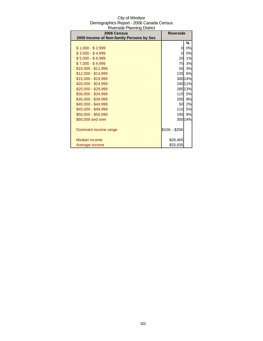| <b>Riverside Planning District</b>                      |                  |           |
|---------------------------------------------------------|------------------|-----------|
| 2006 Census<br>2005 Income of Non-family Persons by Sex | <b>Riverside</b> |           |
|                                                         |                  | %         |
| $$1,000 - $2,999$                                       | 0                | 0%        |
| $$3,000 - $4,999$                                       | 0                | 0%        |
| \$5,000 - \$6,999                                       | 20               | 1%        |
| \$7,000 - \$9,999                                       | 75               | 3%        |
| \$10,000 - \$11,999                                     | 55               | 3%        |
| \$12,000 - \$14,999                                     | 125              | 6%        |
| \$15,000 - \$19,999                                     |                  | 300 14%   |
| \$20,000 - \$24,999                                     |                  | 240 11%   |
| \$25,000 - \$29,999                                     |                  | 285 13%   |
| \$30,000 - \$34,999                                     | 115              | <b>5%</b> |
| \$35,000 - \$39,999                                     | 200              | 9%        |
| \$40,000 - \$44,999                                     | 50               | 2%        |
| \$45,000 - \$49,999                                     | 110              | 5%        |
| \$50,000 - \$59,999                                     | 195              | 9%        |
| \$60,000 and over                                       |                  | 300 14%   |
|                                                         |                  |           |
| Dominant income range                                   | \$15K - \$20K    |           |
|                                                         |                  |           |
| Median income                                           | \$28,465         |           |
| Average income                                          | \$33,935         |           |

# City of Windsor Demographics Report - 2006 Canada Census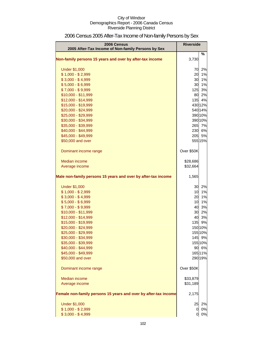| 2006 Census<br>2005 After-Tax Income of Non-family Persons by Sex | <b>Riverside</b> |         |
|-------------------------------------------------------------------|------------------|---------|
|                                                                   |                  | %       |
| Non-family persons 15 years and over by after-tax income          | 3,730            |         |
| <b>Under \$1,000</b>                                              | 70               | 2%      |
| $$1,000 - $2,999$                                                 | 20               | 1%      |
| $$3,000 - $4,999$                                                 | 30               | 1%      |
| $$5,000 - $6,999$                                                 | 30               | 1%      |
| $$7,000 - $9,999$                                                 | 125              | 3%      |
| \$10,000 - \$11,999                                               | 80               | 2%      |
| \$12,000 - \$14,999                                               | $135$            | 4%      |
| \$15,000 - \$19,999                                               |                  | 430 12% |
| \$20,000 - \$24,999                                               |                  | 540 14% |
| \$25,000 - \$29,999                                               |                  | 390 10% |
| \$30,000 - \$34,999                                               |                  | 390 10% |
| \$35,000 - \$39,999                                               |                  | 265 7%  |
| \$40,000 - \$44,999                                               |                  | 230 6%  |
| \$45,000 - \$49,999                                               | 205              | 5%      |
| \$50,000 and over                                                 |                  | 555 15% |
| Dominant income range                                             | Over \$50K       |         |
| Median income                                                     | \$28,686         |         |
| Average income                                                    | \$32,664         |         |
| Male non-family persons 15 years and over by after-tax income     | 1,565            |         |
| <b>Under \$1,000</b>                                              | 30               | 2%      |
| $$1,000 - $2,999$                                                 | 10               | 1%      |
| $$3,000 - $4,999$                                                 | 20               | 1%      |
| $$5,000 - $6,999$                                                 | 10               | 1%      |
| $$7,000 - $9,999$                                                 | 40               | 3%      |
| \$10,000 - \$11,999                                               | 30               | 2%      |
| \$12,000 - \$14,999                                               | 40               | 3%      |
| \$15,000 - \$19,999                                               | 135              | 9%      |
| \$20,000 - \$24,999                                               |                  | 150 10% |
| \$25,000 - \$29,999                                               |                  | 155 10% |
| \$30,000 - \$34,999                                               |                  | 145 9%  |
| \$35,000 - \$39,999                                               |                  | 155 10% |
| \$40,000 - \$44,999                                               |                  | 90 6%   |
| \$45,000 - \$49,999                                               |                  | 165 11% |
| \$50,000 and over                                                 |                  | 290 19% |
| Dominant income range                                             | Over \$50K       |         |
| Median income                                                     | \$33,879         |         |
| Average income                                                    | \$31,189         |         |
| Female non-family persons 15 years and over by after-tax income   | 2,175            |         |
| <b>Under \$1,000</b>                                              | 25               | 2%      |
| $$1,000 - $2,999$                                                 | 0                | 0%      |
| $$3,000 - $4,999$                                                 | 0                | 0%      |

# 2006 Census 2005 After-Tax Income of Non-family Persons by Sex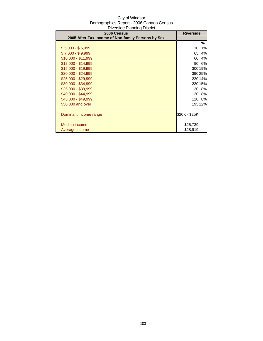| 1.11<br>2006 Census                                | <b>Riverside</b> |         |
|----------------------------------------------------|------------------|---------|
| 2005 After-Tax Income of Non-family Persons by Sex |                  |         |
|                                                    |                  | ℅       |
| $$5,000 - $6,999$                                  | 10               | 1%      |
| $$7,000 - $9,999$                                  | 65               | 4%      |
| $$10,000 - $11,999$                                | 60               | 4%      |
| $$12,000 - $14,999$                                | 90               | 6%      |
| \$15,000 - \$19,999                                |                  | 300 19% |
| $$20,000 - $24,999$                                |                  | 390 25% |
| \$25,000 - \$29,999                                |                  | 220 14% |
| \$30,000 - \$34,999                                |                  | 230 15% |
| \$35,000 - \$39,999                                | 120 <sub>l</sub> | 8%      |
| \$40,000 - \$44,999                                | 120 <sub>l</sub> | 8%      |
| \$45,000 - \$49,999                                | 120 <sup>l</sup> | 8%      |
| \$50,000 and over                                  |                  | 195 12% |
|                                                    |                  |         |
| Dominant income range                              | \$20K - \$25K    |         |
|                                                    |                  |         |
| Median income                                      | \$25,739         |         |
| Average income                                     | \$28,919         |         |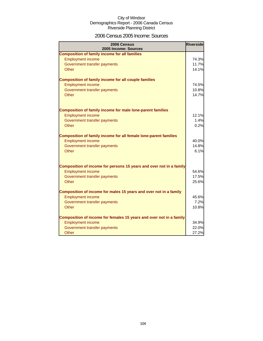### 2006 Census 2005 Income: Sources

| 2006 Census<br>2005 Income: Sources                                 | <b>Riverside</b> |
|---------------------------------------------------------------------|------------------|
| <b>Composition of family income for all families</b>                |                  |
| <b>Employment income</b>                                            | 74.3%            |
| Government transfer payments                                        | 11.7%            |
| Other                                                               | 14.1%            |
| <b>Composition of family income for all couple families</b>         |                  |
| <b>Employment income</b>                                            | 74.5%            |
| Government transfer payments                                        | 10.8%            |
| Other                                                               | 14.7%            |
| <b>Composition of family income for male lone-parent families</b>   |                  |
| <b>Employment income</b>                                            | 12.1%            |
| Government transfer payments                                        | 1.4%             |
| Other                                                               | 0.2%             |
| Composition of family income for all female lone-parent families    |                  |
| <b>Employment income</b>                                            | 40.0%            |
| Government transfer payments                                        | 14.8%            |
| Other                                                               | 6.1%             |
| Composition of income for persons 15 years and over not in a family |                  |
| <b>Employment income</b>                                            | 54.6%            |
| Government transfer payments                                        | 17.5%            |
| Other                                                               | 25.6%            |
| Composition of income for males 15 years and over not in a family   |                  |
| <b>Employment income</b>                                            | 45.6%            |
| Government transfer payments                                        | 7.2%             |
| Other                                                               | 10.8%            |
| Composition of income for females 15 years and over not in a family |                  |
| <b>Employment income</b>                                            | 34.9%            |
| Government transfer payments                                        | 22.0%            |
| Other                                                               | 27.2%            |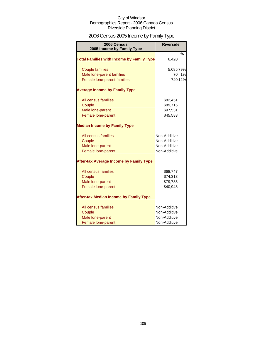# 2006 Census 2005 Income by Family Type

| 2006 Census<br>2005 Income by Family Type        | <b>Riverside</b> |         |
|--------------------------------------------------|------------------|---------|
| <b>Total Families with Income by Family Type</b> | 6,420            | $\%$    |
| <b>Couple families</b>                           | 5,085 79%        |         |
| Male lone-parent families                        | 70               | 1%      |
| Female lone-parent families                      |                  | 740 12% |
| <b>Average Income by Family Type</b>             |                  |         |
| All census families                              | \$82,451         |         |
| Couple                                           | \$89,716         |         |
| Male lone-parent                                 | \$97,531         |         |
| Female lone-parent                               | \$45,583         |         |
| <b>Median Income by Family Type</b>              |                  |         |
| All census families                              | Non-Additive     |         |
| Couple                                           | Non-Additive     |         |
| Male lone-parent                                 | Non-Additive     |         |
| Female lone-parent                               | Non-Additive     |         |
| <b>After-tax Average Income by Family Type</b>   |                  |         |
| All census families                              | \$68,747         |         |
| Couple                                           | \$74,313         |         |
| Male lone-parent                                 | \$79,785         |         |
| Female lone-parent                               | \$40,948         |         |
| <b>After-tax Median Income by Family Type</b>    |                  |         |
| All census families                              | Non-Additive     |         |
| Couple                                           | Non-Additive     |         |
| Male lone-parent                                 | Non-Additive     |         |
| Female lone-parent                               | Non-Additive     |         |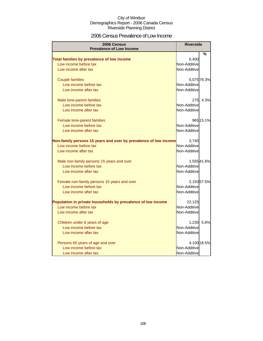### 2006 Census Prevalence of Low Income

| 2006 Census                                                      | <b>Riverside</b>      |             |
|------------------------------------------------------------------|-----------------------|-------------|
| <b>Prevalence of Low Income</b>                                  |                       |             |
|                                                                  |                       | %           |
| Total families by prevalence of low income                       | 6,400                 |             |
| Low income before tax                                            | Non-Additive          |             |
| Low income after tax                                             | Non-Additive          |             |
| <b>Couple families</b>                                           |                       | 5,075 79.3% |
| Low income before tax                                            | Non-Additive          |             |
| Low income after tax                                             | Non-Additive          |             |
| Male lone-parent families                                        | 275                   | 4.3%        |
| Low income before tax                                            | Non-Additive          |             |
| Low income after tax                                             | Non-Additive          |             |
|                                                                  |                       |             |
| Female lone-parent families                                      |                       | 965 15.1%   |
| Low income before tax                                            | Non-Additive          |             |
| Low income after tax                                             | Non-Additive          |             |
| Non-family persons 15 years and over by prevalence of low income | 3,740                 |             |
| Low income before tax                                            | Non-Additive          |             |
| Low income after tax                                             | Non-Additive          |             |
| Male non-family persons 15 years and over                        |                       | 1,55541.6%  |
| Low income before tax                                            | Non-Additive          |             |
| Low income after tax                                             | Non-Additive          |             |
| Female non-family persons 15 years and over                      |                       | 2,15057.5%  |
| Low income before tax                                            | Non-Additive          |             |
| Low income after tax                                             | Non-Additive          |             |
| Population in private households by prevalence of low income     | 22,125                |             |
| Low income before tax                                            | Non-Additive          |             |
| Low income after tax                                             | Non-Additive          |             |
|                                                                  |                       | 5.6%        |
| Children under 6 years of age<br>Low income before tax           | 1,230<br>Non-Additive |             |
|                                                                  | Non-Additive          |             |
| Low income after tax                                             |                       |             |
| Persons 65 years of age and over                                 |                       | 4,100 18.5% |
| Low income before tax                                            | Non-Additive          |             |
| Low income after tax                                             | Non-Additive          |             |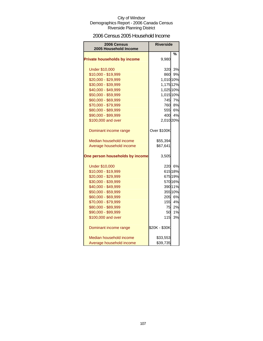### 2006 Census 2005 Household Income

| 2006 Census<br>2005 Household Income | <b>Riverside</b> |         |
|--------------------------------------|------------------|---------|
|                                      |                  | %       |
| <b>Private households by income</b>  | 9,980            |         |
| <b>Under \$10,000</b>                | 320              | 3%      |
| \$10,000 - \$19,999                  | 860              | 9%      |
| \$20,000 - \$29,999                  | 1,010 10%        |         |
| \$30,000 - \$39,999                  | 1,175 12%        |         |
| \$40,000 - \$49,999                  | 1,025 10%        |         |
| \$50,000 - \$59,999                  | 1,015 10%        |         |
| \$60,000 - \$69,999                  |                  | 745 7%  |
| \$70,000 - \$79,999                  |                  | 760 8%  |
| \$80,000 - \$89,999                  |                  | 555 6%  |
| \$90,000 - \$99,999                  |                  | 400 4%  |
| \$100,000 and over                   | 2,010 20%        |         |
| Dominant income range                | Over \$100K      |         |
| Median household income              | \$55,394         |         |
| Average household income             | \$67,641         |         |
| One person households by income      | 3,505            |         |
| <b>Under \$10,000</b>                |                  | 220 6%  |
| \$10,000 - \$19,999                  |                  | 615 18% |
| \$20,000 - \$29,999                  |                  | 675 19% |
| \$30,000 - \$39,999                  |                  | 570 16% |
| \$40,000 - \$49,999                  |                  | 39011%  |
| \$50,000 - \$59,999                  |                  | 355 10% |
| \$60,000 - \$69,999                  |                  | 205 6%  |
| \$70,000 - \$79,999                  | 155              | 4%      |
| \$80,000 - \$89,999                  | 75               | 2%      |
| \$90,000 - \$99,999                  | <b>50</b>        | 1%      |
| \$100,000 and over                   | 115              | 3%      |
| Dominant income range                | \$20K - \$30K    |         |
| Median household income              | \$33,553         |         |
| Average household income             | \$39,735         |         |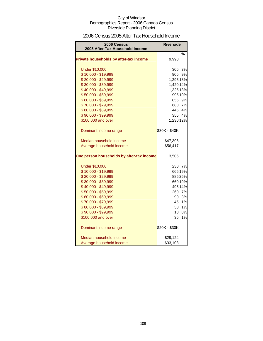### 2006 Census 2005 After-Tax Household Income

| <b>2006 Census</b><br>2005 After-Tax Household Income | <b>Riverside</b> |         |
|-------------------------------------------------------|------------------|---------|
|                                                       |                  | %       |
| Private households by after-tax income                | 9,990            |         |
| <b>Under \$10,000</b>                                 |                  | 305 3%  |
| \$10,000 - \$19,999                                   |                  | 905 9%  |
| \$20,000 - \$29,999                                   | 1,295 13%        |         |
| \$30,000 - \$39,999                                   | 1,420 14%        |         |
| \$40,000 - \$49,999                                   | 1,325 13%        |         |
| \$50,000 - \$59,999                                   |                  | 995 10% |
| \$60,000 - \$69,999                                   |                  | 855 9%  |
| \$70,000 - \$79,999                                   |                  | 680 7%  |
| \$80,000 - \$89,999                                   |                  | 445 4%  |
| \$90,000 - \$99,999                                   |                  | 355 4%  |
| \$100,000 and over                                    | 1,230 12%        |         |
| Dominant income range                                 | \$30K - \$40K    |         |
| Median household income                               | \$47,396         |         |
| Average household income                              | \$56,417         |         |
| One person households by after-tax income             | 3,505            |         |
| <b>Under \$10,000</b>                                 |                  | 230 7%  |
| \$10,000 - \$19,999                                   |                  | 665 19% |
| \$20,000 - \$29,999                                   |                  | 885 25% |
| \$30,000 - \$39,999                                   |                  | 660 19% |
| \$40,000 - \$49,999                                   |                  | 495 14% |
| \$50,000 - \$59,999                                   |                  | 260 7%  |
| \$60,000 - \$69,999                                   | 90               | 3%      |
| \$70,000 - \$79,999                                   | 45               | 1%      |
| \$80,000 - \$89,999                                   | 30               | 1%      |
| \$90,000 - \$99,999                                   | 10 <sup>1</sup>  | 0%      |
| \$100,000 and over                                    | 35 <sub>l</sub>  | 1%      |
| Dominant income range                                 | \$20K - \$30K    |         |
| Median household income                               | \$29,124         |         |
| Average household income                              | \$33,108         |         |